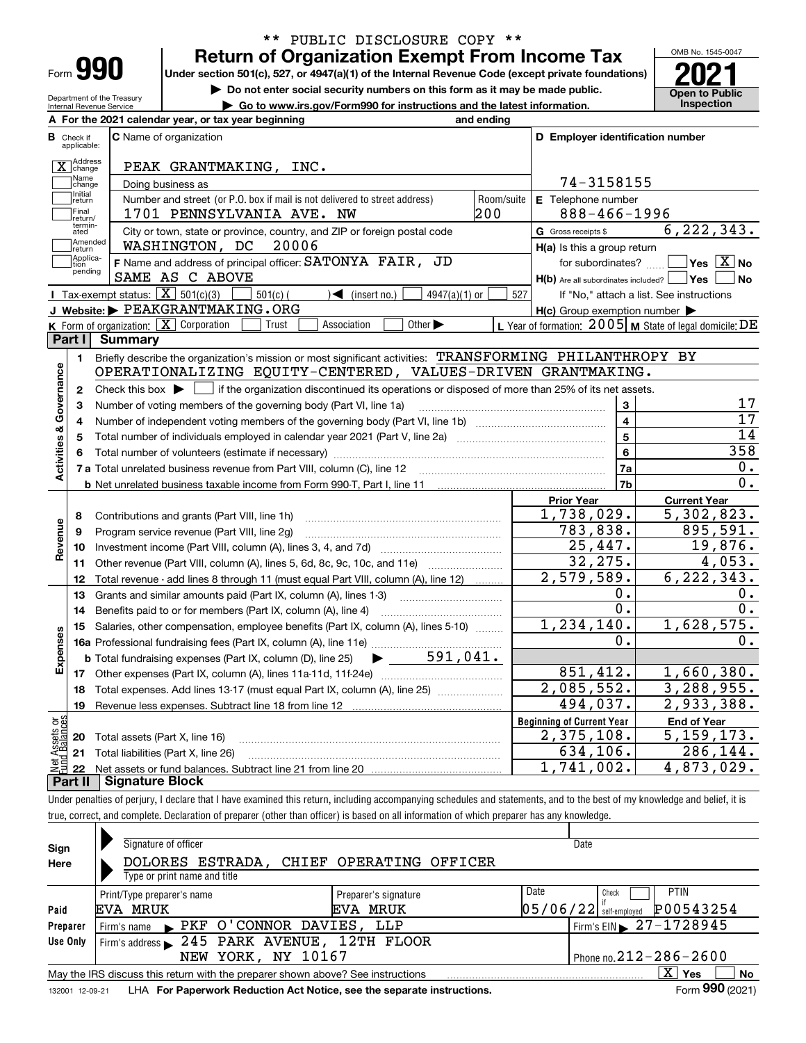| -orm |  |  |
|------|--|--|

Department of the Treasury Internal Revenue Service

## **Return of Organization Exempt From Income Tax** \*\* PUBLIC DISCLOSURE COPY \*\*

Under section 501(c), 527, or 4947(a)(1) of the Internal Revenue Code (except private foundations) **2021** 

**| Do not enter social security numbers on this form as it may be made public.**

**| Go to www.irs.gov/Form990 for instructions and the latest information. Inspection**

OMB No. 1545-0047 **Open to Public** 

|                         |                             | A For the 2021 calendar year, or tax year beginning<br>and ending                                                                         |                    |                                                                       |                                                           |
|-------------------------|-----------------------------|-------------------------------------------------------------------------------------------------------------------------------------------|--------------------|-----------------------------------------------------------------------|-----------------------------------------------------------|
| в                       | Check if<br>applicable:     | <b>C</b> Name of organization                                                                                                             |                    | D Employer identification number                                      |                                                           |
|                         | X Address                   | PEAK GRANTMAKING, INC.                                                                                                                    |                    |                                                                       |                                                           |
|                         | Name<br>change              | 74-3158155                                                                                                                                |                    |                                                                       |                                                           |
|                         | Initial<br> return          | E Telephone number                                                                                                                        |                    |                                                                       |                                                           |
|                         | <b>Final</b><br>return/     | 1701 PENNSYLVANIA AVE. NW<br>I2 O O                                                                                                       | $888 - 466 - 1996$ |                                                                       |                                                           |
|                         | termin-<br>ated             | City or town, state or province, country, and ZIP or foreign postal code                                                                  |                    | <b>G</b> Gross receipts \$                                            | 6, 222, 343.                                              |
|                         | Amended<br>return           | WASHINGTON, DC<br>20006                                                                                                                   |                    | $H(a)$ is this a group return                                         |                                                           |
|                         | Applica-<br>tion<br>pending | F Name and address of principal officer: SATONYA FAIR, JD<br>SAME AS C ABOVE                                                              |                    | for subordinates?<br>$H(b)$ Are all subordinates included? $\Box$ Yes | $\sqrt{}$ Yes $\sqrt{}$ X $\sqrt{}$ No<br>∣No             |
|                         |                             | Tax-exempt status: $\boxed{\mathbf{X}}$ 501(c)(3)<br>$\sqrt{\bullet}$ (insert no.)<br>$501(c)$ (<br>$4947(a)(1)$ or                       | 527                |                                                                       | If "No," attach a list. See instructions                  |
|                         |                             | J Website: PEAKGRANTMAKING.ORG                                                                                                            |                    | $H(c)$ Group exemption number $\blacktriangleright$                   |                                                           |
|                         |                             | K Form of organization: X Corporation<br>Other $\blacktriangleright$<br>Trust<br>Association                                              |                    |                                                                       | L Year of formation: $2005$ M State of legal domicile: DE |
|                         | Part I                      | Summary                                                                                                                                   |                    |                                                                       |                                                           |
|                         | 1.                          | Briefly describe the organization's mission or most significant activities: TRANSFORMING PHILANTHROPY BY                                  |                    |                                                                       |                                                           |
|                         |                             | OPERATIONALIZING EQUITY-CENTERED, VALUES-DRIVEN GRANTMAKING.                                                                              |                    |                                                                       |                                                           |
| Activities & Governance | $\mathbf{2}$                | Check this box $\blacktriangleright \Box$ if the organization discontinued its operations or disposed of more than 25% of its net assets. |                    |                                                                       |                                                           |
|                         | 3                           | Number of voting members of the governing body (Part VI, line 1a)                                                                         |                    | 3                                                                     | 17                                                        |
|                         | 4                           |                                                                                                                                           |                    | $\overline{4}$                                                        | $\overline{17}$                                           |
|                         | 5                           |                                                                                                                                           |                    | $\overline{5}$                                                        | 14                                                        |
|                         | 6                           |                                                                                                                                           |                    | 6                                                                     | 358                                                       |
|                         |                             |                                                                                                                                           |                    | 7a                                                                    | 0.                                                        |
|                         |                             |                                                                                                                                           |                    | 7 <sub>b</sub>                                                        | 0.                                                        |
|                         |                             |                                                                                                                                           |                    | <b>Prior Year</b>                                                     | <b>Current Year</b>                                       |
|                         | 8                           | Contributions and grants (Part VIII, line 1h)                                                                                             |                    | 1,738,029.                                                            | 5,302,823.                                                |
| Revenue                 | 9                           | Program service revenue (Part VIII, line 2g)                                                                                              |                    | 783,838.                                                              | 895,591.                                                  |
|                         | 10                          |                                                                                                                                           |                    | 25,447.                                                               | 19,876.                                                   |
|                         | 11                          | Other revenue (Part VIII, column (A), lines 5, 6d, 8c, 9c, 10c, and 11e)                                                                  |                    | 32,275.                                                               | 4,053.                                                    |
|                         | 12                          | Total revenue - add lines 8 through 11 (must equal Part VIII, column (A), line 12)                                                        |                    | 2,579,589.                                                            | $\overline{6}$ , 222, 343.                                |
|                         | 13                          | Grants and similar amounts paid (Part IX, column (A), lines 1-3)                                                                          |                    | ο.                                                                    | 0.                                                        |
|                         | 14                          | Benefits paid to or for members (Part IX, column (A), line 4)                                                                             |                    | $\overline{0}$ .                                                      | 0.                                                        |
|                         | 15                          | Salaries, other compensation, employee benefits (Part IX, column (A), lines 5-10)                                                         |                    | 1,234,140.                                                            | 1,628,575.                                                |
|                         |                             |                                                                                                                                           |                    | 0.                                                                    | О.                                                        |
| Expenses                |                             | 591,041.<br><b>b</b> Total fundraising expenses (Part IX, column (D), line 25)                                                            |                    |                                                                       |                                                           |
|                         |                             |                                                                                                                                           |                    | 851,412.                                                              | 1,660,380.                                                |
|                         | 18                          | Total expenses. Add lines 13-17 (must equal Part IX, column (A), line 25)                                                                 |                    | 2,085,552.                                                            | 3, 288, 955.                                              |
|                         | 19                          |                                                                                                                                           |                    | $\overline{49}4,037.$                                                 | 2,933,388.                                                |
| ភ្នំភ្ន                 |                             |                                                                                                                                           |                    | <b>Beginning of Current Year</b>                                      | <b>End of Year</b>                                        |
|                         | 20                          | Total assets (Part X, line 16)                                                                                                            |                    | 2,375,108.                                                            | 5, 159, 173.                                              |
|                         |                             | 21 Total liabilities (Part X, line 26)                                                                                                    |                    | 634,106.                                                              | 286,144.                                                  |
|                         | 22                          |                                                                                                                                           |                    | 1,741,002.                                                            | $\overline{4,873}$ , 029.                                 |
|                         | Part II                     | <b>Signature Block</b>                                                                                                                    |                    |                                                                       |                                                           |

Under penalties of perjury, I declare that I have examined this return, including accompanying schedules and statements, and to the best of my knowledge and belief, it is true, correct, and complete. Declaration of preparer (other than officer) is based on all information of which preparer has any knowledge.

| Sign     | Signature of officer                                                                                                                                                                                                                                                                                                 |                                  |      | Date                                                          |
|----------|----------------------------------------------------------------------------------------------------------------------------------------------------------------------------------------------------------------------------------------------------------------------------------------------------------------------|----------------------------------|------|---------------------------------------------------------------|
| Here     | DOLORES ESTRADA, CHIEF OPERATING OFFICER<br>Type or print name and title                                                                                                                                                                                                                                             |                                  |      |                                                               |
| Paid     | Print/Type preparer's name<br>EVA MRUK                                                                                                                                                                                                                                                                               | Preparer's signature<br>EVA MRUK | Date | <b>PTIN</b><br>Check<br>P00543254<br>$05/06/22$ self-employed |
| Preparer | Firm's name PKF O'CONNOR DAVIES, LLP                                                                                                                                                                                                                                                                                 |                                  |      | Firm's EIN $\triangleright$ 27-1728945                        |
| Use Only | Firm's address 245 PARK AVENUE, 12TH FLOOR<br>NEW YORK, NY 10167                                                                                                                                                                                                                                                     |                                  |      | Phone no. $212 - 286 - 2600$                                  |
|          | May the IRS discuss this return with the preparer shown above? See instructions<br>$\mathbf{r}$ . The contract of the contract of the contract of the contract of the contract of the contract of the contract of the contract of the contract of the contract of the contract of the contract of the contract of th |                                  |      | x.<br>No<br>Yes<br>$\sim$ 000 $\sim$                          |

132001 12-09-21 LHA **For Paperwork Reduction Act Notice, see the separate instructions. Form 990 (2021)**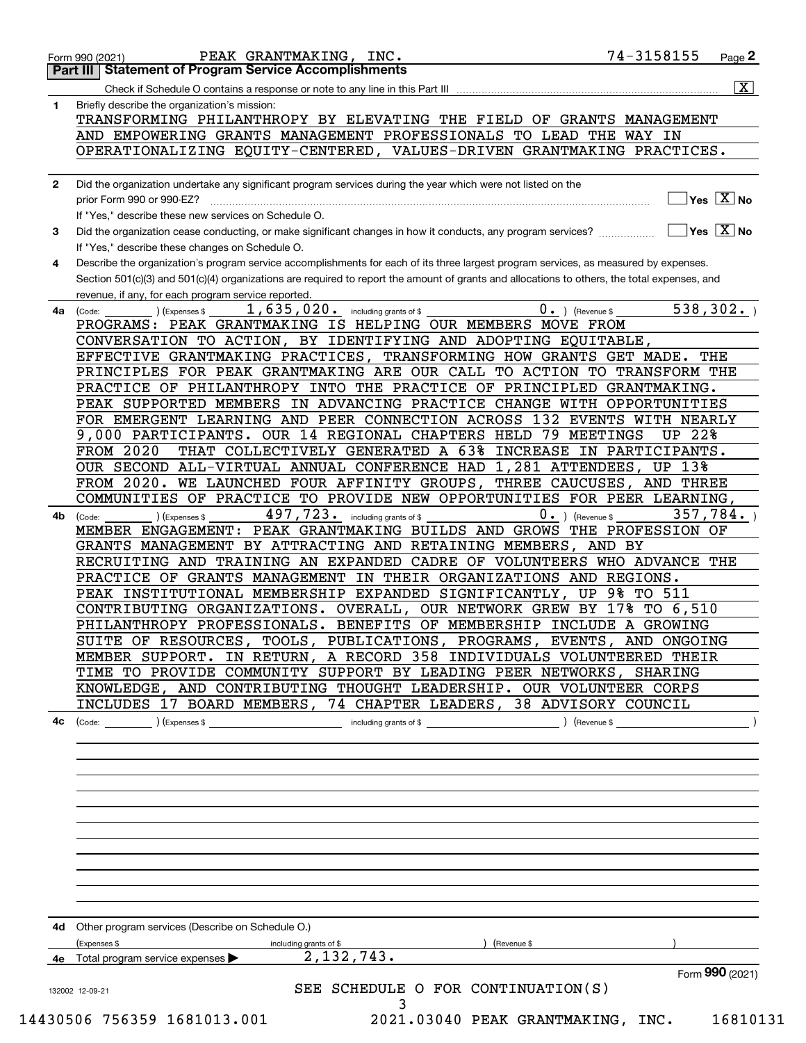|              | PEAK GRANTMAKING, INC.<br>Form 990 (2021)<br><b>Part III Statement of Program Service Accomplishments</b>                                    | 74-3158155<br>Page <sup>2</sup>         |
|--------------|----------------------------------------------------------------------------------------------------------------------------------------------|-----------------------------------------|
|              |                                                                                                                                              |                                         |
|              | Check if Schedule O contains a response or note to any line in this Part III                                                                 | $\overline{\mathtt{x}}$                 |
| 1.           | Briefly describe the organization's mission:<br>TRANSFORMING PHILANTHROPY BY ELEVATING THE FIELD OF GRANTS MANAGEMENT                        |                                         |
|              | AND EMPOWERING GRANTS MANAGEMENT PROFESSIONALS TO LEAD THE WAY IN                                                                            |                                         |
|              | OPERATIONALIZING EQUITY-CENTERED, VALUES-DRIVEN GRANTMAKING PRACTICES.                                                                       |                                         |
|              |                                                                                                                                              |                                         |
| $\mathbf{2}$ | Did the organization undertake any significant program services during the year which were not listed on the                                 |                                         |
|              | prior Form 990 or 990-EZ?                                                                                                                    | $\sqrt{}$ Yes $\sqrt{X}$ No             |
|              | If "Yes," describe these new services on Schedule O.                                                                                         |                                         |
| 3            |                                                                                                                                              | $\Box$ Yes $[\overline{\mathrm{X}}]$ No |
|              | If "Yes," describe these changes on Schedule O.                                                                                              |                                         |
| 4            | Describe the organization's program service accomplishments for each of its three largest program services, as measured by expenses.         |                                         |
|              | Section 501(c)(3) and 501(c)(4) organizations are required to report the amount of grants and allocations to others, the total expenses, and |                                         |
|              | revenue, if any, for each program service reported.                                                                                          |                                         |
| 4a           | $1,635,020.$ including grants of \$<br>) (Expenses \$<br>(Code:                                                                              | 538, 302.<br>$0 \cdot$ ) (Revenue \$    |
|              | PROGRAMS: PEAK GRANTMAKING IS HELPING OUR MEMBERS MOVE FROM                                                                                  |                                         |
|              | CONVERSATION TO ACTION, BY IDENTIFYING AND ADOPTING EQUITABLE,                                                                               |                                         |
|              | EFFECTIVE GRANTMAKING PRACTICES, TRANSFORMING HOW GRANTS GET MADE.                                                                           | THE                                     |
|              | PRINCIPLES FOR PEAK GRANTMAKING ARE OUR CALL TO ACTION TO TRANSFORM THE                                                                      |                                         |
|              | PRACTICE OF PHILANTHROPY INTO THE PRACTICE OF PRINCIPLED GRANTMAKING.                                                                        |                                         |
|              | PEAK SUPPORTED MEMBERS IN ADVANCING PRACTICE CHANGE WITH OPPORTUNITIES                                                                       |                                         |
|              | FOR EMERGENT LEARNING AND PEER CONNECTION ACROSS 132 EVENTS WITH NEARLY                                                                      |                                         |
|              | 9,000 PARTICIPANTS. OUR 14 REGIONAL CHAPTERS HELD 79 MEETINGS                                                                                | UP 22%                                  |
|              | <b>FROM 2020</b><br>THAT COLLECTIVELY GENERATED A 63% INCREASE IN PARTICIPANTS.                                                              |                                         |
|              | OUR SECOND ALL-VIRTUAL ANNUAL CONFERENCE HAD 1,281 ATTENDEES, UP 13%                                                                         |                                         |
|              | FROM 2020. WE LAUNCHED FOUR AFFINITY GROUPS, THREE CAUCUSES, AND THREE                                                                       |                                         |
|              | COMMUNITIES OF PRACTICE TO PROVIDE NEW OPPORTUNITIES FOR PEER LEARNING,                                                                      |                                         |
|              |                                                                                                                                              | 357,784.                                |
| 4b           | 497, 723. including grants of \$<br>(Expenses \$<br>(Code:                                                                                   | $0 \cdot$ ) (Revenue \$                 |
|              | MEMBER ENGAGEMENT: PEAK GRANTMAKING BUILDS AND GROWS THE PROFESSION OF                                                                       |                                         |
|              | GRANTS MANAGEMENT BY ATTRACTING AND RETAINING MEMBERS, AND BY                                                                                |                                         |
|              | RECRUITING AND TRAINING AN EXPANDED CADRE OF VOLUNTEERS WHO ADVANCE THE                                                                      |                                         |
|              | PRACTICE OF GRANTS MANAGEMENT IN THEIR ORGANIZATIONS AND REGIONS.                                                                            |                                         |
|              | PEAK INSTITUTIONAL MEMBERSHIP EXPANDED SIGNIFICANTLY, UP                                                                                     | 9% TO 511                               |
|              | CONTRIBUTING ORGANIZATIONS. OVERALL, OUR NETWORK GREW BY 17% TO 6,510                                                                        |                                         |
|              | PHILANTHROPY PROFESSIONALS. BENEFITS OF MEMBERSHIP INCLUDE A GROWING                                                                         |                                         |
|              | SUITE OF RESOURCES, TOOLS, PUBLICATIONS, PROGRAMS, EVENTS, AND ONGOING                                                                       |                                         |
|              | MEMBER SUPPORT. IN RETURN, A RECORD 358 INDIVIDUALS VOLUNTEERED THEIR                                                                        |                                         |
|              | TIME TO PROVIDE COMMUNITY SUPPORT BY LEADING PEER NETWORKS, SHARING                                                                          |                                         |
|              | KNOWLEDGE, AND CONTRIBUTING THOUGHT LEADERSHIP. OUR VOLUNTEER CORPS                                                                          |                                         |
|              | INCLUDES 17 BOARD MEMBERS, 74 CHAPTER LEADERS, 38 ADVISORY COUNCIL                                                                           |                                         |
|              | including grants of \$<br>$\overline{4c}$ (Code: ) (Expenses \$                                                                              |                                         |
|              |                                                                                                                                              |                                         |
|              |                                                                                                                                              |                                         |
|              |                                                                                                                                              |                                         |
|              |                                                                                                                                              |                                         |
|              |                                                                                                                                              |                                         |
|              |                                                                                                                                              |                                         |
|              |                                                                                                                                              |                                         |
|              |                                                                                                                                              |                                         |
|              |                                                                                                                                              |                                         |
|              |                                                                                                                                              |                                         |
|              |                                                                                                                                              |                                         |
|              |                                                                                                                                              |                                         |
|              | 4d Other program services (Describe on Schedule O.)                                                                                          |                                         |
|              | (Expenses \$<br>including grants of \$<br>) (Revenue \$                                                                                      |                                         |
|              | 2, 132, 743.<br>4e Total program service expenses                                                                                            |                                         |
|              |                                                                                                                                              |                                         |
|              |                                                                                                                                              |                                         |
|              | SEE SCHEDULE O FOR CONTINUATION(S)<br>132002 12-09-21                                                                                        | Form 990 (2021)                         |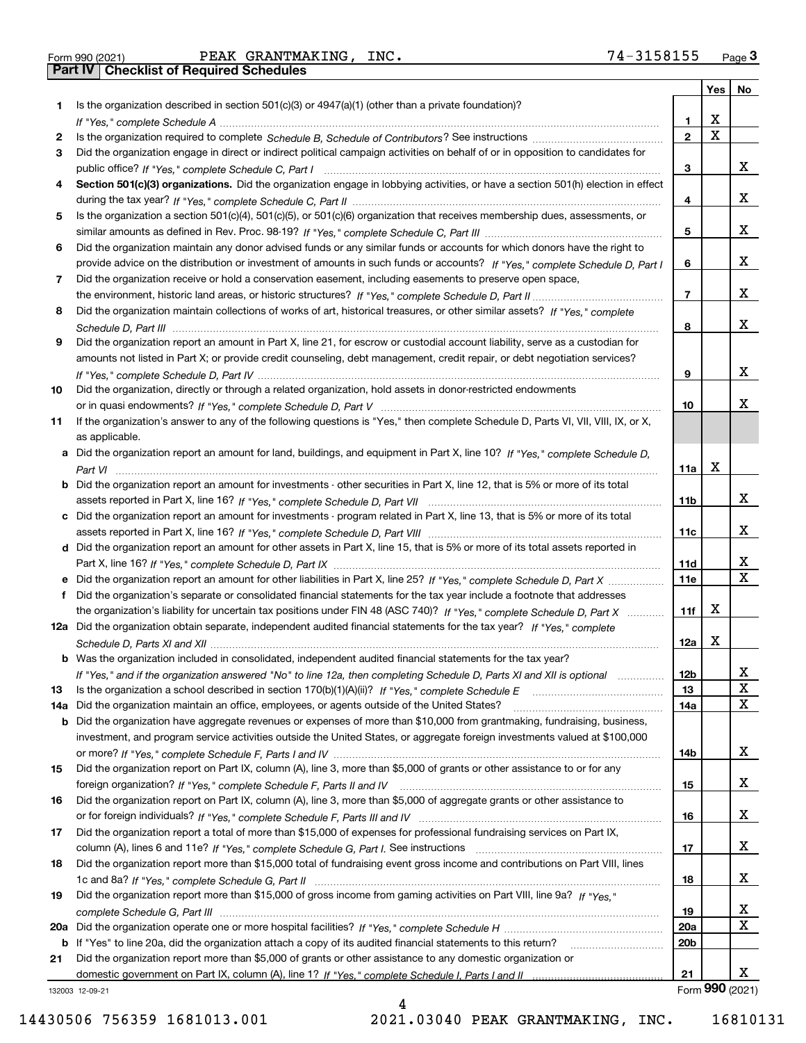Form 990 (2021) Page **3Part IV Checklist of Required Schedules** PEAK GRANTMAKING, INC. 74-3158155

|     |                                                                                                                                       |                 | Yes         | No              |
|-----|---------------------------------------------------------------------------------------------------------------------------------------|-----------------|-------------|-----------------|
| 1.  | Is the organization described in section $501(c)(3)$ or $4947(a)(1)$ (other than a private foundation)?                               |                 |             |                 |
|     | If "Yes," complete Schedule A measure and a control of the state of the state of the state of the state of the                        | 1               | х           |                 |
| 2   |                                                                                                                                       | $\mathbf{2}$    | $\mathbf X$ |                 |
| З   | Did the organization engage in direct or indirect political campaign activities on behalf of or in opposition to candidates for       |                 |             |                 |
|     |                                                                                                                                       | 3               |             | х               |
| 4   | Section 501(c)(3) organizations. Did the organization engage in lobbying activities, or have a section 501(h) election in effect      |                 |             |                 |
|     |                                                                                                                                       | 4               |             | х               |
| 5   | Is the organization a section 501(c)(4), 501(c)(5), or 501(c)(6) organization that receives membership dues, assessments, or          |                 |             |                 |
|     |                                                                                                                                       | 5               |             | х               |
| 6   | Did the organization maintain any donor advised funds or any similar funds or accounts for which donors have the right to             |                 |             |                 |
|     | provide advice on the distribution or investment of amounts in such funds or accounts? If "Yes," complete Schedule D, Part I          | 6               |             | x               |
| 7   | Did the organization receive or hold a conservation easement, including easements to preserve open space,                             |                 |             |                 |
|     |                                                                                                                                       | $\overline{7}$  |             | x               |
| 8   | Did the organization maintain collections of works of art, historical treasures, or other similar assets? If "Yes," complete          |                 |             |                 |
|     |                                                                                                                                       | 8               |             | x               |
| 9   | Did the organization report an amount in Part X, line 21, for escrow or custodial account liability, serve as a custodian for         |                 |             |                 |
|     | amounts not listed in Part X; or provide credit counseling, debt management, credit repair, or debt negotiation services?             |                 |             |                 |
|     |                                                                                                                                       | 9               |             | х               |
|     |                                                                                                                                       |                 |             |                 |
| 10  | Did the organization, directly or through a related organization, hold assets in donor-restricted endowments                          |                 |             | x               |
|     |                                                                                                                                       | 10              |             |                 |
| 11  | If the organization's answer to any of the following questions is "Yes," then complete Schedule D, Parts VI, VII, VIII, IX, or X,     |                 |             |                 |
|     | as applicable.                                                                                                                        |                 |             |                 |
|     | a Did the organization report an amount for land, buildings, and equipment in Part X, line 10? If "Yes," complete Schedule D,         |                 |             |                 |
|     |                                                                                                                                       | 11a             | X           |                 |
|     | <b>b</b> Did the organization report an amount for investments - other securities in Part X, line 12, that is 5% or more of its total |                 |             |                 |
|     |                                                                                                                                       | 11b             |             | x               |
|     | c Did the organization report an amount for investments - program related in Part X, line 13, that is 5% or more of its total         |                 |             |                 |
|     |                                                                                                                                       | 11c             |             | X               |
|     | d Did the organization report an amount for other assets in Part X, line 15, that is 5% or more of its total assets reported in       |                 |             |                 |
|     |                                                                                                                                       | 11d             |             | x               |
|     | e Did the organization report an amount for other liabilities in Part X, line 25? If "Yes," complete Schedule D, Part X               | 11e             |             | $\mathbf X$     |
| f   | Did the organization's separate or consolidated financial statements for the tax year include a footnote that addresses               |                 |             |                 |
|     | the organization's liability for uncertain tax positions under FIN 48 (ASC 740)? If "Yes," complete Schedule D, Part X                | 11f             | X           |                 |
|     | 12a Did the organization obtain separate, independent audited financial statements for the tax year? If "Yes," complete               |                 |             |                 |
|     |                                                                                                                                       | 12a             | X           |                 |
|     | <b>b</b> Was the organization included in consolidated, independent audited financial statements for the tax year?                    |                 |             |                 |
|     | If "Yes," and if the organization answered "No" to line 12a, then completing Schedule D, Parts XI and XII is optional                 | 12 <sub>b</sub> |             |                 |
| 13  | Is the organization a school described in section 170(b)(1)(A)(ii)? If "Yes," complete Schedule E                                     | 13              |             | $\mathbf X$     |
| 14a | Did the organization maintain an office, employees, or agents outside of the United States?                                           | 14a             |             | x               |
| b   | Did the organization have aggregate revenues or expenses of more than \$10,000 from grantmaking, fundraising, business,               |                 |             |                 |
|     | investment, and program service activities outside the United States, or aggregate foreign investments valued at \$100,000            |                 |             |                 |
|     |                                                                                                                                       | 14b             |             | x               |
| 15  | Did the organization report on Part IX, column (A), line 3, more than \$5,000 of grants or other assistance to or for any             |                 |             |                 |
|     |                                                                                                                                       | 15              |             | x               |
| 16  | Did the organization report on Part IX, column (A), line 3, more than \$5,000 of aggregate grants or other assistance to              |                 |             |                 |
|     |                                                                                                                                       | 16              |             | x               |
|     |                                                                                                                                       |                 |             |                 |
| 17  | Did the organization report a total of more than \$15,000 of expenses for professional fundraising services on Part IX,               |                 |             | x               |
|     |                                                                                                                                       | 17              |             |                 |
| 18  | Did the organization report more than \$15,000 total of fundraising event gross income and contributions on Part VIII, lines          |                 |             |                 |
|     |                                                                                                                                       | 18              |             | x               |
| 19  | Did the organization report more than \$15,000 of gross income from gaming activities on Part VIII, line 9a? If "Yes."                |                 |             |                 |
|     |                                                                                                                                       | 19              |             | x               |
|     |                                                                                                                                       | 20a             |             | X               |
|     | b If "Yes" to line 20a, did the organization attach a copy of its audited financial statements to this return?                        | 20 <sub>b</sub> |             |                 |
| 21  | Did the organization report more than \$5,000 of grants or other assistance to any domestic organization or                           |                 |             |                 |
|     |                                                                                                                                       | 21              |             | х               |
|     | 132003 12-09-21                                                                                                                       |                 |             | Form 990 (2021) |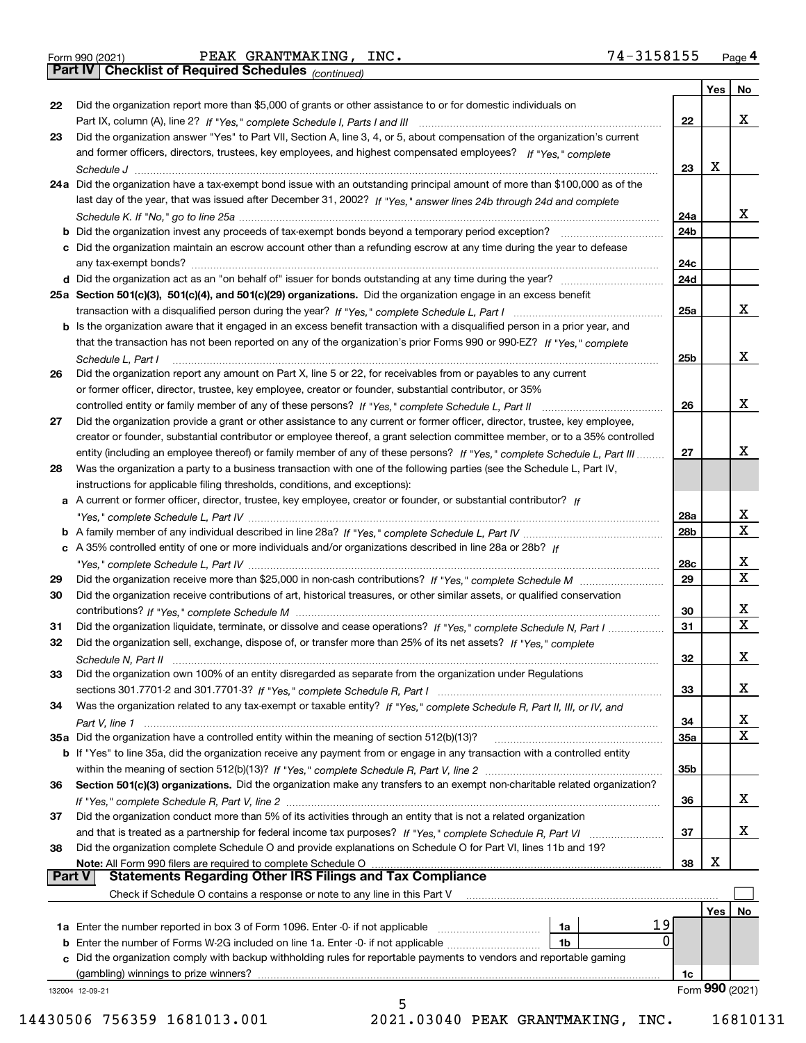*(continued)*

|               |                                                                                                                                    |     | Yes | No               |  |  |  |
|---------------|------------------------------------------------------------------------------------------------------------------------------------|-----|-----|------------------|--|--|--|
| 22            | Did the organization report more than \$5,000 of grants or other assistance to or for domestic individuals on                      |     |     |                  |  |  |  |
|               |                                                                                                                                    | 22  |     | x                |  |  |  |
| 23            | Did the organization answer "Yes" to Part VII, Section A, line 3, 4, or 5, about compensation of the organization's current        |     |     |                  |  |  |  |
|               | and former officers, directors, trustees, key employees, and highest compensated employees? If "Yes," complete                     |     |     |                  |  |  |  |
|               | Schedule J                                                                                                                         | 23  | x   |                  |  |  |  |
|               | 24a Did the organization have a tax-exempt bond issue with an outstanding principal amount of more than \$100,000 as of the        |     |     |                  |  |  |  |
|               | last day of the year, that was issued after December 31, 2002? If "Yes," answer lines 24b through 24d and complete                 |     |     |                  |  |  |  |
|               |                                                                                                                                    | 24a |     | x                |  |  |  |
|               | <b>b</b> Did the organization invest any proceeds of tax-exempt bonds beyond a temporary period exception?                         | 24b |     |                  |  |  |  |
|               | c Did the organization maintain an escrow account other than a refunding escrow at any time during the year to defease             |     |     |                  |  |  |  |
|               |                                                                                                                                    | 24c |     |                  |  |  |  |
|               | d Did the organization act as an "on behalf of" issuer for bonds outstanding at any time during the year?                          | 24d |     |                  |  |  |  |
|               | 25a Section 501(c)(3), 501(c)(4), and 501(c)(29) organizations. Did the organization engage in an excess benefit                   |     |     |                  |  |  |  |
|               |                                                                                                                                    | 25a |     | x                |  |  |  |
|               | b Is the organization aware that it engaged in an excess benefit transaction with a disqualified person in a prior year, and       |     |     |                  |  |  |  |
|               | that the transaction has not been reported on any of the organization's prior Forms 990 or 990-EZ? If "Yes," complete              |     |     |                  |  |  |  |
|               | Schedule L. Part I                                                                                                                 | 25b |     | x                |  |  |  |
| 26            | Did the organization report any amount on Part X, line 5 or 22, for receivables from or payables to any current                    |     |     |                  |  |  |  |
|               | or former officer, director, trustee, key employee, creator or founder, substantial contributor, or 35%                            |     |     |                  |  |  |  |
|               |                                                                                                                                    | 26  |     | x                |  |  |  |
| 27            | Did the organization provide a grant or other assistance to any current or former officer, director, trustee, key employee,        |     |     |                  |  |  |  |
|               | creator or founder, substantial contributor or employee thereof, a grant selection committee member, or to a 35% controlled        |     |     |                  |  |  |  |
|               | entity (including an employee thereof) or family member of any of these persons? If "Yes," complete Schedule L, Part III           |     |     |                  |  |  |  |
| 28            | Was the organization a party to a business transaction with one of the following parties (see the Schedule L, Part IV,             |     |     |                  |  |  |  |
|               | instructions for applicable filing thresholds, conditions, and exceptions):                                                        |     |     |                  |  |  |  |
|               | a A current or former officer, director, trustee, key employee, creator or founder, or substantial contributor? If                 |     |     |                  |  |  |  |
|               |                                                                                                                                    | 28a |     | x<br>$\mathbf X$ |  |  |  |
|               |                                                                                                                                    |     |     |                  |  |  |  |
|               | c A 35% controlled entity of one or more individuals and/or organizations described in line 28a or 28b? If                         |     |     |                  |  |  |  |
|               |                                                                                                                                    | 28c |     | х                |  |  |  |
| 29            |                                                                                                                                    | 29  |     | $\mathbf X$      |  |  |  |
| 30            | Did the organization receive contributions of art, historical treasures, or other similar assets, or qualified conservation        |     |     |                  |  |  |  |
|               |                                                                                                                                    | 30  |     | x                |  |  |  |
| 31            | Did the organization liquidate, terminate, or dissolve and cease operations? If "Yes," complete Schedule N, Part I                 | 31  |     | $\mathbf x$      |  |  |  |
| 32            | Did the organization sell, exchange, dispose of, or transfer more than 25% of its net assets? If "Yes," complete                   |     |     |                  |  |  |  |
|               |                                                                                                                                    | 32  |     | х                |  |  |  |
| 33            | Did the organization own 100% of an entity disregarded as separate from the organization under Regulations                         |     |     |                  |  |  |  |
|               |                                                                                                                                    | 33  |     | х                |  |  |  |
| 34            | Was the organization related to any tax-exempt or taxable entity? If "Yes," complete Schedule R, Part II, III, or IV, and          |     |     |                  |  |  |  |
|               |                                                                                                                                    | 34  |     | X                |  |  |  |
|               | 35a Did the organization have a controlled entity within the meaning of section 512(b)(13)?                                        | 35a |     | X                |  |  |  |
|               | <b>b</b> If "Yes" to line 35a, did the organization receive any payment from or engage in any transaction with a controlled entity |     |     |                  |  |  |  |
|               |                                                                                                                                    | 35b |     |                  |  |  |  |
| 36            | Section 501(c)(3) organizations. Did the organization make any transfers to an exempt non-charitable related organization?         |     |     |                  |  |  |  |
|               |                                                                                                                                    | 36  |     | x                |  |  |  |
| 37            | Did the organization conduct more than 5% of its activities through an entity that is not a related organization                   |     |     |                  |  |  |  |
|               |                                                                                                                                    | 37  |     | x                |  |  |  |
| 38            | Did the organization complete Schedule O and provide explanations on Schedule O for Part VI, lines 11b and 19?                     |     |     |                  |  |  |  |
|               | Note: All Form 990 filers are required to complete Schedule O                                                                      | 38  | X   |                  |  |  |  |
| <b>Part V</b> | <b>Statements Regarding Other IRS Filings and Tax Compliance</b>                                                                   |     |     |                  |  |  |  |
|               | Check if Schedule O contains a response or note to any line in this Part V                                                         |     |     |                  |  |  |  |
|               |                                                                                                                                    |     | Yes | No               |  |  |  |
|               | 19<br><b>1a</b> Enter the number reported in box 3 of Form 1096. Enter 0 if not applicable <i>mummumumum</i><br>1a                 |     |     |                  |  |  |  |
|               | 0<br><b>b</b> Enter the number of Forms W-2G included on line 1a. Enter -0- if not applicable <i>manumumum</i><br>1b               |     |     |                  |  |  |  |
|               | c Did the organization comply with backup withholding rules for reportable payments to vendors and reportable gaming               |     |     |                  |  |  |  |
|               | (gambling) winnings to prize winners?                                                                                              | 1c  |     |                  |  |  |  |
|               | 132004 12-09-21                                                                                                                    |     |     | Form 990 (2021)  |  |  |  |
|               | 5                                                                                                                                  |     |     |                  |  |  |  |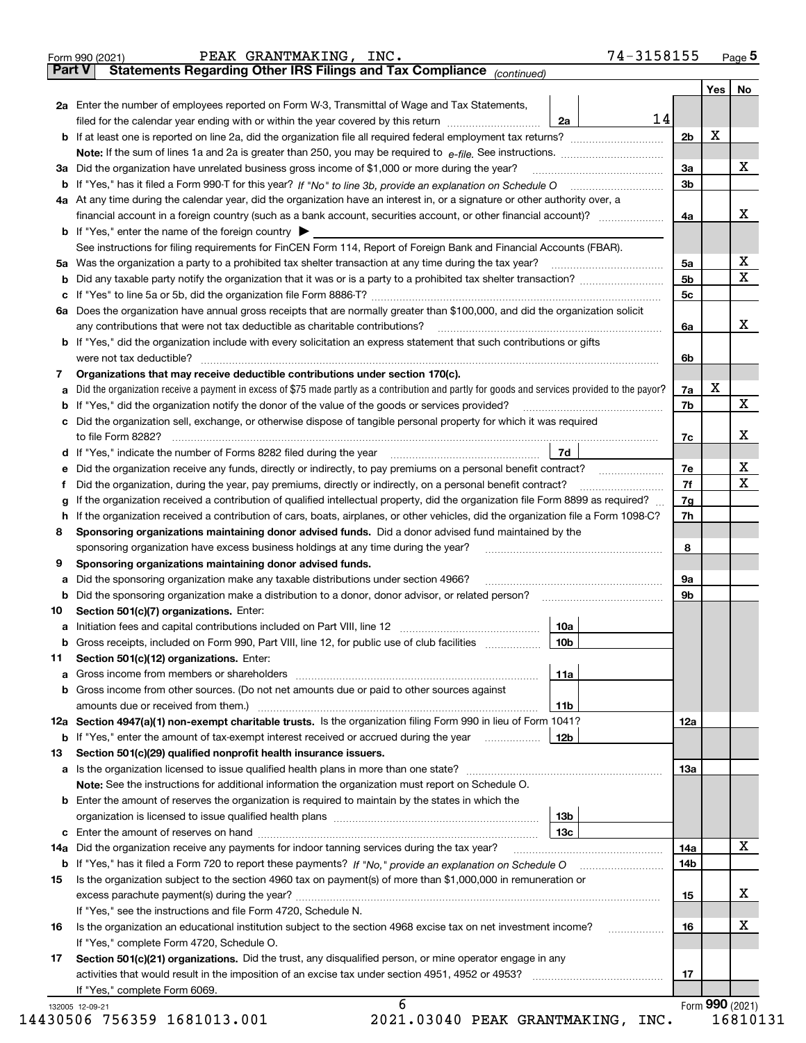|         | Statements Regarding Other IRS Filings and Tax Compliance (continued)                                                                                    |     |    |                |     |                         |
|---------|----------------------------------------------------------------------------------------------------------------------------------------------------------|-----|----|----------------|-----|-------------------------|
|         |                                                                                                                                                          |     |    |                | Yes | No                      |
|         | 2a Enter the number of employees reported on Form W-3, Transmittal of Wage and Tax Statements,                                                           |     | 14 |                |     |                         |
|         | filed for the calendar year ending with or within the year covered by this return                                                                        | 2a  |    |                | x   |                         |
|         |                                                                                                                                                          |     |    | 2 <sub>b</sub> |     |                         |
|         |                                                                                                                                                          |     |    |                |     |                         |
|         | 3a Did the organization have unrelated business gross income of \$1,000 or more during the year?                                                         |     |    | 3a             |     | X                       |
|         |                                                                                                                                                          |     |    | 3 <sub>b</sub> |     |                         |
|         | 4a At any time during the calendar year, did the organization have an interest in, or a signature or other authority over, a                             |     |    |                |     |                         |
|         | financial account in a foreign country (such as a bank account, securities account, or other financial account)?                                         |     |    | 4a             |     | х                       |
|         | <b>b</b> If "Yes," enter the name of the foreign country $\blacktriangleright$                                                                           |     |    |                |     |                         |
|         | See instructions for filing requirements for FinCEN Form 114, Report of Foreign Bank and Financial Accounts (FBAR).                                      |     |    |                |     |                         |
|         |                                                                                                                                                          |     |    | 5a             |     | х                       |
| b       |                                                                                                                                                          |     |    | 5b             |     | $\overline{\mathbf{X}}$ |
|         |                                                                                                                                                          |     |    | 5c             |     |                         |
|         | 6a Does the organization have annual gross receipts that are normally greater than \$100,000, and did the organization solicit                           |     |    |                |     |                         |
|         | any contributions that were not tax deductible as charitable contributions?                                                                              |     |    | 6a             |     | x                       |
|         | <b>b</b> If "Yes," did the organization include with every solicitation an express statement that such contributions or gifts                            |     |    |                |     |                         |
|         |                                                                                                                                                          |     |    | 6b             |     |                         |
| 7       | Organizations that may receive deductible contributions under section 170(c).                                                                            |     |    |                |     |                         |
| а       | Did the organization receive a payment in excess of \$75 made partly as a contribution and partly for goods and services provided to the payor?          |     |    | 7a             | х   |                         |
| b       | If "Yes," did the organization notify the donor of the value of the goods or services provided?                                                          |     |    | 7b             |     | X                       |
|         | c Did the organization sell, exchange, or otherwise dispose of tangible personal property for which it was required                                      |     |    |                |     |                         |
|         |                                                                                                                                                          |     |    | 7c             |     | х                       |
|         | d If "Yes," indicate the number of Forms 8282 filed during the year [11] [11] No. 2010 [12] Henry Manuscover, 1                                          | 7d  |    |                |     |                         |
| е       | Did the organization receive any funds, directly or indirectly, to pay premiums on a personal benefit contract?                                          |     |    | 7e             |     | х                       |
| f       | Did the organization, during the year, pay premiums, directly or indirectly, on a personal benefit contract?                                             |     |    | 7f             |     | $\mathbf X$             |
| g       | If the organization received a contribution of qualified intellectual property, did the organization file Form 8899 as required?                         |     |    | 7g             |     |                         |
| h       | If the organization received a contribution of cars, boats, airplanes, or other vehicles, did the organization file a Form 1098-C?                       |     |    | 7h             |     |                         |
| 8       | Sponsoring organizations maintaining donor advised funds. Did a donor advised fund maintained by the                                                     |     |    |                |     |                         |
|         | sponsoring organization have excess business holdings at any time during the year?                                                                       |     |    | 8              |     |                         |
| 9       | Sponsoring organizations maintaining donor advised funds.                                                                                                |     |    |                |     |                         |
|         | Did the sponsoring organization make any taxable distributions under section 4966?                                                                       |     |    | 9a             |     |                         |
| а       |                                                                                                                                                          |     |    | 9b             |     |                         |
| b<br>10 | Did the sponsoring organization make a distribution to a donor, donor advisor, or related person? [[[[[[[[[[[<br>Section 501(c)(7) organizations. Enter: |     |    |                |     |                         |
|         |                                                                                                                                                          | 10a |    |                |     |                         |
|         | Gross receipts, included on Form 990, Part VIII, line 12, for public use of club facilities                                                              | 10b |    |                |     |                         |
|         |                                                                                                                                                          |     |    |                |     |                         |
| 11      | Section 501(c)(12) organizations. Enter:                                                                                                                 |     |    |                |     |                         |
|         |                                                                                                                                                          | 11a |    |                |     |                         |
|         | b Gross income from other sources. (Do not net amounts due or paid to other sources against                                                              |     |    |                |     |                         |
|         |                                                                                                                                                          | 11b |    |                |     |                         |
|         | 12a Section 4947(a)(1) non-exempt charitable trusts. Is the organization filing Form 990 in lieu of Form 1041?                                           |     |    | 12a            |     |                         |
|         | <b>b</b> If "Yes," enter the amount of tax-exempt interest received or accrued during the year                                                           | 12b |    |                |     |                         |
| 13      | Section 501(c)(29) qualified nonprofit health insurance issuers.                                                                                         |     |    |                |     |                         |
|         | a Is the organization licensed to issue qualified health plans in more than one state?                                                                   |     |    | 13а            |     |                         |
|         | Note: See the instructions for additional information the organization must report on Schedule O.                                                        |     |    |                |     |                         |
|         | <b>b</b> Enter the amount of reserves the organization is required to maintain by the states in which the                                                |     |    |                |     |                         |
|         |                                                                                                                                                          | 13b |    |                |     |                         |
|         |                                                                                                                                                          | 13с |    |                |     |                         |
|         | 14a Did the organization receive any payments for indoor tanning services during the tax year?                                                           |     |    | 14a            |     | X                       |
|         |                                                                                                                                                          |     |    | 14b            |     |                         |
| 15      | Is the organization subject to the section 4960 tax on payment(s) of more than \$1,000,000 in remuneration or                                            |     |    |                |     |                         |
|         |                                                                                                                                                          |     |    | 15             |     | x                       |
|         | If "Yes," see the instructions and file Form 4720, Schedule N.                                                                                           |     |    |                |     |                         |
| 16      | Is the organization an educational institution subject to the section 4968 excise tax on net investment income?                                          |     |    | 16             |     | х                       |
|         | If "Yes," complete Form 4720, Schedule O.                                                                                                                |     |    |                |     |                         |
| 17      | Section 501(c)(21) organizations. Did the trust, any disqualified person, or mine operator engage in any                                                 |     |    |                |     |                         |
|         |                                                                                                                                                          |     |    | 17             |     |                         |
|         | If "Yes," complete Form 6069.                                                                                                                            |     |    |                |     |                         |
|         |                                                                                                                                                          |     |    |                |     | Form 990 (2021)         |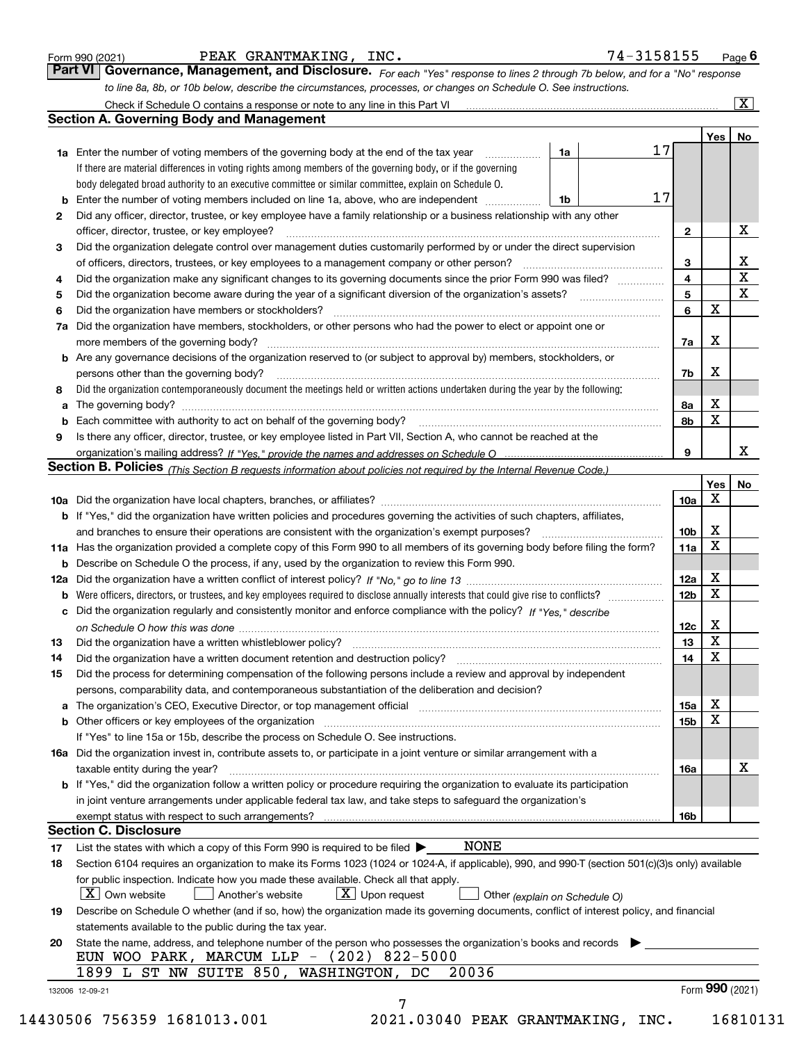|  | Form 990 (2021) |
|--|-----------------|
|  |                 |

|  | PEAK GRANTMAKING, | INC |
|--|-------------------|-----|
|--|-------------------|-----|

| Form 990 (2021) |                                                                             | PEAK GRANTMAKING, INC. | 74-3158155                                                                                                                     | $P$ age $6$             |
|-----------------|-----------------------------------------------------------------------------|------------------------|--------------------------------------------------------------------------------------------------------------------------------|-------------------------|
|                 |                                                                             |                        | Part VI   Governance, Management, and Disclosure. For each "Yes" response to lines 2 through 7b below, and for a "No" response |                         |
|                 |                                                                             |                        | to line 8a, 8b, or 10b below, describe the circumstances, processes, or changes on Schedule O. See instructions.               |                         |
|                 | Check if Schedule O contains a response or note to any line in this Part VI |                        |                                                                                                                                | $\overline{\mathbf{X}}$ |

|    |                                                                                                                                                                                                                   |    | 17 |                              | Yes             | No                      |
|----|-------------------------------------------------------------------------------------------------------------------------------------------------------------------------------------------------------------------|----|----|------------------------------|-----------------|-------------------------|
|    | <b>1a</b> Enter the number of voting members of the governing body at the end of the tax year<br>.<br>If there are material differences in voting rights among members of the governing body, or if the governing | 1a |    |                              |                 |                         |
|    | body delegated broad authority to an executive committee or similar committee, explain on Schedule O.                                                                                                             |    |    |                              |                 |                         |
|    | Enter the number of voting members included on line 1a, above, who are independent                                                                                                                                | 1b | 17 |                              |                 |                         |
| b  | Did any officer, director, trustee, or key employee have a family relationship or a business relationship with any other                                                                                          |    |    |                              |                 |                         |
| 2  | officer, director, trustee, or key employee?                                                                                                                                                                      |    |    |                              |                 | X                       |
|    | Did the organization delegate control over management duties customarily performed by or under the direct supervision                                                                                             |    |    | $\mathbf{2}$                 |                 |                         |
| 3  |                                                                                                                                                                                                                   |    |    |                              |                 | X                       |
|    | Did the organization make any significant changes to its governing documents since the prior Form 990 was filed?                                                                                                  |    |    | 3<br>$\overline{\mathbf{4}}$ |                 | $\overline{\mathbf{x}}$ |
| 4  |                                                                                                                                                                                                                   |    |    | 5                            |                 | $\mathbf x$             |
| 5  |                                                                                                                                                                                                                   |    |    | 6                            | X               |                         |
| 6  | Did the organization have members or stockholders?                                                                                                                                                                |    |    |                              |                 |                         |
| 7a | Did the organization have members, stockholders, or other persons who had the power to elect or appoint one or                                                                                                    |    |    |                              | x               |                         |
|    |                                                                                                                                                                                                                   |    |    | 7a                           |                 |                         |
|    | <b>b</b> Are any governance decisions of the organization reserved to (or subject to approval by) members, stockholders, or                                                                                       |    |    |                              |                 |                         |
|    | persons other than the governing body?                                                                                                                                                                            |    |    | 7b                           | X               |                         |
| 8  | Did the organization contemporaneously document the meetings held or written actions undertaken during the year by the following:                                                                                 |    |    |                              | X               |                         |
| a  |                                                                                                                                                                                                                   |    |    | 8a                           |                 |                         |
| b  |                                                                                                                                                                                                                   |    |    | 8b                           | X               |                         |
| 9  | Is there any officer, director, trustee, or key employee listed in Part VII, Section A, who cannot be reached at the                                                                                              |    |    |                              |                 |                         |
|    |                                                                                                                                                                                                                   |    |    | 9                            |                 | x                       |
|    | <b>Section B. Policies</b> (This Section B requests information about policies not required by the Internal Revenue Code.)                                                                                        |    |    |                              |                 |                         |
|    |                                                                                                                                                                                                                   |    |    |                              | Yes             | No                      |
|    |                                                                                                                                                                                                                   |    |    | 10a                          | X               |                         |
|    | <b>b</b> If "Yes," did the organization have written policies and procedures governing the activities of such chapters, affiliates,                                                                               |    |    |                              |                 |                         |
|    |                                                                                                                                                                                                                   |    |    | 10 <sub>b</sub>              | Х               |                         |
|    | 11a Has the organization provided a complete copy of this Form 990 to all members of its governing body before filing the form?                                                                                   |    |    | 11a                          | X               |                         |
|    | <b>b</b> Describe on Schedule O the process, if any, used by the organization to review this Form 990.                                                                                                            |    |    |                              |                 |                         |
|    |                                                                                                                                                                                                                   |    |    | 12a                          | X               |                         |
| b  |                                                                                                                                                                                                                   |    |    | 12b                          | X               |                         |
|    | c Did the organization regularly and consistently monitor and enforce compliance with the policy? If "Yes." describe                                                                                              |    |    |                              |                 |                         |
|    |                                                                                                                                                                                                                   |    |    | 12c                          | Х               |                         |
| 13 |                                                                                                                                                                                                                   |    |    | 13                           | X               |                         |
| 14 | Did the organization have a written document retention and destruction policy? manufactured and the organization have a written document retention and destruction policy?                                        |    |    | 14                           | X               |                         |
| 15 | Did the process for determining compensation of the following persons include a review and approval by independent                                                                                                |    |    |                              |                 |                         |
|    | persons, comparability data, and contemporaneous substantiation of the deliberation and decision?                                                                                                                 |    |    |                              |                 |                         |
|    |                                                                                                                                                                                                                   |    |    | <b>15a</b>                   | X               |                         |
|    |                                                                                                                                                                                                                   |    |    | 15b                          | X               |                         |
|    | If "Yes" to line 15a or 15b, describe the process on Schedule O. See instructions.                                                                                                                                |    |    |                              |                 |                         |
|    | 16a Did the organization invest in, contribute assets to, or participate in a joint venture or similar arrangement with a                                                                                         |    |    |                              |                 |                         |
|    | taxable entity during the year?                                                                                                                                                                                   |    |    | 16a                          |                 | X                       |
|    | b If "Yes," did the organization follow a written policy or procedure requiring the organization to evaluate its participation                                                                                    |    |    |                              |                 |                         |
|    | in joint venture arrangements under applicable federal tax law, and take steps to safeguard the organization's                                                                                                    |    |    |                              |                 |                         |
|    | exempt status with respect to such arrangements?                                                                                                                                                                  |    |    | 16b                          |                 |                         |
|    | <b>Section C. Disclosure</b>                                                                                                                                                                                      |    |    |                              |                 |                         |
| 17 | <b>NONE</b><br>List the states with which a copy of this Form 990 is required to be filed $\blacktriangleright$                                                                                                   |    |    |                              |                 |                         |
| 18 | Section 6104 requires an organization to make its Forms 1023 (1024 or 1024-A, if applicable), 990, and 990-T (section 501(c)(3)s only) available                                                                  |    |    |                              |                 |                         |
|    | for public inspection. Indicate how you made these available. Check all that apply.                                                                                                                               |    |    |                              |                 |                         |
|    | $\boxed{\text{X}}$ Upon request<br>$\mid$ $\rm X \mid$ Own website<br>Another's website<br>Other (explain on Schedule O)                                                                                          |    |    |                              |                 |                         |
| 19 | Describe on Schedule O whether (and if so, how) the organization made its governing documents, conflict of interest policy, and financial                                                                         |    |    |                              |                 |                         |
|    | statements available to the public during the tax year.                                                                                                                                                           |    |    |                              |                 |                         |
| 20 | State the name, address, and telephone number of the person who possesses the organization's books and records                                                                                                    |    |    |                              |                 |                         |
|    | EUN WOO PARK, MARCUM LLP $-$ (202) 822-5000                                                                                                                                                                       |    |    |                              |                 |                         |
|    | 1899 L ST NW SUITE 850, WASHINGTON, DC<br>20036                                                                                                                                                                   |    |    |                              |                 |                         |
|    | 132006 12-09-21                                                                                                                                                                                                   |    |    |                              | Form 990 (2021) |                         |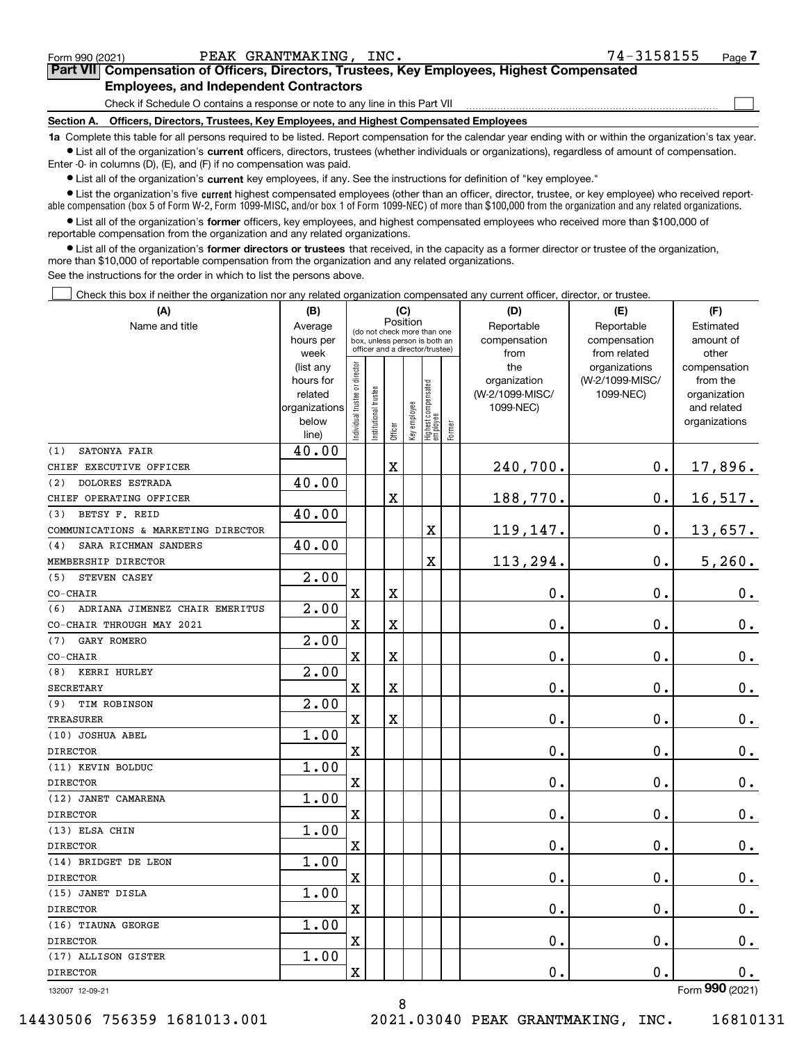| Form 990 (2021) | PEAK GRANTMAKING, INC.                                                                                                                                     | 74-3158155 | Page |
|-----------------|------------------------------------------------------------------------------------------------------------------------------------------------------------|------------|------|
|                 | Part VII Compensation of Officers, Directors, Trustees, Key Employees, Highest Compensated                                                                 |            |      |
|                 | <b>Employees, and Independent Contractors</b>                                                                                                              |            |      |
|                 | Check if Schedule O contains a response or note to any line in this Part VII                                                                               |            |      |
| Section A.      | Officers, Directors, Trustees, Key Employees, and Highest Compensated Employees                                                                            |            |      |
|                 | 1a Complete this table for all persons required to be listed. Report compensation for the calendar year ending with or within the organization's tax year. |            |      |

**1a •** List all of the organization's current officers, directors, trustees (whether individuals or organizations), regardless of amount of compensation.

Enter -0- in columns (D), (E), and (F) if no compensation was paid.

 $\bullet$  List all of the organization's  $\sf current$  key employees, if any. See the instructions for definition of "key employee."

**•** List the organization's five current highest compensated employees (other than an officer, director, trustee, or key employee) who received reportable compensation (box 5 of Form W-2, Form 1099-MISC, and/or box 1 of Form 1099-NEC) of more than \$100,000 from the organization and any related organizations.

**•** List all of the organization's former officers, key employees, and highest compensated employees who received more than \$100,000 of reportable compensation from the organization and any related organizations.

**former directors or trustees**  ¥ List all of the organization's that received, in the capacity as a former director or trustee of the organization, more than \$10,000 of reportable compensation from the organization and any related organizations.

See the instructions for the order in which to list the persons above.

Check this box if neither the organization nor any related organization compensated any current officer, director, or trustee.  $\mathcal{L}^{\text{max}}$ 

| (A)                                   | (B)               |                                |                                                                  | (C)         |              |                                  |        | (D)             | (E)                           | (F)                   |
|---------------------------------------|-------------------|--------------------------------|------------------------------------------------------------------|-------------|--------------|----------------------------------|--------|-----------------|-------------------------------|-----------------------|
| Name and title                        | Average           |                                | (do not check more than one                                      |             | Position     |                                  |        | Reportable      | Reportable                    | Estimated             |
|                                       | hours per         |                                | box, unless person is both an<br>officer and a director/trustee) |             |              |                                  |        | compensation    | compensation                  | amount of             |
|                                       | week<br>(list any |                                |                                                                  |             |              |                                  |        | from<br>the     | from related<br>organizations | other<br>compensation |
|                                       | hours for         | Individual trustee or director |                                                                  |             |              |                                  |        | organization    | (W-2/1099-MISC/               | from the              |
|                                       | related           |                                |                                                                  |             |              |                                  |        | (W-2/1099-MISC/ | 1099-NEC)                     | organization          |
|                                       | organizations     |                                | Institutional trustee                                            |             |              |                                  |        | 1099-NEC)       |                               | and related           |
|                                       | below             |                                |                                                                  |             | Key employee |                                  |        |                 |                               | organizations         |
|                                       | line)             |                                |                                                                  | Officer     |              | Highest compensated<br> employee | Former |                 |                               |                       |
| SATONYA FAIR<br>(1)                   | 40.00             |                                |                                                                  |             |              |                                  |        |                 |                               |                       |
| CHIEF EXECUTIVE OFFICER               |                   |                                |                                                                  | $\rm X$     |              |                                  |        | 240,700.        | $0$ .                         | 17,896.               |
| <b>DOLORES ESTRADA</b><br>(2)         | 40.00             |                                |                                                                  |             |              |                                  |        |                 |                               |                       |
| CHIEF OPERATING OFFICER               |                   |                                |                                                                  | X           |              |                                  |        | 188,770.        | $\mathbf 0$ .                 | 16,517.               |
| BETSY F. REID<br>(3)                  | 40.00             |                                |                                                                  |             |              |                                  |        |                 |                               |                       |
| COMMUNICATIONS & MARKETING DIRECTOR   |                   |                                |                                                                  |             |              | X                                |        | 119,147.        | 0.                            | 13,657.               |
| SARA RICHMAN SANDERS<br>(4)           | 40.00             |                                |                                                                  |             |              |                                  |        |                 |                               |                       |
| MEMBERSHIP DIRECTOR                   |                   |                                |                                                                  |             |              | X                                |        | 113,294.        | 0.                            | 5,260.                |
| (5)<br>STEVEN CASEY                   | 2.00              |                                |                                                                  |             |              |                                  |        |                 |                               |                       |
| CO-CHAIR                              |                   | $\mathbf x$                    |                                                                  | X           |              |                                  |        | 0.              | 0.                            | 0.                    |
| ADRIANA JIMENEZ CHAIR EMERITUS<br>(6) | 2.00              |                                |                                                                  |             |              |                                  |        |                 |                               |                       |
| CO-CHAIR THROUGH MAY 2021             |                   | $\mathbf x$                    |                                                                  | X           |              |                                  |        | $\mathbf 0$ .   | 0.                            | $0_{.}$               |
| GARY ROMERO<br>(7)                    | 2.00              |                                |                                                                  |             |              |                                  |        |                 |                               |                       |
| CO-CHAIR                              |                   | $\mathbf x$                    |                                                                  | X           |              |                                  |        | $\mathbf 0$ .   | $\mathbf 0$ .                 | $0_{.}$               |
| KERRI HURLEY<br>(8)                   | $\overline{2.00}$ |                                |                                                                  |             |              |                                  |        |                 |                               |                       |
| <b>SECRETARY</b>                      |                   | X                              |                                                                  | X           |              |                                  |        | $\mathbf 0$ .   | $\mathbf 0$ .                 | 0.                    |
| TIM ROBINSON<br>(9)                   | 2.00              |                                |                                                                  |             |              |                                  |        |                 |                               |                       |
| TREASURER                             |                   | X                              |                                                                  | $\mathbf X$ |              |                                  |        | $\mathbf 0$ .   | 0.                            | $\mathbf 0$ .         |
| (10) JOSHUA ABEL                      | 1.00              |                                |                                                                  |             |              |                                  |        |                 |                               |                       |
| <b>DIRECTOR</b>                       |                   | X                              |                                                                  |             |              |                                  |        | $\mathbf 0$ .   | 0.                            | 0.                    |
| (11) KEVIN BOLDUC                     | 1.00              |                                |                                                                  |             |              |                                  |        |                 |                               |                       |
| <b>DIRECTOR</b>                       |                   | $\mathbf x$                    |                                                                  |             |              |                                  |        | 0.              | 0.                            | 0.                    |
| (12) JANET CAMARENA                   | 1.00              |                                |                                                                  |             |              |                                  |        |                 |                               |                       |
| <b>DIRECTOR</b>                       |                   | X                              |                                                                  |             |              |                                  |        | $\mathbf 0$ .   | 0.                            | 0.                    |
| (13) ELSA CHIN                        | 1.00              |                                |                                                                  |             |              |                                  |        |                 |                               |                       |
| <b>DIRECTOR</b>                       |                   | $\mathbf x$                    |                                                                  |             |              |                                  |        | $\mathbf 0$ .   | 0.                            | $0$ .                 |
| (14) BRIDGET DE LEON                  | 1.00              |                                |                                                                  |             |              |                                  |        |                 |                               |                       |
| <b>DIRECTOR</b>                       |                   | X                              |                                                                  |             |              |                                  |        | $\mathbf 0$ .   | 0.                            | $0_{.}$               |
| (15) JANET DISLA                      | 1.00              |                                |                                                                  |             |              |                                  |        |                 |                               |                       |
| <b>DIRECTOR</b>                       |                   | X                              |                                                                  |             |              |                                  |        | $\mathbf 0$ .   | $\mathbf 0$ .                 | $\mathbf 0$ .         |
| (16) TIAUNA GEORGE                    | 1.00              |                                |                                                                  |             |              |                                  |        |                 |                               |                       |
| <b>DIRECTOR</b>                       |                   | $\mathbf x$                    |                                                                  |             |              |                                  |        | $\mathbf 0$ .   | $\mathbf 0$ .                 | 0.                    |
| (17) ALLISON GISTER                   | 1.00              |                                |                                                                  |             |              |                                  |        |                 |                               |                       |
| <b>DIRECTOR</b>                       |                   | X                              |                                                                  |             |              |                                  |        | $\mathbf 0$ .   | 0.                            | 0.                    |
| 132007 12-09-21                       |                   |                                |                                                                  |             |              |                                  |        |                 |                               | Form 990 (2021)       |

8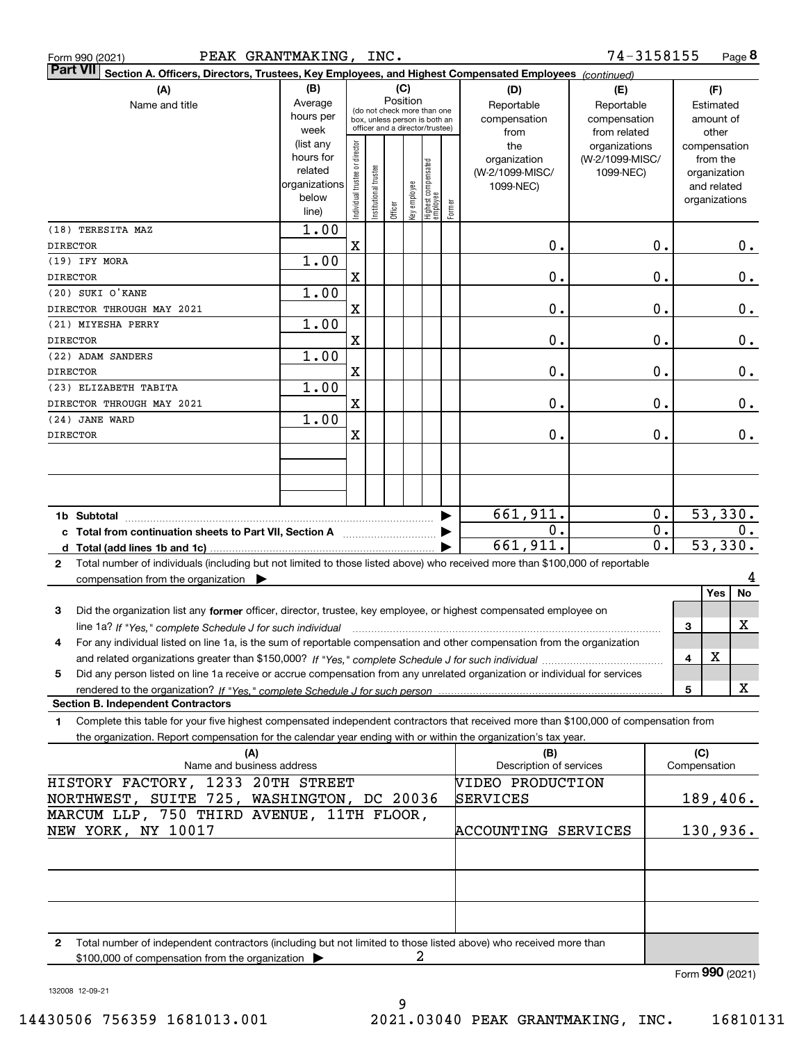|  | Form 990 (2021) |
|--|-----------------|
|  |                 |

| Part VII Section A. Officers, Directors, Trustees, Key Employees, and Highest Compensated Employees (continued)                              |                   |                                |                        |          |                         |                                                                  |        |                              |                                  |                  |                          |       |
|----------------------------------------------------------------------------------------------------------------------------------------------|-------------------|--------------------------------|------------------------|----------|-------------------------|------------------------------------------------------------------|--------|------------------------------|----------------------------------|------------------|--------------------------|-------|
| (A)                                                                                                                                          | (B)               |                                |                        | (C)      |                         |                                                                  |        | (D)                          | (E)                              |                  | (F)                      |       |
| Name and title                                                                                                                               | Average           |                                |                        | Position |                         | (do not check more than one                                      |        | Reportable                   | Reportable                       | Estimated        |                          |       |
|                                                                                                                                              | hours per         |                                |                        |          |                         | box, unless person is both an<br>officer and a director/trustee) |        | compensation<br>compensation |                                  |                  | amount of                |       |
|                                                                                                                                              | week<br>(list any |                                |                        |          |                         |                                                                  |        | from<br>from related         |                                  |                  | other                    |       |
|                                                                                                                                              | hours for         | Individual trustee or director |                        |          |                         |                                                                  |        | the<br>organization          | organizations<br>(W-2/1099-MISC/ |                  | compensation<br>from the |       |
|                                                                                                                                              | related           |                                |                        |          |                         |                                                                  |        | (W-2/1099-MISC/              | 1099-NEC)                        |                  | organization             |       |
|                                                                                                                                              | organizations     |                                |                        |          |                         |                                                                  |        | 1099-NEC)                    |                                  |                  | and related              |       |
|                                                                                                                                              | below             |                                | In stitutional trustee |          | key employee            |                                                                  |        |                              |                                  |                  | organizations            |       |
|                                                                                                                                              | line)             |                                |                        | Officer  |                         | Highest compensated<br>  employee                                | Former |                              |                                  |                  |                          |       |
| (18) TERESITA MAZ                                                                                                                            | 1.00              |                                |                        |          |                         |                                                                  |        |                              |                                  |                  |                          |       |
| <b>DIRECTOR</b>                                                                                                                              |                   | X                              |                        |          |                         |                                                                  |        | 0.                           |                                  | 0.               |                          | $0$ . |
| (19) IFY MORA                                                                                                                                | 1.00              |                                |                        |          |                         |                                                                  |        |                              |                                  |                  |                          |       |
| <b>DIRECTOR</b>                                                                                                                              |                   | $\mathbf X$                    |                        |          |                         |                                                                  |        | 0.                           |                                  | $0$ .            |                          | 0.    |
| (20) SUKI O'KANE                                                                                                                             | 1.00              |                                |                        |          |                         |                                                                  |        |                              |                                  |                  |                          |       |
| DIRECTOR THROUGH MAY 2021                                                                                                                    |                   | $\mathbf X$                    |                        |          |                         |                                                                  |        | 0.                           |                                  | 0.               |                          | 0.    |
| (21) MIYESHA PERRY                                                                                                                           | 1.00              |                                |                        |          |                         |                                                                  |        |                              |                                  |                  |                          |       |
| <b>DIRECTOR</b>                                                                                                                              |                   | X                              |                        |          |                         |                                                                  |        | 0.                           |                                  | 0.               |                          | 0.    |
| (22) ADAM SANDERS                                                                                                                            | 1.00              |                                |                        |          |                         |                                                                  |        |                              |                                  |                  |                          |       |
| <b>DIRECTOR</b>                                                                                                                              |                   | X                              |                        |          |                         |                                                                  |        | 0.                           |                                  | 0.               |                          | 0.    |
| (23) ELIZABETH TABITA                                                                                                                        | 1.00              |                                |                        |          |                         |                                                                  |        |                              |                                  |                  |                          |       |
| DIRECTOR THROUGH MAY 2021<br>(24) JANE WARD                                                                                                  |                   | $\mathbf X$                    |                        |          |                         |                                                                  |        | 0.                           |                                  | 0.               |                          | 0.    |
| <b>DIRECTOR</b>                                                                                                                              | 1.00              | X                              |                        |          |                         |                                                                  |        | 0.                           |                                  | 0.               |                          | 0.    |
|                                                                                                                                              |                   |                                |                        |          |                         |                                                                  |        |                              |                                  |                  |                          |       |
|                                                                                                                                              |                   |                                |                        |          |                         |                                                                  |        |                              |                                  |                  |                          |       |
|                                                                                                                                              |                   |                                |                        |          |                         |                                                                  |        |                              |                                  |                  |                          |       |
|                                                                                                                                              |                   |                                |                        |          |                         |                                                                  |        |                              |                                  |                  |                          |       |
| 1b Subtotal                                                                                                                                  |                   |                                |                        |          |                         |                                                                  |        | 661,911.                     |                                  | 0.               | 53,330.                  |       |
| c Total from continuation sheets to Part VII, Section A [111] [11] Contains the Total from Ref.                                              |                   |                                |                        |          |                         |                                                                  |        | $\mathbf 0$ .                |                                  | $\overline{0}$ . |                          | 0.    |
|                                                                                                                                              |                   |                                |                        |          |                         |                                                                  |        | 661,911.                     |                                  | $\overline{0}$ . | 53,330.                  |       |
| Total number of individuals (including but not limited to those listed above) who received more than \$100,000 of reportable<br>$\mathbf{2}$ |                   |                                |                        |          |                         |                                                                  |        |                              |                                  |                  |                          |       |
| compensation from the organization $\blacktriangleright$                                                                                     |                   |                                |                        |          |                         |                                                                  |        |                              |                                  |                  |                          | 4     |
|                                                                                                                                              |                   |                                |                        |          |                         |                                                                  |        |                              |                                  |                  | <b>Yes</b>               | No    |
| Did the organization list any former officer, director, trustee, key employee, or highest compensated employee on<br>3                       |                   |                                |                        |          |                         |                                                                  |        |                              |                                  |                  |                          |       |
| line 1a? If "Yes," complete Schedule J for such individual manufactured contained and the Ves," complete Schedule J for such individual      |                   |                                |                        |          |                         |                                                                  |        |                              |                                  |                  | 3                        | х     |
| For any individual listed on line 1a, is the sum of reportable compensation and other compensation from the organization<br>4                |                   |                                |                        |          |                         |                                                                  |        |                              |                                  |                  |                          |       |
|                                                                                                                                              |                   |                                |                        |          |                         |                                                                  |        |                              |                                  |                  | X<br>4                   |       |
| Did any person listed on line 1a receive or accrue compensation from any unrelated organization or individual for services<br>5              |                   |                                |                        |          |                         |                                                                  |        |                              |                                  |                  |                          |       |
|                                                                                                                                              |                   |                                |                        |          |                         |                                                                  |        |                              |                                  |                  | 5                        | x     |
| <b>Section B. Independent Contractors</b>                                                                                                    |                   |                                |                        |          |                         |                                                                  |        |                              |                                  |                  |                          |       |
| Complete this table for your five highest compensated independent contractors that received more than \$100,000 of compensation from<br>1    |                   |                                |                        |          |                         |                                                                  |        |                              |                                  |                  |                          |       |
| the organization. Report compensation for the calendar year ending with or within the organization's tax year.                               |                   |                                |                        |          |                         |                                                                  |        |                              |                                  |                  |                          |       |
| (A)                                                                                                                                          |                   |                                |                        |          |                         |                                                                  |        | (B)                          |                                  |                  | (C)                      |       |
| Name and business address                                                                                                                    |                   |                                |                        |          | Description of services |                                                                  |        | Compensation                 |                                  |                  |                          |       |
| HISTORY FACTORY, 1233 20TH STREET                                                                                                            |                   |                                |                        |          | <b>NIDEO PRODUCTION</b> |                                                                  |        |                              |                                  |                  |                          |       |
| NORTHWEST, SUITE 725, WASHINGTON, DC 20036                                                                                                   |                   |                                |                        |          |                         |                                                                  |        | SERVICES                     |                                  |                  | 189, 406.                |       |
| MARCUM LLP, 750 THIRD AVENUE, 11TH FLOOR,                                                                                                    |                   |                                |                        |          |                         |                                                                  |        |                              |                                  |                  |                          |       |
| NEW YORK, NY 10017                                                                                                                           |                   |                                |                        |          |                         |                                                                  |        | ACCOUNTING SERVICES          |                                  |                  | 130,936.                 |       |
|                                                                                                                                              |                   |                                |                        |          |                         |                                                                  |        |                              |                                  |                  |                          |       |
|                                                                                                                                              |                   |                                |                        |          |                         |                                                                  |        |                              |                                  |                  |                          |       |
|                                                                                                                                              |                   |                                |                        |          |                         |                                                                  |        |                              |                                  |                  |                          |       |
|                                                                                                                                              |                   |                                |                        |          |                         |                                                                  |        |                              |                                  |                  |                          |       |
|                                                                                                                                              |                   |                                |                        |          |                         |                                                                  |        |                              |                                  |                  |                          |       |

**2**Total number of independent contractors (including but not limited to those listed above) who received more than \$100,000 of compensation from the organization  $\blacktriangleright$ 2

Form (2021) **990**

132008 12-09-21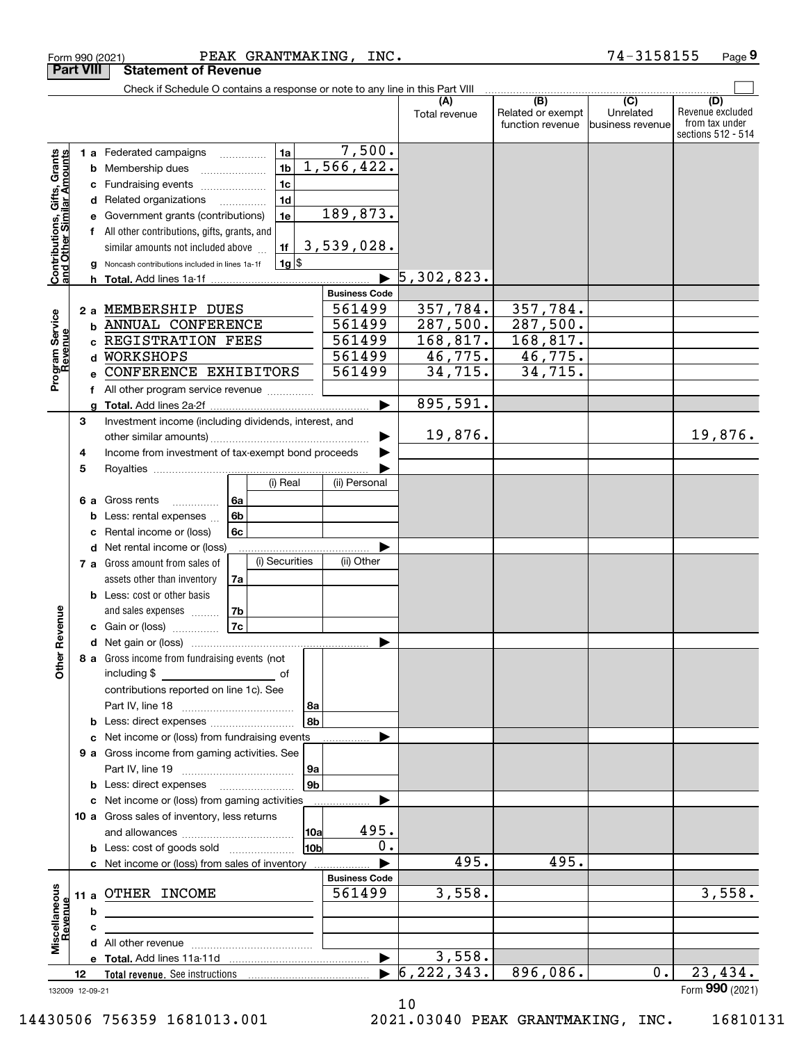|                                                           | <b>Part VIII</b> |        | <b>Statement of Revenue</b>                                                                  |                                      |                |                       |                      |                                              |                                                   |                                                                 |
|-----------------------------------------------------------|------------------|--------|----------------------------------------------------------------------------------------------|--------------------------------------|----------------|-----------------------|----------------------|----------------------------------------------|---------------------------------------------------|-----------------------------------------------------------------|
|                                                           |                  |        | Check if Schedule O contains a response or note to any line in this Part VIII                |                                      |                |                       |                      |                                              |                                                   |                                                                 |
|                                                           |                  |        |                                                                                              |                                      |                |                       | (A)<br>Total revenue | (B)<br>Related or exempt<br>function revenue | $\overline{(C)}$<br>Unrelated<br>business revenue | (D)<br>Revenue excluded<br>from tax under<br>sections 512 - 514 |
|                                                           |                  |        | 1 a Federated campaigns                                                                      |                                      | 1a             | 7,500.                |                      |                                              |                                                   |                                                                 |
| Contributions, Gifts, Grants<br>and Other Similar Amounts |                  | b      | Membership dues                                                                              |                                      | 1 <sub>b</sub> | 1,566,422.            |                      |                                              |                                                   |                                                                 |
|                                                           |                  | с      | <b>Fundraising events</b>                                                                    | $\ldots \ldots \ldots \ldots \ldots$ | 1 <sub>c</sub> |                       |                      |                                              |                                                   |                                                                 |
|                                                           |                  | d      | Related organizations                                                                        | .                                    | 1 <sub>d</sub> |                       |                      |                                              |                                                   |                                                                 |
|                                                           |                  | е      | Government grants (contributions)                                                            |                                      | 1e             | 189,873.              |                      |                                              |                                                   |                                                                 |
|                                                           |                  | f      | All other contributions, gifts, grants, and                                                  |                                      |                |                       |                      |                                              |                                                   |                                                                 |
|                                                           |                  |        | similar amounts not included above                                                           |                                      | 1f             | 3,539,028.            |                      |                                              |                                                   |                                                                 |
|                                                           |                  |        | Noncash contributions included in lines 1a-1f                                                |                                      | $1g$ \$        |                       | 5,302,823.           |                                              |                                                   |                                                                 |
|                                                           |                  | h      |                                                                                              |                                      |                | <b>Business Code</b>  |                      |                                              |                                                   |                                                                 |
|                                                           | 2a               |        | MEMBERSHIP DUES                                                                              |                                      |                | 561499                | 357,784.             | 357,784.                                     |                                                   |                                                                 |
|                                                           |                  | b      | ANNUAL CONFERENCE                                                                            |                                      |                | 561499                | 287,500.             | 287,500.                                     |                                                   |                                                                 |
|                                                           |                  | C.     | REGISTRATION FEES                                                                            |                                      |                | 561499                | 168, 817.            | 168,817.                                     |                                                   |                                                                 |
|                                                           |                  | d      | WORKSHOPS                                                                                    |                                      |                | 561499                | 46,775.              | 46,775.                                      |                                                   |                                                                 |
| Program Service<br>Revenue                                |                  | e      | CONFERENCE EXHIBITORS                                                                        |                                      |                | 561499                | 34,715.              | 34,715.                                      |                                                   |                                                                 |
|                                                           |                  | f      | All other program service revenue <i>mimimini</i>                                            |                                      |                |                       |                      |                                              |                                                   |                                                                 |
|                                                           |                  | a      |                                                                                              |                                      |                | $\blacktriangleright$ | 895,591.             |                                              |                                                   |                                                                 |
|                                                           | 3                |        | Investment income (including dividends, interest, and                                        |                                      |                |                       |                      |                                              |                                                   |                                                                 |
|                                                           |                  |        | other similar amounts)                                                                       |                                      |                |                       | 19,876.              |                                              |                                                   | 19,876.                                                         |
|                                                           | 4                |        | Income from investment of tax-exempt bond proceeds                                           |                                      |                |                       |                      |                                              |                                                   |                                                                 |
|                                                           | 5                |        |                                                                                              |                                      |                |                       |                      |                                              |                                                   |                                                                 |
|                                                           |                  |        |                                                                                              |                                      | (i) Real       | (ii) Personal         |                      |                                              |                                                   |                                                                 |
|                                                           | 6а               |        | Gross rents                                                                                  | 6a<br>6 <sub>b</sub>                 |                |                       |                      |                                              |                                                   |                                                                 |
|                                                           |                  | b<br>с | Less: rental expenses<br>Rental income or (loss)                                             | 6c                                   |                |                       |                      |                                              |                                                   |                                                                 |
|                                                           |                  | d      | Net rental income or (loss)                                                                  |                                      |                |                       |                      |                                              |                                                   |                                                                 |
|                                                           |                  |        | 7 a Gross amount from sales of                                                               |                                      | (i) Securities | (ii) Other            |                      |                                              |                                                   |                                                                 |
|                                                           |                  |        | assets other than inventory                                                                  | 7a                                   |                |                       |                      |                                              |                                                   |                                                                 |
|                                                           |                  |        | <b>b</b> Less: cost or other basis                                                           |                                      |                |                       |                      |                                              |                                                   |                                                                 |
|                                                           |                  |        | and sales expenses                                                                           | 7b                                   |                |                       |                      |                                              |                                                   |                                                                 |
| Revenue                                                   |                  |        | Gain or (loss)                                                                               | 7c                                   |                |                       |                      |                                              |                                                   |                                                                 |
|                                                           |                  |        |                                                                                              |                                      |                |                       |                      |                                              |                                                   |                                                                 |
| Other                                                     |                  |        | 8 a Gross income from fundraising events (not                                                |                                      |                |                       |                      |                                              |                                                   |                                                                 |
|                                                           |                  |        | including \$                                                                                 |                                      |                |                       |                      |                                              |                                                   |                                                                 |
|                                                           |                  |        | contributions reported on line 1c). See                                                      |                                      |                |                       |                      |                                              |                                                   |                                                                 |
|                                                           |                  |        |                                                                                              |                                      | 8a             |                       |                      |                                              |                                                   |                                                                 |
|                                                           |                  |        | <b>b</b> Less: direct expenses <i>manually contained</i>                                     |                                      | 8b             |                       |                      |                                              |                                                   |                                                                 |
|                                                           |                  | c      | Net income or (loss) from fundraising events<br>9 a Gross income from gaming activities. See |                                      |                |                       |                      |                                              |                                                   |                                                                 |
|                                                           |                  |        |                                                                                              |                                      | 9a             |                       |                      |                                              |                                                   |                                                                 |
|                                                           |                  |        | <b>b</b> Less: direct expenses <b>manually</b>                                               |                                      |                | 9 <sub>b</sub>        |                      |                                              |                                                   |                                                                 |
|                                                           |                  |        | c Net income or (loss) from gaming activities                                                |                                      |                |                       |                      |                                              |                                                   |                                                                 |
|                                                           |                  |        | 10 a Gross sales of inventory, less returns                                                  |                                      |                |                       |                      |                                              |                                                   |                                                                 |
|                                                           |                  |        |                                                                                              |                                      | 10a            | 495.                  |                      |                                              |                                                   |                                                                 |
|                                                           |                  |        | <b>b</b> Less: cost of goods sold                                                            |                                      | 10b            | 0.                    |                      |                                              |                                                   |                                                                 |
|                                                           |                  |        | c Net income or (loss) from sales of inventory                                               |                                      |                |                       | 495.                 | 495.                                         |                                                   |                                                                 |
|                                                           |                  |        |                                                                                              |                                      |                | <b>Business Code</b>  |                      |                                              |                                                   |                                                                 |
|                                                           |                  |        | 11 a OTHER INCOME                                                                            |                                      |                | 561499                | 3,558.               |                                              |                                                   | 3,558.                                                          |
|                                                           |                  | b      |                                                                                              |                                      |                |                       |                      |                                              |                                                   |                                                                 |
| Miscellaneous<br>Revenue                                  |                  | c      |                                                                                              |                                      |                |                       |                      |                                              |                                                   |                                                                 |
|                                                           |                  |        |                                                                                              |                                      |                |                       | 3,558.               |                                              |                                                   |                                                                 |
|                                                           | 12               |        |                                                                                              |                                      |                | $\blacktriangleright$ | 6, 222, 343.         | 896,086.                                     | $0$ .                                             | 23,434.                                                         |
| 132009 12-09-21                                           |                  |        |                                                                                              |                                      |                |                       |                      |                                              |                                                   | Form 990 (2021)                                                 |
|                                                           |                  |        |                                                                                              |                                      |                |                       |                      |                                              |                                                   |                                                                 |

Form 990 (2021) PEAK GRANTMAKING,INC。 Page

PEAK GRANTMAKING, INC. 74-3158155

#### 14430506 756359 1681013.001 2021.03040 PEAK GRANTMAKING, INC. 16810131

10

**9**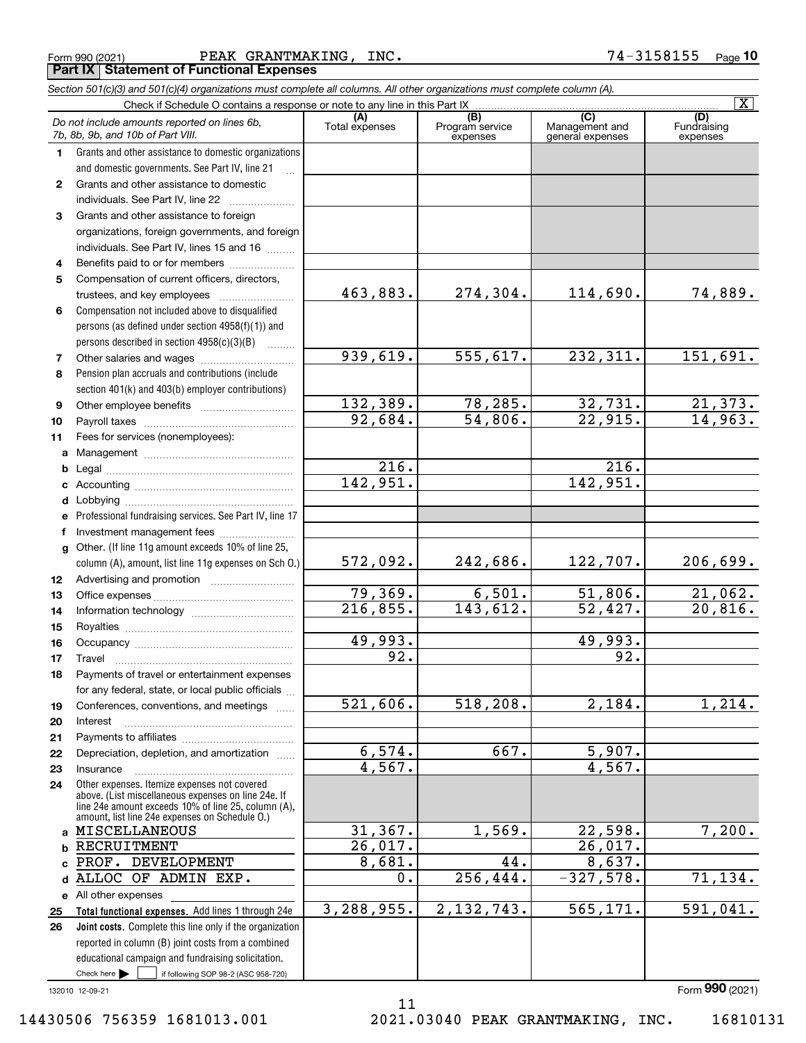|  | Form 990 (2021) |
|--|-----------------|
|  |                 |

Form 990 (2021) Page **Part IX Statement of Functional Expenses** PEAK GRANTMAKING, INC. 74-3158155

*Section 501(c)(3) and 501(c)(4) organizations must complete all columns. All other organizations must complete column (A).*

|              |                                                                                                       |                       |                                                 |                                                      | $\overline{\mathbf{x}}$        |
|--------------|-------------------------------------------------------------------------------------------------------|-----------------------|-------------------------------------------------|------------------------------------------------------|--------------------------------|
|              | Do not include amounts reported on lines 6b.<br>7b, 8b, 9b, and 10b of Part VIII.                     | (A)<br>Total expenses | $\overline{(B)}$<br>Program service<br>expenses | $\overline{C}$<br>Management and<br>general expenses | (D)<br>Fundraising<br>expenses |
| 1.           | Grants and other assistance to domestic organizations                                                 |                       |                                                 |                                                      |                                |
|              | and domestic governments. See Part IV, line 21                                                        |                       |                                                 |                                                      |                                |
| $\mathbf{2}$ | Grants and other assistance to domestic                                                               |                       |                                                 |                                                      |                                |
|              | individuals. See Part IV, line 22                                                                     |                       |                                                 |                                                      |                                |
| 3            | Grants and other assistance to foreign                                                                |                       |                                                 |                                                      |                                |
|              | organizations, foreign governments, and foreign                                                       |                       |                                                 |                                                      |                                |
|              | individuals. See Part IV, lines 15 and 16                                                             |                       |                                                 |                                                      |                                |
| 4            | Benefits paid to or for members                                                                       |                       |                                                 |                                                      |                                |
| 5            | Compensation of current officers, directors,                                                          |                       |                                                 |                                                      |                                |
|              | trustees, and key employees                                                                           | 463,883.              | 274,304.                                        | 114,690.                                             | 74,889.                        |
| 6            | Compensation not included above to disqualified                                                       |                       |                                                 |                                                      |                                |
|              | persons (as defined under section 4958(f)(1)) and                                                     |                       |                                                 |                                                      |                                |
|              | persons described in section 4958(c)(3)(B)                                                            |                       |                                                 |                                                      |                                |
| 7            | Other salaries and wages                                                                              | 939,619.              | 555,617.                                        | 232,311.                                             | 151,691.                       |
| 8            | Pension plan accruals and contributions (include                                                      |                       |                                                 |                                                      |                                |
|              | section 401(k) and 403(b) employer contributions)                                                     |                       |                                                 |                                                      |                                |
| 9            |                                                                                                       | 132,389.              | 78,285.                                         | $\frac{32,731}{22,915}$                              | $\frac{21,373.}{14,963.}$      |
| 10           |                                                                                                       | 92,684.               | 54,806.                                         |                                                      |                                |
| 11           | Fees for services (nonemployees):                                                                     |                       |                                                 |                                                      |                                |
| a            |                                                                                                       |                       |                                                 |                                                      |                                |
| b            |                                                                                                       | 216.                  |                                                 | 216.                                                 |                                |
| c            |                                                                                                       | 142,951.              |                                                 | 142,951.                                             |                                |
| d            |                                                                                                       |                       |                                                 |                                                      |                                |
|              | Professional fundraising services. See Part IV, line 17                                               |                       |                                                 |                                                      |                                |
| f            | Investment management fees                                                                            |                       |                                                 |                                                      |                                |
| $\mathbf{q}$ | Other. (If line 11g amount exceeds 10% of line 25,                                                    |                       |                                                 |                                                      |                                |
|              | column (A), amount, list line 11g expenses on Sch O.)                                                 | 572,092.              | 242,686.                                        | 122,707.                                             | 206,699.                       |
| 12           |                                                                                                       |                       |                                                 |                                                      |                                |
| 13           |                                                                                                       | 79,369.<br>216,855.   | 6,501.<br>143,612.                              | 51,806.<br>52,427.                                   | 21,062.<br>20,816.             |
| 14           |                                                                                                       |                       |                                                 |                                                      |                                |
| 15           |                                                                                                       | 49,993.               |                                                 | 49,993.                                              |                                |
| 16           |                                                                                                       | 92.                   |                                                 | 92.                                                  |                                |
| 17           | Travel                                                                                                |                       |                                                 |                                                      |                                |
| 18           | Payments of travel or entertainment expenses                                                          |                       |                                                 |                                                      |                                |
|              | for any federal, state, or local public officials                                                     | 521,606.              | 518,208.                                        | 2,184.                                               | 1,214.                         |
| 19           | Conferences, conventions, and meetings                                                                |                       |                                                 |                                                      |                                |
| 20           | Interest                                                                                              |                       |                                                 |                                                      |                                |
| 21           | Depreciation, depletion, and amortization                                                             | 6,574.                | 667.                                            | 5,907.                                               |                                |
| 22           |                                                                                                       | 4,567.                |                                                 | 4,567.                                               |                                |
| 23<br>24     | Insurance<br>Other expenses. Itemize expenses not covered                                             |                       |                                                 |                                                      |                                |
|              | above. (List miscellaneous expenses on line 24e. If                                                   |                       |                                                 |                                                      |                                |
|              | line 24e amount exceeds 10% of line 25, column (A),<br>amount, list line 24e expenses on Schedule O.) |                       |                                                 |                                                      |                                |
|              | a MISCELLANEOUS                                                                                       | 31,367.               | 1,569.                                          | 22,598.                                              | 7,200.                         |
| b.           | RECRUITMENT                                                                                           | 26,017.               |                                                 | 26,017.                                              |                                |
| C.           | PROF. DEVELOPMENT                                                                                     | 8,681.                | 44.                                             | 8,637.                                               |                                |
| d            | ALLOC OF ADMIN EXP.                                                                                   | 0.                    | 256,444.                                        | $-327,578.$                                          | $\overline{71,134.}$           |
|              | e All other expenses                                                                                  |                       |                                                 |                                                      |                                |
| 25           | Total functional expenses. Add lines 1 through 24e                                                    | 3,288,955.            | 2,132,743.                                      | 565, 171.                                            | 591,041.                       |
| 26           | Joint costs. Complete this line only if the organization                                              |                       |                                                 |                                                      |                                |
|              | reported in column (B) joint costs from a combined                                                    |                       |                                                 |                                                      |                                |
|              | educational campaign and fundraising solicitation.                                                    |                       |                                                 |                                                      |                                |
|              | Check here $\blacktriangleright$<br>if following SOP 98-2 (ASC 958-720)                               |                       |                                                 |                                                      |                                |

11

132010 12-09-21

14430506 756359 1681013.001 2021.03040 PEAK GRANTMAKING, INC. 16810131

Form (2021) **990**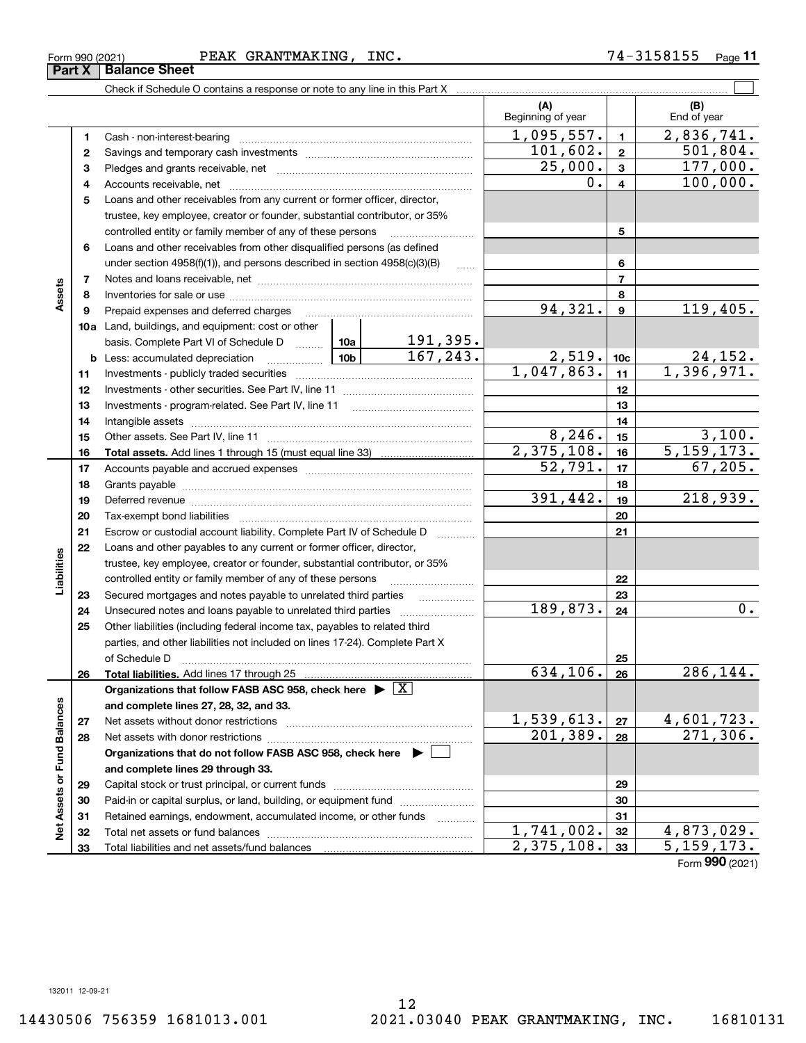**2526**

634,106. 286,144.

**2728**

 $1,539,613. |z_7| 4,601,723.$  $201,389.$  28 271,306.

 $1,741,002.$   $32 \mid 4,873,029.$ 

| Form 990 (2021)               |  |  |
|-------------------------------|--|--|
| <b>Part X   Balance Sheet</b> |  |  |

**6**

**Assets**

**232425**

**Liabilities**

Liabilities

**26**

**2728**

**Net Assets or Fund Balances**

Net Assets or Fund Balances

**Total liabilities.**  Add lines 17 through 25

Net assets without donor restrictions <sub>…………………………………………………</sub>…… Net assets with donor restrictions

Capital stock or trust principal, or current funds ~~~~~~~~~~~~~~~ Paid-in or capital surplus, or land, building, or equipment fund www.commun.com Retained earnings, endowment, accumulated income, or other funds we have all the Total net assets or fund balances ~~~~~~~~~~~~~~~~~~~~~~

parties, and other liabilities not included on lines 17-24). Complete Part X of Schedule D ~~~~~~~~~~~~~~~~~~~~~~~~~~~~~~~

**Organizations that do not follow FASB ASC 958, check here** |

**Organizations that follow FASB ASC 958, check here** | X

**and complete lines 27, 28, 32, and 33.**

**and complete lines 29 through 33.**

Total liabilities and net assets/fund balances

|                                                                            |       |                         | (A)<br>Beginning of year   |                         | (B)<br>End of year          |
|----------------------------------------------------------------------------|-------|-------------------------|----------------------------|-------------------------|-----------------------------|
| Cash - non-interest-bearing                                                |       |                         | $\overline{1}$ , 095, 557. | $\mathbf{1}$            | 2,836,741.                  |
|                                                                            |       |                         | 101,602.                   | $\mathbf{2}$            | 501,804.                    |
|                                                                            |       |                         | 25,000.                    | $\mathbf{3}$            | 177,000.                    |
|                                                                            |       |                         | 0.                         | $\overline{\mathbf{4}}$ | 100,000.                    |
| Loans and other receivables from any current or former officer, director,  |       |                         |                            |                         |                             |
| trustee, key employee, creator or founder, substantial contributor, or 35% |       |                         |                            |                         |                             |
| controlled entity or family member of any of these persons                 |       |                         |                            | 5                       |                             |
| Loans and other receivables from other disqualified persons (as defined    |       |                         |                            |                         |                             |
| under section 4958(f)(1)), and persons described in section 4958(c)(3)(B)  |       | $\ldots$                |                            | 6                       |                             |
|                                                                            |       |                         |                            | $\overline{7}$          |                             |
|                                                                            |       |                         |                            | 8                       |                             |
| Prepaid expenses and deferred charges                                      |       |                         | 94,321.                    | 9                       | 119,405.                    |
| a Land, buildings, and equipment: cost or other                            |       |                         |                            |                         |                             |
| basis. Complete Part VI of Schedule D  10a                                 |       | 191,395.                |                            |                         |                             |
| <b>b</b> Less: accumulated depreciation                                    | 10b l | $\overline{167, 243}$ . | 2,519.                     | 10 <sub>c</sub>         | $\frac{24,152}{1,396,971.}$ |
|                                                                            |       |                         | 1,047,863.                 | 11                      |                             |
|                                                                            |       |                         |                            | 12                      |                             |
|                                                                            |       |                         |                            | 13                      |                             |
|                                                                            |       |                         |                            | 14                      |                             |
|                                                                            |       |                         | 8, 246.                    | 15                      | 3,100.                      |
|                                                                            |       |                         | 2,375,108.                 | 16                      | 5, 159, 173.                |
|                                                                            |       |                         | $\overline{5}$ 2,791.      | 17                      | 67, 205.                    |
|                                                                            |       |                         |                            | 18                      |                             |
|                                                                            |       |                         | 391,442.                   | 19                      | 218,939.                    |
|                                                                            |       |                         |                            | 20                      |                             |
| Escrow or custodial account liability. Complete Part IV of Schedule D      |       |                         | 21                         |                         |                             |
| Loans and other payables to any current or former officer, director,       |       |                         |                            |                         |                             |
| trustee, key employee, creator or founder, substantial contributor, or 35% |       |                         |                            |                         |                             |
| controlled entity or family member of any of these persons                 |       |                         |                            | 22                      |                             |
| Secured mortgages and notes payable to unrelated third parties             |       | .                       |                            | 23                      |                             |
|                                                                            |       |                         | 189,873.                   | 24                      | 0.                          |
| Other liabilities (including federal income tax, payables to related third |       |                         |                            |                         |                             |

 $2,375,108.$   $33$  5,159,173.

Form (2021) **990**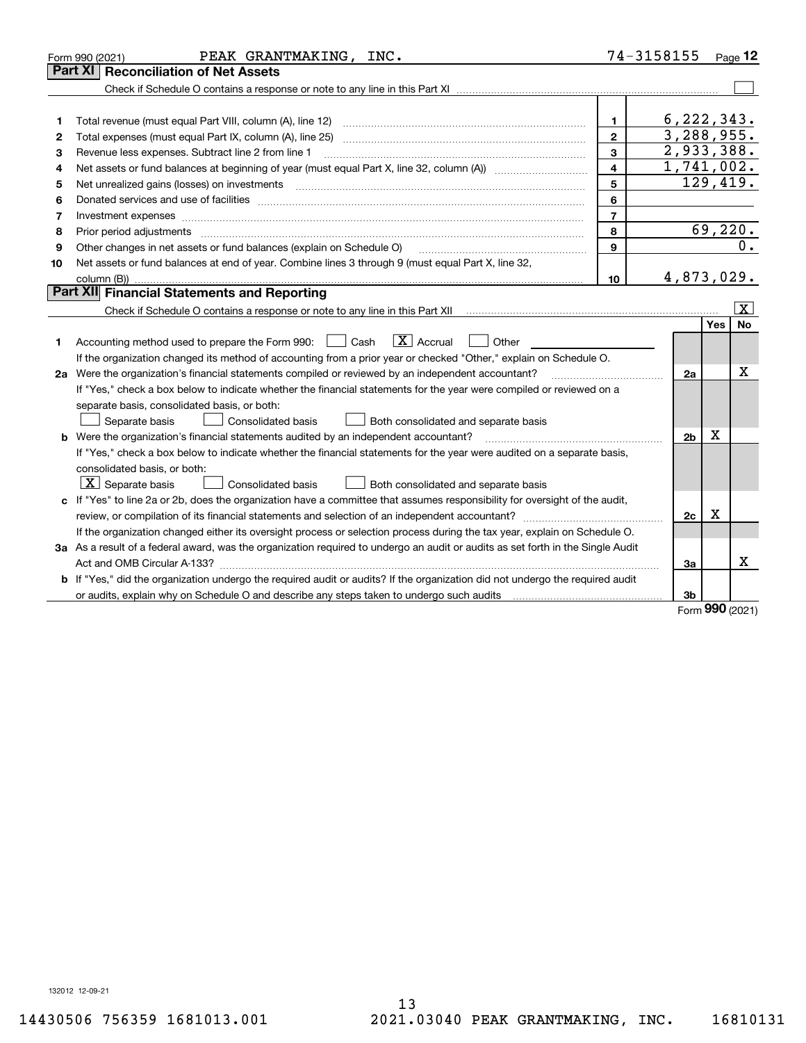|    | PEAK GRANTMAKING, INC.<br>Form 990 (2021)                                                                                       |                | 74-3158155                 |             | Page $12$ |  |  |
|----|---------------------------------------------------------------------------------------------------------------------------------|----------------|----------------------------|-------------|-----------|--|--|
|    | Part XI<br><b>Reconciliation of Net Assets</b>                                                                                  |                |                            |             |           |  |  |
|    |                                                                                                                                 |                |                            |             |           |  |  |
|    |                                                                                                                                 |                |                            |             |           |  |  |
| 1  |                                                                                                                                 | $\mathbf{1}$   | 6, 222, 343.<br>3,288,955. |             |           |  |  |
| 2  | $\overline{2}$<br>Total expenses (must equal Part IX, column (A), line 25)                                                      |                |                            |             |           |  |  |
| з  | 2,933,388.<br>3<br>Revenue less expenses. Subtract line 2 from line 1                                                           |                |                            |             |           |  |  |
| 4  |                                                                                                                                 | $\overline{4}$ | $\overline{1,741},002.$    |             |           |  |  |
| 5  |                                                                                                                                 | 5              | 129,419.                   |             |           |  |  |
| 6  |                                                                                                                                 | 6              |                            |             |           |  |  |
| 7  |                                                                                                                                 | $\overline{7}$ |                            |             |           |  |  |
| 8  | Prior period adjustments                                                                                                        | 8              |                            | 69,220.     |           |  |  |
| 9  | Other changes in net assets or fund balances (explain on Schedule O)                                                            | 9              |                            |             | 0.        |  |  |
| 10 | Net assets or fund balances at end of year. Combine lines 3 through 9 (must equal Part X, line 32,                              |                |                            |             |           |  |  |
|    |                                                                                                                                 | 10             | 4,873,029.                 |             |           |  |  |
|    | <b>Part XII</b> Financial Statements and Reporting                                                                              |                |                            |             |           |  |  |
|    |                                                                                                                                 |                |                            |             | x         |  |  |
|    |                                                                                                                                 |                |                            | Yes         | <b>No</b> |  |  |
| 1. | $\boxed{\mathbf{X}}$ Accrual<br>Accounting method used to prepare the Form 990: <u>[</u> Cash<br>Other                          |                |                            |             |           |  |  |
|    | If the organization changed its method of accounting from a prior year or checked "Other," explain on Schedule O.               |                |                            |             |           |  |  |
|    | 2a Were the organization's financial statements compiled or reviewed by an independent accountant?<br>2a                        |                |                            |             |           |  |  |
|    | If "Yes," check a box below to indicate whether the financial statements for the year were compiled or reviewed on a            |                |                            |             |           |  |  |
|    | separate basis, consolidated basis, or both:                                                                                    |                |                            |             |           |  |  |
|    | Separate basis<br><b>Consolidated basis</b><br>Both consolidated and separate basis                                             |                |                            | $\mathbf X$ |           |  |  |
|    | <b>b</b> Were the organization's financial statements audited by an independent accountant?                                     |                |                            |             |           |  |  |
|    | If "Yes," check a box below to indicate whether the financial statements for the year were audited on a separate basis,         |                |                            |             |           |  |  |
|    | consolidated basis, or both:                                                                                                    |                |                            |             |           |  |  |
|    | $\lfloor x \rfloor$ Separate basis<br><b>Consolidated basis</b><br>Both consolidated and separate basis                         |                |                            |             |           |  |  |
|    | c If "Yes" to line 2a or 2b, does the organization have a committee that assumes responsibility for oversight of the audit,     |                |                            |             |           |  |  |
|    |                                                                                                                                 |                | 2c                         | $\mathbf X$ |           |  |  |
|    | If the organization changed either its oversight process or selection process during the tax year, explain on Schedule O.       |                |                            |             |           |  |  |
|    | 3a As a result of a federal award, was the organization required to undergo an audit or audits as set forth in the Single Audit |                |                            |             |           |  |  |
|    |                                                                                                                                 |                | За                         |             | x         |  |  |
|    | b If "Yes," did the organization undergo the required audit or audits? If the organization did not undergo the required audit   |                |                            |             |           |  |  |
|    |                                                                                                                                 |                | 3b                         |             |           |  |  |
|    |                                                                                                                                 |                |                            |             |           |  |  |

Form (2021) **990**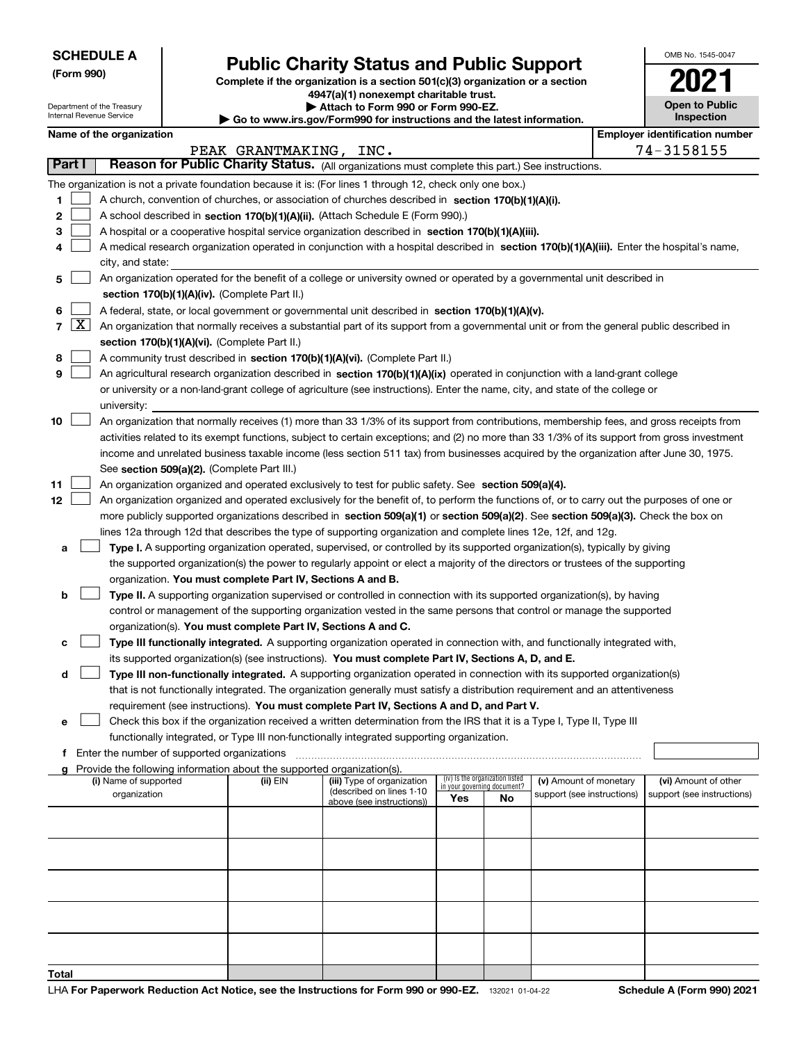| <b>SCHEDULE A</b> |  |
|-------------------|--|
|-------------------|--|

Department of the Treasury Internal Revenue Service

**(Form 990)**

# **Public Charity Status and Public Support**

**Complete if the organization is a section 501(c)(3) organization or a section 4947(a)(1) nonexempt charitable trust.**

**| Attach to Form 990 or Form 990-EZ.** 

**| Go to www.irs.gov/Form990 for instructions and the latest information.**

| OMB No. 1545-0047                   |
|-------------------------------------|
| O.                                  |
| <b>Open to Public</b><br>Inspection |

|  |  | Name of the organization |
|--|--|--------------------------|
|--|--|--------------------------|

|        |            | Name of the organization                                                                                                                     |                        |                                                       |                                    |    |                            | <b>Employer identification number</b> |  |
|--------|------------|----------------------------------------------------------------------------------------------------------------------------------------------|------------------------|-------------------------------------------------------|------------------------------------|----|----------------------------|---------------------------------------|--|
|        |            |                                                                                                                                              | PEAK GRANTMAKING, INC. |                                                       |                                    |    |                            | 74-3158155                            |  |
| Part I |            | Reason for Public Charity Status. (All organizations must complete this part.) See instructions.                                             |                        |                                                       |                                    |    |                            |                                       |  |
|        |            | The organization is not a private foundation because it is: (For lines 1 through 12, check only one box.)                                    |                        |                                                       |                                    |    |                            |                                       |  |
| 1.     |            | A church, convention of churches, or association of churches described in section 170(b)(1)(A)(i).                                           |                        |                                                       |                                    |    |                            |                                       |  |
| 2      |            | A school described in section 170(b)(1)(A)(ii). (Attach Schedule E (Form 990).)                                                              |                        |                                                       |                                    |    |                            |                                       |  |
| з      |            | A hospital or a cooperative hospital service organization described in section 170(b)(1)(A)(iii).                                            |                        |                                                       |                                    |    |                            |                                       |  |
| 4      |            | A medical research organization operated in conjunction with a hospital described in section 170(b)(1)(A)(iii). Enter the hospital's name,   |                        |                                                       |                                    |    |                            |                                       |  |
|        |            | city, and state:                                                                                                                             |                        |                                                       |                                    |    |                            |                                       |  |
| 5      |            | An organization operated for the benefit of a college or university owned or operated by a governmental unit described in                    |                        |                                                       |                                    |    |                            |                                       |  |
|        |            | section 170(b)(1)(A)(iv). (Complete Part II.)                                                                                                |                        |                                                       |                                    |    |                            |                                       |  |
| 6      |            | A federal, state, or local government or governmental unit described in section 170(b)(1)(A)(v).                                             |                        |                                                       |                                    |    |                            |                                       |  |
|        | $7 \times$ | An organization that normally receives a substantial part of its support from a governmental unit or from the general public described in    |                        |                                                       |                                    |    |                            |                                       |  |
|        |            | section 170(b)(1)(A)(vi). (Complete Part II.)                                                                                                |                        |                                                       |                                    |    |                            |                                       |  |
| 8      |            | A community trust described in section 170(b)(1)(A)(vi). (Complete Part II.)                                                                 |                        |                                                       |                                    |    |                            |                                       |  |
| 9      |            | An agricultural research organization described in section 170(b)(1)(A)(ix) operated in conjunction with a land-grant college                |                        |                                                       |                                    |    |                            |                                       |  |
|        |            | or university or a non-land-grant college of agriculture (see instructions). Enter the name, city, and state of the college or               |                        |                                                       |                                    |    |                            |                                       |  |
|        |            | university:                                                                                                                                  |                        |                                                       |                                    |    |                            |                                       |  |
| 10     |            | An organization that normally receives (1) more than 33 1/3% of its support from contributions, membership fees, and gross receipts from     |                        |                                                       |                                    |    |                            |                                       |  |
|        |            | activities related to its exempt functions, subject to certain exceptions; and (2) no more than 33 1/3% of its support from gross investment |                        |                                                       |                                    |    |                            |                                       |  |
|        |            | income and unrelated business taxable income (less section 511 tax) from businesses acquired by the organization after June 30, 1975.        |                        |                                                       |                                    |    |                            |                                       |  |
|        |            | See section 509(a)(2). (Complete Part III.)                                                                                                  |                        |                                                       |                                    |    |                            |                                       |  |
| 11     |            | An organization organized and operated exclusively to test for public safety. See section 509(a)(4).                                         |                        |                                                       |                                    |    |                            |                                       |  |
| 12     |            | An organization organized and operated exclusively for the benefit of, to perform the functions of, or to carry out the purposes of one or   |                        |                                                       |                                    |    |                            |                                       |  |
|        |            | more publicly supported organizations described in section 509(a)(1) or section 509(a)(2). See section 509(a)(3). Check the box on           |                        |                                                       |                                    |    |                            |                                       |  |
|        |            | lines 12a through 12d that describes the type of supporting organization and complete lines 12e, 12f, and 12g.                               |                        |                                                       |                                    |    |                            |                                       |  |
| а      |            | Type I. A supporting organization operated, supervised, or controlled by its supported organization(s), typically by giving                  |                        |                                                       |                                    |    |                            |                                       |  |
|        |            | the supported organization(s) the power to regularly appoint or elect a majority of the directors or trustees of the supporting              |                        |                                                       |                                    |    |                            |                                       |  |
|        |            | organization. You must complete Part IV, Sections A and B.                                                                                   |                        |                                                       |                                    |    |                            |                                       |  |
| b      |            | Type II. A supporting organization supervised or controlled in connection with its supported organization(s), by having                      |                        |                                                       |                                    |    |                            |                                       |  |
|        |            | control or management of the supporting organization vested in the same persons that control or manage the supported                         |                        |                                                       |                                    |    |                            |                                       |  |
|        |            | organization(s). You must complete Part IV, Sections A and C.                                                                                |                        |                                                       |                                    |    |                            |                                       |  |
| с      |            | Type III functionally integrated. A supporting organization operated in connection with, and functionally integrated with,                   |                        |                                                       |                                    |    |                            |                                       |  |
|        |            | its supported organization(s) (see instructions). You must complete Part IV, Sections A, D, and E.                                           |                        |                                                       |                                    |    |                            |                                       |  |
| d      |            | Type III non-functionally integrated. A supporting organization operated in connection with its supported organization(s)                    |                        |                                                       |                                    |    |                            |                                       |  |
|        |            | that is not functionally integrated. The organization generally must satisfy a distribution requirement and an attentiveness                 |                        |                                                       |                                    |    |                            |                                       |  |
|        |            | requirement (see instructions). You must complete Part IV, Sections A and D, and Part V.                                                     |                        |                                                       |                                    |    |                            |                                       |  |
|        |            | Check this box if the organization received a written determination from the IRS that it is a Type I, Type II, Type III                      |                        |                                                       |                                    |    |                            |                                       |  |
|        |            | functionally integrated, or Type III non-functionally integrated supporting organization.                                                    |                        |                                                       |                                    |    |                            |                                       |  |
|        |            | f Enter the number of supported organizations<br>g Provide the following information about the supported organization(s).                    |                        |                                                       |                                    |    |                            |                                       |  |
|        |            | (i) Name of supported                                                                                                                        | (ii) EIN               | (iii) Type of organization                            | (iv) Is the organization listed    |    | (v) Amount of monetary     | (vi) Amount of other                  |  |
|        |            | organization                                                                                                                                 |                        | (described on lines 1-10<br>above (see instructions)) | in your governing document?<br>Yes | No | support (see instructions) | support (see instructions)            |  |
|        |            |                                                                                                                                              |                        |                                                       |                                    |    |                            |                                       |  |
|        |            |                                                                                                                                              |                        |                                                       |                                    |    |                            |                                       |  |
|        |            |                                                                                                                                              |                        |                                                       |                                    |    |                            |                                       |  |
|        |            |                                                                                                                                              |                        |                                                       |                                    |    |                            |                                       |  |
|        |            |                                                                                                                                              |                        |                                                       |                                    |    |                            |                                       |  |
|        |            |                                                                                                                                              |                        |                                                       |                                    |    |                            |                                       |  |
|        |            |                                                                                                                                              |                        |                                                       |                                    |    |                            |                                       |  |
|        |            |                                                                                                                                              |                        |                                                       |                                    |    |                            |                                       |  |
|        |            |                                                                                                                                              |                        |                                                       |                                    |    |                            |                                       |  |
| Total  |            |                                                                                                                                              |                        |                                                       |                                    |    |                            |                                       |  |
|        |            |                                                                                                                                              |                        |                                                       |                                    |    |                            |                                       |  |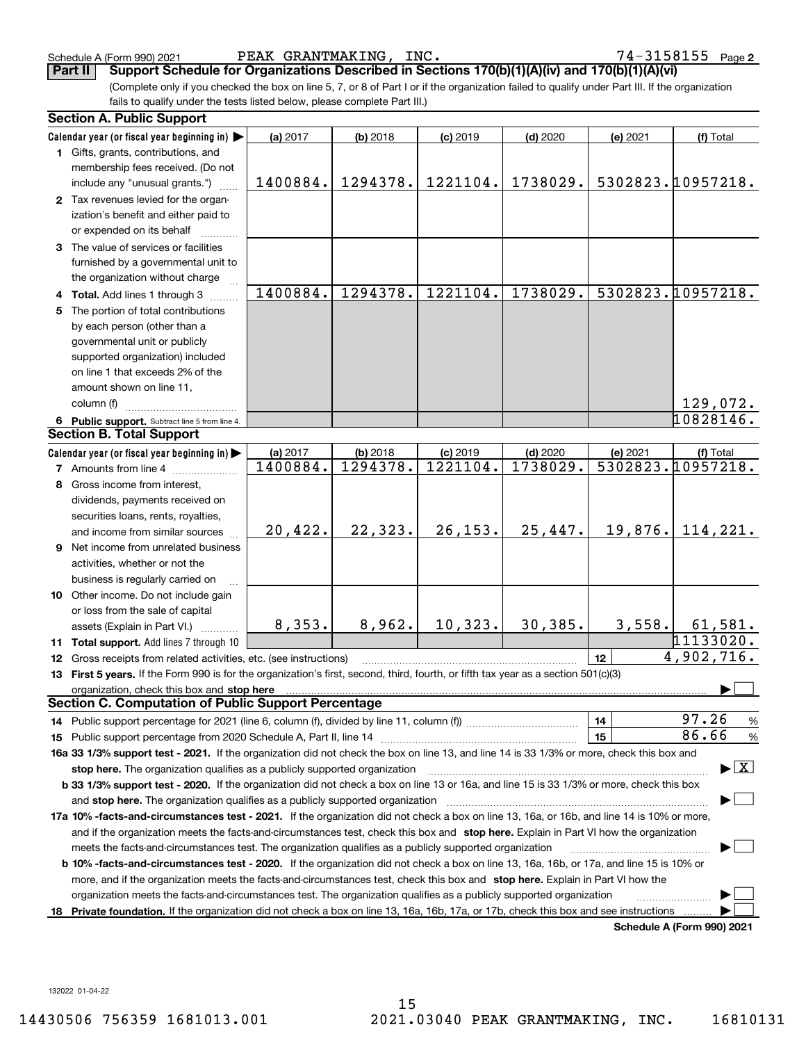Schedule A (Form 990) 2021 PEAK(GRANTMAKING,【NC。 7 4~3 L5 8 L5 5 Page PEAK GRANTMAKING, INC. 74-3158155

74-3158155 Page 2

(Complete only if you checked the box on line 5, 7, or 8 of Part I or if the organization failed to qualify under Part III. If the organization fails to qualify under the tests listed below, please complete Part III.) **Part II Support Schedule for Organizations Described in Sections 170(b)(1)(A)(iv) and 170(b)(1)(A)(vi)**

|     | <b>Section A. Public Support</b>                                                                                                                                                                                               |          |            |            |            |          |                                          |
|-----|--------------------------------------------------------------------------------------------------------------------------------------------------------------------------------------------------------------------------------|----------|------------|------------|------------|----------|------------------------------------------|
|     | Calendar year (or fiscal year beginning in)                                                                                                                                                                                    | (a) 2017 | (b) 2018   | $(c)$ 2019 | $(d)$ 2020 | (e) 2021 | (f) Total                                |
|     | 1 Gifts, grants, contributions, and                                                                                                                                                                                            |          |            |            |            |          |                                          |
|     | membership fees received. (Do not                                                                                                                                                                                              |          |            |            |            |          |                                          |
|     | include any "unusual grants.")                                                                                                                                                                                                 | 1400884. | 1294378.   | 1221104.   | 1738029.   |          | 5302823.10957218.                        |
|     | 2 Tax revenues levied for the organ-                                                                                                                                                                                           |          |            |            |            |          |                                          |
|     | ization's benefit and either paid to                                                                                                                                                                                           |          |            |            |            |          |                                          |
|     | or expended on its behalf                                                                                                                                                                                                      |          |            |            |            |          |                                          |
|     | 3 The value of services or facilities                                                                                                                                                                                          |          |            |            |            |          |                                          |
|     | furnished by a governmental unit to                                                                                                                                                                                            |          |            |            |            |          |                                          |
|     | the organization without charge                                                                                                                                                                                                |          |            |            |            |          |                                          |
|     | 4 Total. Add lines 1 through 3                                                                                                                                                                                                 | 1400884. | 1294378.   | 1221104.   | 1738029.   |          | 5302823.10957218.                        |
| 5.  | The portion of total contributions                                                                                                                                                                                             |          |            |            |            |          |                                          |
|     | by each person (other than a                                                                                                                                                                                                   |          |            |            |            |          |                                          |
|     | governmental unit or publicly                                                                                                                                                                                                  |          |            |            |            |          |                                          |
|     | supported organization) included                                                                                                                                                                                               |          |            |            |            |          |                                          |
|     | on line 1 that exceeds 2% of the                                                                                                                                                                                               |          |            |            |            |          |                                          |
|     | amount shown on line 11,                                                                                                                                                                                                       |          |            |            |            |          |                                          |
|     | column (f)                                                                                                                                                                                                                     |          |            |            |            |          | 129,072.                                 |
|     | 6 Public support. Subtract line 5 from line 4.                                                                                                                                                                                 |          |            |            |            |          | 10828146.                                |
|     | <b>Section B. Total Support</b>                                                                                                                                                                                                |          |            |            |            |          |                                          |
|     | Calendar year (or fiscal year beginning in)                                                                                                                                                                                    | (a) 2017 | $(b)$ 2018 | $(c)$ 2019 | $(d)$ 2020 | (e) 2021 | (f) Total                                |
|     | <b>7</b> Amounts from line 4                                                                                                                                                                                                   | 1400884. | 1294378.   | 1221104.   | 1738029.   |          | 5302823.10957218.                        |
| 8   | Gross income from interest,                                                                                                                                                                                                    |          |            |            |            |          |                                          |
|     | dividends, payments received on                                                                                                                                                                                                |          |            |            |            |          |                                          |
|     | securities loans, rents, royalties,                                                                                                                                                                                            |          |            |            |            |          |                                          |
|     | and income from similar sources                                                                                                                                                                                                | 20,422.  | 22,323.    | 26, 153.   | 25,447.    | 19,876.  | 114,221.                                 |
|     | <b>9</b> Net income from unrelated business                                                                                                                                                                                    |          |            |            |            |          |                                          |
|     | activities, whether or not the                                                                                                                                                                                                 |          |            |            |            |          |                                          |
|     | business is regularly carried on                                                                                                                                                                                               |          |            |            |            |          |                                          |
|     | 10 Other income. Do not include gain                                                                                                                                                                                           |          |            |            |            |          |                                          |
|     | or loss from the sale of capital                                                                                                                                                                                               |          |            |            |            |          |                                          |
|     | assets (Explain in Part VI.)                                                                                                                                                                                                   | 8,353.   | 8,962.     | 10,323.    | 30,385.    | 3,558.   | 61,581.                                  |
|     | 11 Total support. Add lines 7 through 10                                                                                                                                                                                       |          |            |            |            |          | 11133020.                                |
|     | 12 Gross receipts from related activities, etc. (see instructions)                                                                                                                                                             |          |            |            |            | 12       | 4,902,716.                               |
|     | 13 First 5 years. If the Form 990 is for the organization's first, second, third, fourth, or fifth tax year as a section 501(c)(3)                                                                                             |          |            |            |            |          |                                          |
|     | organization, check this box and stop here manufactured and content to the state of the state of the state of the state of the state of the state of the state of the state of the state of the state of the state of the stat |          |            |            |            |          |                                          |
|     | <b>Section C. Computation of Public Support Percentage</b>                                                                                                                                                                     |          |            |            |            |          |                                          |
|     |                                                                                                                                                                                                                                |          |            |            |            | 14       | 97.26<br>%                               |
|     |                                                                                                                                                                                                                                |          |            |            |            | 15       | 86.66<br>$\%$                            |
|     | 16a 33 1/3% support test - 2021. If the organization did not check the box on line 13, and line 14 is 33 1/3% or more, check this box and                                                                                      |          |            |            |            |          |                                          |
|     | stop here. The organization qualifies as a publicly supported organization                                                                                                                                                     |          |            |            |            |          | $\blacktriangleright$ $\boxed{\text{X}}$ |
|     | b 33 1/3% support test - 2020. If the organization did not check a box on line 13 or 16a, and line 15 is 33 1/3% or more, check this box                                                                                       |          |            |            |            |          |                                          |
|     | and stop here. The organization qualifies as a publicly supported organization                                                                                                                                                 |          |            |            |            |          |                                          |
|     | 17a 10% -facts-and-circumstances test - 2021. If the organization did not check a box on line 13, 16a, or 16b, and line 14 is 10% or more,                                                                                     |          |            |            |            |          |                                          |
|     | and if the organization meets the facts-and-circumstances test, check this box and stop here. Explain in Part VI how the organization                                                                                          |          |            |            |            |          |                                          |
|     | meets the facts-and-circumstances test. The organization qualifies as a publicly supported organization                                                                                                                        |          |            |            |            |          |                                          |
|     | <b>b 10% -facts-and-circumstances test - 2020.</b> If the organization did not check a box on line 13, 16a, 16b, or 17a, and line 15 is 10% or                                                                                 |          |            |            |            |          |                                          |
|     | more, and if the organization meets the facts-and-circumstances test, check this box and stop here. Explain in Part VI how the                                                                                                 |          |            |            |            |          |                                          |
|     | organization meets the facts-and-circumstances test. The organization qualifies as a publicly supported organization                                                                                                           |          |            |            |            |          |                                          |
| 18. | Private foundation. If the organization did not check a box on line 13, 16a, 16b, 17a, or 17b, check this box and see instructions                                                                                             |          |            |            |            |          |                                          |
|     |                                                                                                                                                                                                                                |          |            |            |            |          | Schedule A (Form 990) 2021               |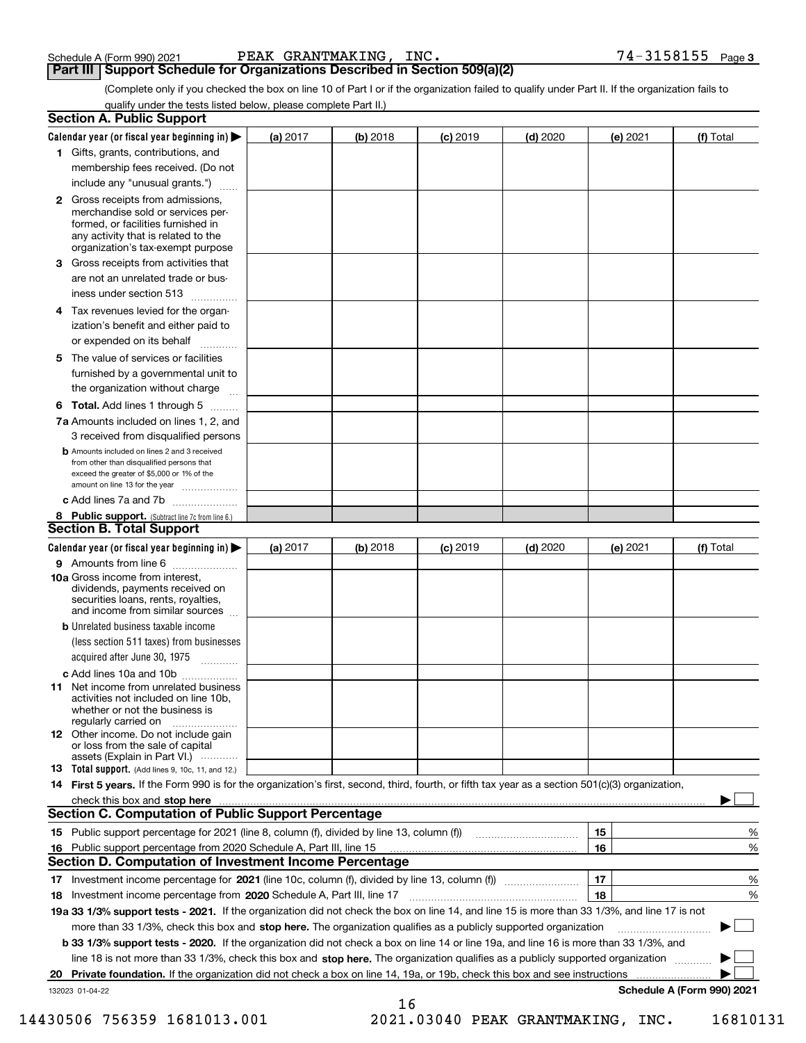| Schedule A (Form 990) 2021 |  |  |
|----------------------------|--|--|
|                            |  |  |

| Schedule A (Form 990) 2021 |  | PEAK GRANTMAKING, | INC. | 3158155 | Page 3 |
|----------------------------|--|-------------------|------|---------|--------|
|                            |  |                   |      |         |        |

**Part III Support Schedule for Organizations Described in Section 509(a)(2)** 

(Complete only if you checked the box on line 10 of Part I or if the organization failed to qualify under Part II. If the organization fails to qualify under the tests listed below, please complete Part II.)

| <b>Section A. Public Support</b>                                                                                                                                                                                                    |            |          |            |            |          |                            |
|-------------------------------------------------------------------------------------------------------------------------------------------------------------------------------------------------------------------------------------|------------|----------|------------|------------|----------|----------------------------|
| Calendar year (or fiscal year beginning in) $\blacktriangleright$                                                                                                                                                                   | (a) 2017   | (b) 2018 | $(c)$ 2019 | $(d)$ 2020 | (e) 2021 | (f) Total                  |
| 1 Gifts, grants, contributions, and                                                                                                                                                                                                 |            |          |            |            |          |                            |
| membership fees received. (Do not                                                                                                                                                                                                   |            |          |            |            |          |                            |
| include any "unusual grants.")                                                                                                                                                                                                      |            |          |            |            |          |                            |
| 2 Gross receipts from admissions,<br>merchandise sold or services per-<br>formed, or facilities furnished in<br>any activity that is related to the<br>organization's tax-exempt purpose                                            |            |          |            |            |          |                            |
| 3 Gross receipts from activities that<br>are not an unrelated trade or bus-                                                                                                                                                         |            |          |            |            |          |                            |
| iness under section 513                                                                                                                                                                                                             |            |          |            |            |          |                            |
| 4 Tax revenues levied for the organ-<br>ization's benefit and either paid to                                                                                                                                                        |            |          |            |            |          |                            |
| or expended on its behalf<br>المتمددات                                                                                                                                                                                              |            |          |            |            |          |                            |
| 5 The value of services or facilities<br>furnished by a governmental unit to                                                                                                                                                        |            |          |            |            |          |                            |
| the organization without charge                                                                                                                                                                                                     |            |          |            |            |          |                            |
| <b>6 Total.</b> Add lines 1 through 5                                                                                                                                                                                               |            |          |            |            |          |                            |
| 7a Amounts included on lines 1, 2, and<br>3 received from disqualified persons                                                                                                                                                      |            |          |            |            |          |                            |
| <b>b</b> Amounts included on lines 2 and 3 received<br>from other than disqualified persons that<br>exceed the greater of \$5,000 or 1% of the<br>amount on line 13 for the year                                                    |            |          |            |            |          |                            |
| c Add lines 7a and 7b                                                                                                                                                                                                               |            |          |            |            |          |                            |
| 8 Public support. (Subtract line 7c from line 6.)                                                                                                                                                                                   |            |          |            |            |          |                            |
| Section B. Total Support                                                                                                                                                                                                            |            |          |            |            |          |                            |
| Calendar year (or fiscal year beginning in) >                                                                                                                                                                                       | (a) $2017$ | (b) 2018 | $(c)$ 2019 | $(d)$ 2020 | (e) 2021 | (f) Total                  |
| 9 Amounts from line 6<br><b>10a</b> Gross income from interest,<br>dividends, payments received on<br>securities loans, rents, royalties,<br>and income from similar sources                                                        |            |          |            |            |          |                            |
| <b>b</b> Unrelated business taxable income<br>(less section 511 taxes) from businesses<br>acquired after June 30, 1975                                                                                                              |            |          |            |            |          |                            |
| c Add lines 10a and 10b                                                                                                                                                                                                             |            |          |            |            |          |                            |
| 11 Net income from unrelated business<br>activities not included on line 10b.<br>whether or not the business is<br>regularly carried on                                                                                             |            |          |            |            |          |                            |
| 12 Other income. Do not include gain<br>or loss from the sale of capital<br>assets (Explain in Part VI.)                                                                                                                            |            |          |            |            |          |                            |
| <b>13</b> Total support. (Add lines 9, 10c, 11, and 12.)                                                                                                                                                                            |            |          |            |            |          |                            |
| 14 First 5 years. If the Form 990 is for the organization's first, second, third, fourth, or fifth tax year as a section 501(c)(3) organization,                                                                                    |            |          |            |            |          |                            |
| check this box and <b>stop here</b> with an accommutation of the contract of the state of the contract of the contract of the contract of the contract of the contract of the contract of the contract of the contract of the contr |            |          |            |            |          |                            |
| <b>Section C. Computation of Public Support Percentage</b>                                                                                                                                                                          |            |          |            |            |          |                            |
|                                                                                                                                                                                                                                     |            |          |            |            | 15       | %                          |
| 16 Public support percentage from 2020 Schedule A, Part III, line 15                                                                                                                                                                |            |          |            |            | 16       | %                          |
| <b>Section D. Computation of Investment Income Percentage</b>                                                                                                                                                                       |            |          |            |            |          |                            |
| 17 Investment income percentage for 2021 (line 10c, column (f), divided by line 13, column (f))                                                                                                                                     |            |          |            |            | 17       | %                          |
| 18 Investment income percentage from 2020 Schedule A, Part III, line 17                                                                                                                                                             |            |          |            |            | 18       | %                          |
| 19a 33 1/3% support tests - 2021. If the organization did not check the box on line 14, and line 15 is more than 33 1/3%, and line 17 is not                                                                                        |            |          |            |            |          |                            |
| more than 33 1/3%, check this box and stop here. The organization qualifies as a publicly supported organization                                                                                                                    |            |          |            |            |          | ▶                          |
| b 33 1/3% support tests - 2020. If the organization did not check a box on line 14 or line 19a, and line 16 is more than 33 1/3%, and                                                                                               |            |          |            |            |          |                            |
| line 18 is not more than 33 1/3%, check this box and stop here. The organization qualifies as a publicly supported organization                                                                                                     |            |          |            |            |          |                            |
| 20 Private foundation. If the organization did not check a box on line 14, 19a, or 19b, check this box and see instructions                                                                                                         |            |          |            |            |          | Schedule A (Form 990) 2021 |
| 132023 01-04-22                                                                                                                                                                                                                     |            | 16       |            |            |          |                            |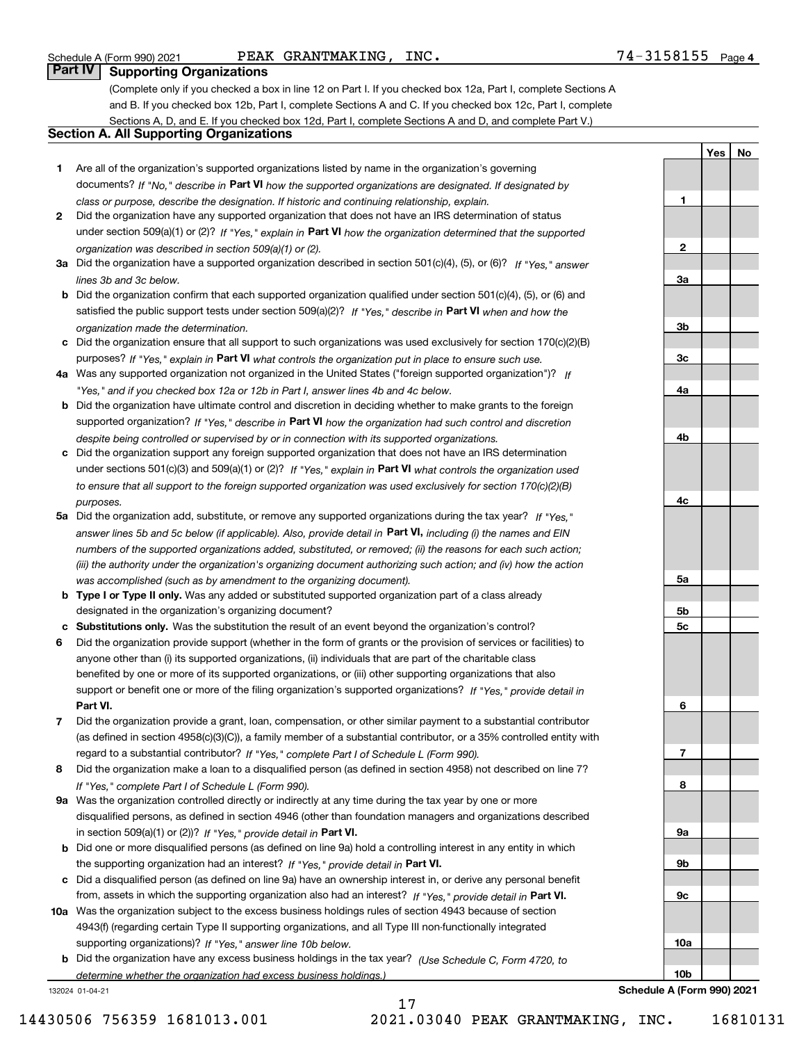Schedule A (Form 990) 2021 PEAK GRANTMAKING , INC . 7 $4$  –  $3158155$   $\,$  Page

**1**

**2**

**3a**

**3b**

**3c**

**4a**

**4b**

**4c**

**5a**

**5b5c**

**6**

**7**

**8**

**9a**

**9b**

**9c**

**10a**

**YesNo**

## **Part IV Supporting Organizations**

(Complete only if you checked a box in line 12 on Part I. If you checked box 12a, Part I, complete Sections A and B. If you checked box 12b, Part I, complete Sections A and C. If you checked box 12c, Part I, complete Sections A, D, and E. If you checked box 12d, Part I, complete Sections A and D, and complete Part V.)

#### **Section A. All Supporting Organizations**

- **1** Are all of the organization's supported organizations listed by name in the organization's governing documents? If "No," describe in **Part VI** how the supported organizations are designated. If designated by *class or purpose, describe the designation. If historic and continuing relationship, explain.*
- **2** Did the organization have any supported organization that does not have an IRS determination of status under section 509(a)(1) or (2)? If "Yes," explain in Part VI how the organization determined that the supported *organization was described in section 509(a)(1) or (2).*
- **3a** Did the organization have a supported organization described in section 501(c)(4), (5), or (6)? If "Yes," answer *lines 3b and 3c below.*
- **b** Did the organization confirm that each supported organization qualified under section 501(c)(4), (5), or (6) and satisfied the public support tests under section 509(a)(2)? If "Yes," describe in **Part VI** when and how the *organization made the determination.*
- **c**Did the organization ensure that all support to such organizations was used exclusively for section 170(c)(2)(B) purposes? If "Yes," explain in **Part VI** what controls the organization put in place to ensure such use.
- **4a***If* Was any supported organization not organized in the United States ("foreign supported organization")? *"Yes," and if you checked box 12a or 12b in Part I, answer lines 4b and 4c below.*
- **b** Did the organization have ultimate control and discretion in deciding whether to make grants to the foreign supported organization? If "Yes," describe in **Part VI** how the organization had such control and discretion *despite being controlled or supervised by or in connection with its supported organizations.*
- **c** Did the organization support any foreign supported organization that does not have an IRS determination under sections 501(c)(3) and 509(a)(1) or (2)? If "Yes," explain in **Part VI** what controls the organization used *to ensure that all support to the foreign supported organization was used exclusively for section 170(c)(2)(B) purposes.*
- **5a** Did the organization add, substitute, or remove any supported organizations during the tax year? If "Yes," answer lines 5b and 5c below (if applicable). Also, provide detail in **Part VI,** including (i) the names and EIN *numbers of the supported organizations added, substituted, or removed; (ii) the reasons for each such action; (iii) the authority under the organization's organizing document authorizing such action; and (iv) how the action was accomplished (such as by amendment to the organizing document).*
- **b** Type I or Type II only. Was any added or substituted supported organization part of a class already designated in the organization's organizing document?
- **cSubstitutions only.**  Was the substitution the result of an event beyond the organization's control?
- **6** Did the organization provide support (whether in the form of grants or the provision of services or facilities) to **Part VI.** *If "Yes," provide detail in* support or benefit one or more of the filing organization's supported organizations? anyone other than (i) its supported organizations, (ii) individuals that are part of the charitable class benefited by one or more of its supported organizations, or (iii) other supporting organizations that also
- **7**Did the organization provide a grant, loan, compensation, or other similar payment to a substantial contributor regard to a substantial contributor? If "Yes," complete Part I of Schedule L (Form 990). (as defined in section 4958(c)(3)(C)), a family member of a substantial contributor, or a 35% controlled entity with
- **8** Did the organization make a loan to a disqualified person (as defined in section 4958) not described on line 7? *If "Yes," complete Part I of Schedule L (Form 990).*
- **9a** Was the organization controlled directly or indirectly at any time during the tax year by one or more in section 509(a)(1) or (2))? If "Yes," *provide detail in* <code>Part VI.</code> disqualified persons, as defined in section 4946 (other than foundation managers and organizations described
- **b** Did one or more disqualified persons (as defined on line 9a) hold a controlling interest in any entity in which the supporting organization had an interest? If "Yes," provide detail in P**art VI**.
- **c**Did a disqualified person (as defined on line 9a) have an ownership interest in, or derive any personal benefit from, assets in which the supporting organization also had an interest? If "Yes," provide detail in P**art VI.**
- **10a** Was the organization subject to the excess business holdings rules of section 4943 because of section supporting organizations)? If "Yes," answer line 10b below. 4943(f) (regarding certain Type II supporting organizations, and all Type III non-functionally integrated
- **b** Did the organization have any excess business holdings in the tax year? (Use Schedule C, Form 4720, to *determine whether the organization had excess business holdings.)*

17

132024 01-04-21

**10bSchedule A (Form 990) 2021**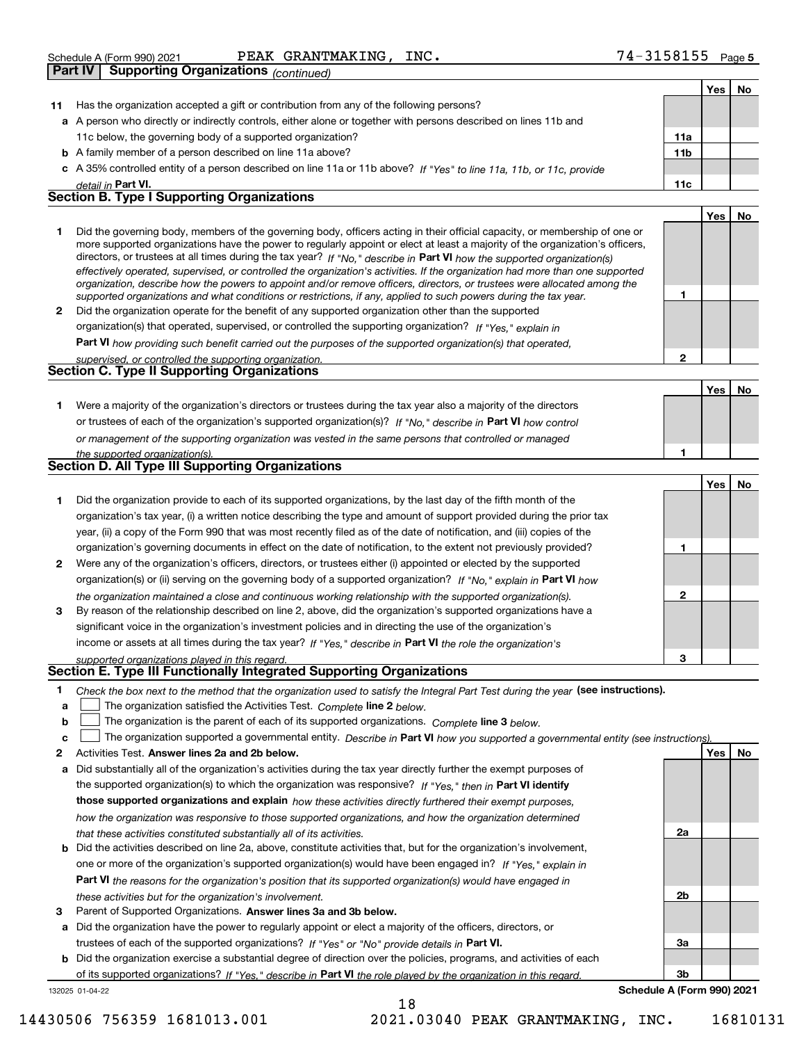|              | PEAK GRANTMAKING,<br>INC.<br>Schedule A (Form 990) 2021                                                                                                                                                                                                     | 74-3158155 Page 5 |     |    |
|--------------|-------------------------------------------------------------------------------------------------------------------------------------------------------------------------------------------------------------------------------------------------------------|-------------------|-----|----|
|              | <b>Supporting Organizations (continued)</b><br>Part IV                                                                                                                                                                                                      |                   |     |    |
|              |                                                                                                                                                                                                                                                             |                   | Yes | No |
| 11           | Has the organization accepted a gift or contribution from any of the following persons?                                                                                                                                                                     |                   |     |    |
|              | a A person who directly or indirectly controls, either alone or together with persons described on lines 11b and                                                                                                                                            |                   |     |    |
|              | 11c below, the governing body of a supported organization?                                                                                                                                                                                                  | 11a               |     |    |
|              | <b>b</b> A family member of a person described on line 11a above?                                                                                                                                                                                           | 11 <sub>b</sub>   |     |    |
|              | c A 35% controlled entity of a person described on line 11a or 11b above? If "Yes" to line 11a, 11b, or 11c, provide                                                                                                                                        |                   |     |    |
|              | detail in Part VI.                                                                                                                                                                                                                                          | 11c               |     |    |
|              | <b>Section B. Type I Supporting Organizations</b>                                                                                                                                                                                                           |                   |     |    |
|              |                                                                                                                                                                                                                                                             |                   | Yes | No |
| 1            | Did the governing body, members of the governing body, officers acting in their official capacity, or membership of one or<br>more supported organizations have the power to regularly appoint or elect at least a majority of the organization's officers, |                   |     |    |
|              | directors, or trustees at all times during the tax year? If "No," describe in Part VI how the supported organization(s)<br>effectively operated, supervised, or controlled the organization's activities. If the organization had more than one supported   |                   |     |    |
|              | organization, describe how the powers to appoint and/or remove officers, directors, or trustees were allocated among the<br>supported organizations and what conditions or restrictions, if any, applied to such powers during the tax year.                | 1                 |     |    |
| 2            | Did the organization operate for the benefit of any supported organization other than the supported                                                                                                                                                         |                   |     |    |
|              | organization(s) that operated, supervised, or controlled the supporting organization? If "Yes," explain in                                                                                                                                                  |                   |     |    |
|              | Part VI how providing such benefit carried out the purposes of the supported organization(s) that operated,                                                                                                                                                 |                   |     |    |
|              | supervised, or controlled the supporting organization.                                                                                                                                                                                                      | $\mathbf{2}$      |     |    |
|              | <b>Section C. Type II Supporting Organizations</b>                                                                                                                                                                                                          |                   |     |    |
|              |                                                                                                                                                                                                                                                             |                   | Yes | No |
| 1.           | Were a majority of the organization's directors or trustees during the tax year also a majority of the directors                                                                                                                                            |                   |     |    |
|              | or trustees of each of the organization's supported organization(s)? If "No," describe in Part VI how control                                                                                                                                               |                   |     |    |
|              | or management of the supporting organization was vested in the same persons that controlled or managed                                                                                                                                                      |                   |     |    |
|              | the supported organization(s).                                                                                                                                                                                                                              | 1                 |     |    |
|              | <b>Section D. All Type III Supporting Organizations</b>                                                                                                                                                                                                     |                   |     |    |
|              |                                                                                                                                                                                                                                                             |                   | Yes | No |
| 1            | Did the organization provide to each of its supported organizations, by the last day of the fifth month of the                                                                                                                                              |                   |     |    |
|              | organization's tax year, (i) a written notice describing the type and amount of support provided during the prior tax                                                                                                                                       |                   |     |    |
|              | year, (ii) a copy of the Form 990 that was most recently filed as of the date of notification, and (iii) copies of the                                                                                                                                      |                   |     |    |
|              | organization's governing documents in effect on the date of notification, to the extent not previously provided?                                                                                                                                            | 1                 |     |    |
| $\mathbf{2}$ | Were any of the organization's officers, directors, or trustees either (i) appointed or elected by the supported                                                                                                                                            |                   |     |    |
|              | organization(s) or (ii) serving on the governing body of a supported organization? If "No." explain in Part VI how                                                                                                                                          |                   |     |    |
|              | the organization maintained a close and continuous working relationship with the supported organization(s).                                                                                                                                                 | $\mathbf{2}$      |     |    |
| 3            | By reason of the relationship described on line 2, above, did the organization's supported organizations have a                                                                                                                                             |                   |     |    |
|              | significant voice in the organization's investment policies and in directing the use of the organization's                                                                                                                                                  |                   |     |    |
|              | income or assets at all times during the tax year? If "Yes," describe in Part VI the role the organization's                                                                                                                                                |                   |     |    |
|              | supported organizations played in this regard.                                                                                                                                                                                                              | 3                 |     |    |
|              | Section E. Type III Functionally Integrated Supporting Organizations                                                                                                                                                                                        |                   |     |    |
|              | Check the boy next to the method that the organization used to satisfy the Integral Part Test during the vear (see instructions).                                                                                                                           |                   |     |    |

- Check the box next to the method that the organization used to satisfy the Integral Part Test during the year (see instructions).
- **alinupy** The organization satisfied the Activities Test. Complete line 2 below.
- **b**The organization is the parent of each of its supported organizations. *Complete* line 3 *below.*  $\mathcal{L}^{\text{max}}$

|  |  | c □ The organization supported a governmental entity. Describe in Part VI how you supported a governmental entity (see instructions). |  |
|--|--|---------------------------------------------------------------------------------------------------------------------------------------|--|
|--|--|---------------------------------------------------------------------------------------------------------------------------------------|--|

- **2Answer lines 2a and 2b below. Yes No** Activities Test.
- **a** Did substantially all of the organization's activities during the tax year directly further the exempt purposes of the supported organization(s) to which the organization was responsive? If "Yes," then in **Part VI identify those supported organizations and explain**  *how these activities directly furthered their exempt purposes, how the organization was responsive to those supported organizations, and how the organization determined that these activities constituted substantially all of its activities.*
- **b** Did the activities described on line 2a, above, constitute activities that, but for the organization's involvement, **Part VI**  *the reasons for the organization's position that its supported organization(s) would have engaged in* one or more of the organization's supported organization(s) would have been engaged in? If "Yes," e*xplain in these activities but for the organization's involvement.*
- **3** Parent of Supported Organizations. Answer lines 3a and 3b below.

**a** Did the organization have the power to regularly appoint or elect a majority of the officers, directors, or trustees of each of the supported organizations? If "Yes" or "No" provide details in **Part VI.** 

132025 01-04-22 **b** Did the organization exercise a substantial degree of direction over the policies, programs, and activities of each of its supported organizations? If "Yes," describe in Part VI the role played by the organization in this regard.

**3bSchedule A (Form 990) 2021**

**2a**

**2b**

**3a**

18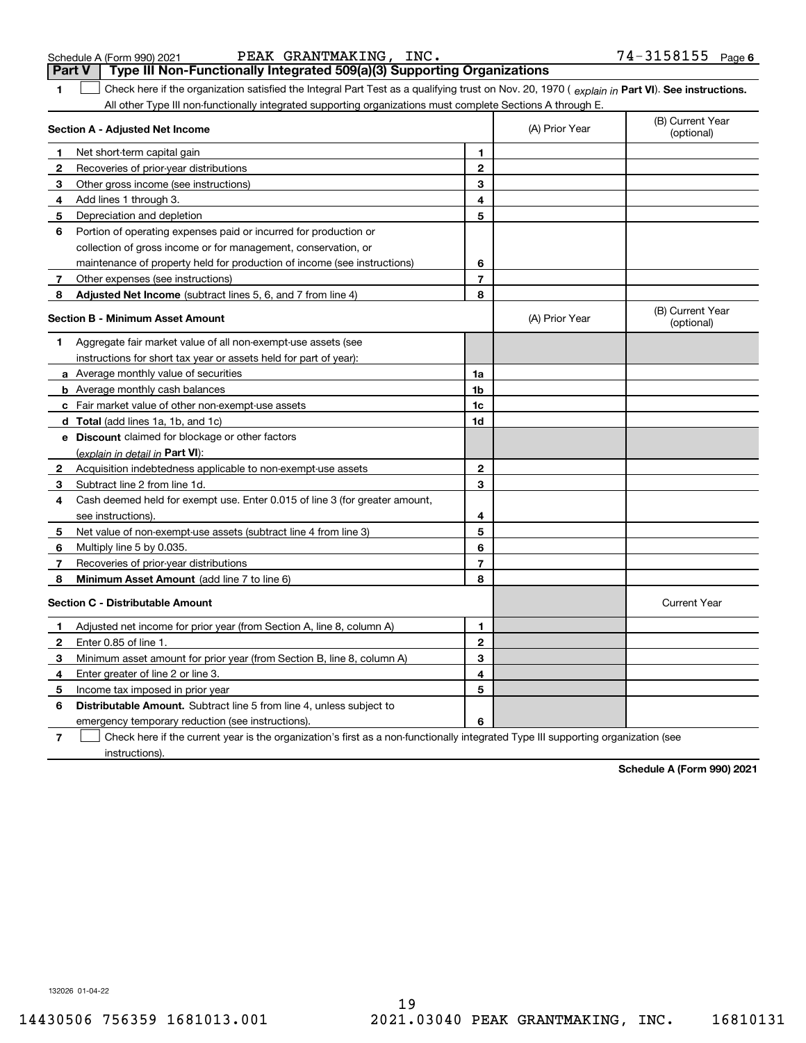| Schedule A (Form 990) 202 |  |  |  |
|---------------------------|--|--|--|
|---------------------------|--|--|--|

| Schedule A (Form 990) 2021 | PEAK GRANTMAKING, | INC. | 3158155 | Page 6 |
|----------------------------|-------------------|------|---------|--------|
|                            |                   |      |         |        |

| Part V       | Type III Non-Functionally Integrated 509(a)(3) Supporting Organizations                                                                        |                |                |                                |
|--------------|------------------------------------------------------------------------------------------------------------------------------------------------|----------------|----------------|--------------------------------|
| 1            | Check here if the organization satisfied the Integral Part Test as a qualifying trust on Nov. 20, 1970 (explain in Part VI). See instructions. |                |                |                                |
|              | All other Type III non-functionally integrated supporting organizations must complete Sections A through E.                                    |                |                |                                |
|              | Section A - Adjusted Net Income                                                                                                                |                | (A) Prior Year | (B) Current Year<br>(optional) |
| 1            | Net short-term capital gain                                                                                                                    | 1              |                |                                |
| $\mathbf{2}$ | Recoveries of prior-year distributions                                                                                                         | $\mathbf{2}$   |                |                                |
| 3            | Other gross income (see instructions)                                                                                                          | 3              |                |                                |
| 4            | Add lines 1 through 3.                                                                                                                         | 4              |                |                                |
| 5            | Depreciation and depletion                                                                                                                     | 5              |                |                                |
| 6            | Portion of operating expenses paid or incurred for production or                                                                               |                |                |                                |
|              | collection of gross income or for management, conservation, or                                                                                 |                |                |                                |
|              | maintenance of property held for production of income (see instructions)                                                                       | 6              |                |                                |
| 7            | Other expenses (see instructions)                                                                                                              | $\overline{7}$ |                |                                |
| 8            | <b>Adjusted Net Income</b> (subtract lines 5, 6, and 7 from line 4)                                                                            | 8              |                |                                |
|              | <b>Section B - Minimum Asset Amount</b>                                                                                                        |                | (A) Prior Year | (B) Current Year<br>(optional) |
| 1            | Aggregate fair market value of all non-exempt-use assets (see                                                                                  |                |                |                                |
|              | instructions for short tax year or assets held for part of year):                                                                              |                |                |                                |
|              | <b>a</b> Average monthly value of securities                                                                                                   | 1a             |                |                                |
|              | <b>b</b> Average monthly cash balances                                                                                                         | 1b             |                |                                |
|              | c Fair market value of other non-exempt-use assets                                                                                             | 1c             |                |                                |
|              | <b>d</b> Total (add lines 1a, 1b, and 1c)                                                                                                      | 1d             |                |                                |
|              | e Discount claimed for blockage or other factors                                                                                               |                |                |                                |
|              | (explain in detail in <b>Part VI</b> ):                                                                                                        |                |                |                                |
| 2            | Acquisition indebtedness applicable to non-exempt-use assets                                                                                   | $\mathbf 2$    |                |                                |
| 3            | Subtract line 2 from line 1d.                                                                                                                  | 3              |                |                                |
| 4            | Cash deemed held for exempt use. Enter 0.015 of line 3 (for greater amount,                                                                    |                |                |                                |
|              | see instructions).                                                                                                                             | 4              |                |                                |
| 5            | Net value of non-exempt-use assets (subtract line 4 from line 3)                                                                               | 5              |                |                                |
| 6            | Multiply line 5 by 0.035.                                                                                                                      | 6              |                |                                |
| 7            | Recoveries of prior-year distributions                                                                                                         | $\overline{7}$ |                |                                |
| 8            | Minimum Asset Amount (add line 7 to line 6)                                                                                                    | 8              |                |                                |
|              | <b>Section C - Distributable Amount</b>                                                                                                        |                |                | <b>Current Year</b>            |
| 1            | Adjusted net income for prior year (from Section A, line 8, column A)                                                                          | 1              |                |                                |
| 2            | Enter 0.85 of line 1.                                                                                                                          | $\overline{2}$ |                |                                |
| 3            | Minimum asset amount for prior year (from Section B, line 8, column A)                                                                         | 3              |                |                                |
| 4            | Enter greater of line 2 or line 3.                                                                                                             | 4              |                |                                |
| 5            | Income tax imposed in prior year                                                                                                               | 5              |                |                                |
| 6            | <b>Distributable Amount.</b> Subtract line 5 from line 4, unless subject to                                                                    |                |                |                                |
|              | emergency temporary reduction (see instructions).                                                                                              | 6              |                |                                |
| 7            | Check here if the current year is the organization's first as a non-functionally integrated Type III supporting organization (see              |                |                |                                |

**7** instructions).

**Schedule A (Form 990) 2021**

132026 01-04-22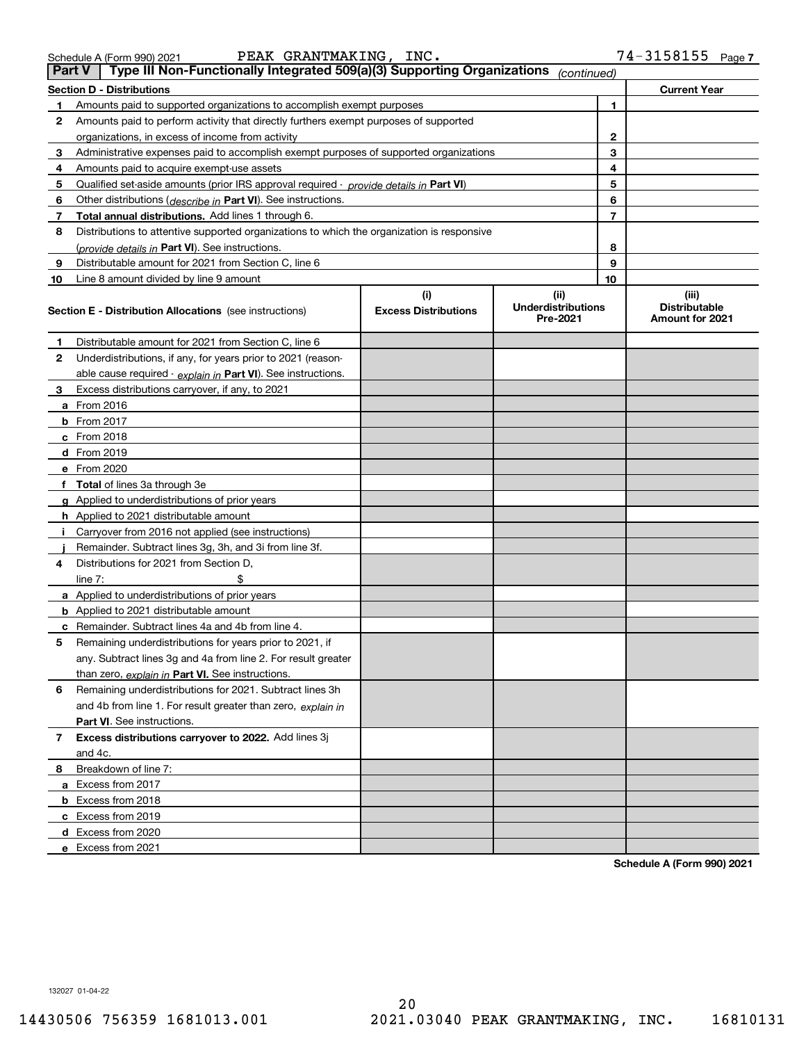**1** Amounts paid to supported organizations to accomplish exempt purposes **234**Amounts paid to acquire exempt-use assets **5** Qualified set-aside amounts (prior IRS approval required - *provide details in* Part VI) **6** Other distributions ( *describe in* Part VI). See instructions. **78**Distributions to attentive supported organizations to which the organization is responsive **Total annual distributions.** Add lines 1 through 6. (*provide details in* Part VI). See instructions. Amounts paid to perform activity that directly furthers exempt purposes of supported organizations, in excess of income from activity Administrative expenses paid to accomplish exempt purposes of supported organizations

|              | <i><u><b>Drovide details in Fart VII.</b></u></i> See instructions. |                                    |                                               | u |                                                  |
|--------------|---------------------------------------------------------------------|------------------------------------|-----------------------------------------------|---|--------------------------------------------------|
| 9            | Distributable amount for 2021 from Section C, line 6                | 9                                  |                                               |   |                                                  |
| 10           | Line 8 amount divided by line 9 amount                              |                                    | 10                                            |   |                                                  |
|              | <b>Section E - Distribution Allocations</b> (see instructions)      | (i)<br><b>Excess Distributions</b> | (ii)<br><b>Underdistributions</b><br>Pre-2021 |   | (iii)<br><b>Distributable</b><br>Amount for 2021 |
| 1            | Distributable amount for 2021 from Section C, line 6                |                                    |                                               |   |                                                  |
| $\mathbf{2}$ | Underdistributions, if any, for years prior to 2021 (reason-        |                                    |                                               |   |                                                  |
|              | able cause required $\cdot$ explain in Part VI). See instructions.  |                                    |                                               |   |                                                  |
| 3            | Excess distributions carryover, if any, to 2021                     |                                    |                                               |   |                                                  |
|              | <b>a</b> From 2016                                                  |                                    |                                               |   |                                                  |
|              | <b>b</b> From 2017                                                  |                                    |                                               |   |                                                  |
|              | c From 2018                                                         |                                    |                                               |   |                                                  |
|              | d From 2019                                                         |                                    |                                               |   |                                                  |
|              | e From 2020                                                         |                                    |                                               |   |                                                  |
|              | f Total of lines 3a through 3e                                      |                                    |                                               |   |                                                  |
|              | g Applied to underdistributions of prior years                      |                                    |                                               |   |                                                  |
|              | h Applied to 2021 distributable amount                              |                                    |                                               |   |                                                  |
| i.           | Carryover from 2016 not applied (see instructions)                  |                                    |                                               |   |                                                  |
|              | Remainder. Subtract lines 3g, 3h, and 3i from line 3f.              |                                    |                                               |   |                                                  |
| 4            | Distributions for 2021 from Section D.                              |                                    |                                               |   |                                                  |
|              | line $7:$<br>\$                                                     |                                    |                                               |   |                                                  |
|              | <b>a</b> Applied to underdistributions of prior years               |                                    |                                               |   |                                                  |
|              | <b>b</b> Applied to 2021 distributable amount                       |                                    |                                               |   |                                                  |
|              | <b>c</b> Remainder. Subtract lines 4a and 4b from line 4.           |                                    |                                               |   |                                                  |
| 5            | Remaining underdistributions for years prior to 2021, if            |                                    |                                               |   |                                                  |
|              | any. Subtract lines 3g and 4a from line 2. For result greater       |                                    |                                               |   |                                                  |
|              | than zero, $explain in$ Part VI. See instructions.                  |                                    |                                               |   |                                                  |
| 6            | Remaining underdistributions for 2021. Subtract lines 3h            |                                    |                                               |   |                                                  |
|              | and 4b from line 1. For result greater than zero, explain in        |                                    |                                               |   |                                                  |
|              | <b>Part VI.</b> See instructions.                                   |                                    |                                               |   |                                                  |
| 7            | Excess distributions carryover to 2022. Add lines 3j                |                                    |                                               |   |                                                  |
|              | and 4c.                                                             |                                    |                                               |   |                                                  |
| 8            | Breakdown of line 7:                                                |                                    |                                               |   |                                                  |
|              | a Excess from 2017                                                  |                                    |                                               |   |                                                  |
|              | <b>b</b> Excess from 2018                                           |                                    |                                               |   |                                                  |
|              | c Excess from 2019                                                  |                                    |                                               |   |                                                  |
|              | d Excess from 2020                                                  |                                    |                                               |   |                                                  |
|              | e Excess from 2021                                                  |                                    |                                               |   |                                                  |
|              |                                                                     |                                    |                                               |   | <b>Calcadole A (Fauge 000) 000</b>               |

**Section D - Distributions Current Year Part V** Type III Non-Functionally Integrated 509(a)(3) Supporting Organizations (continued)

**1**

**8**

**Schedule A (Form 990) 2021**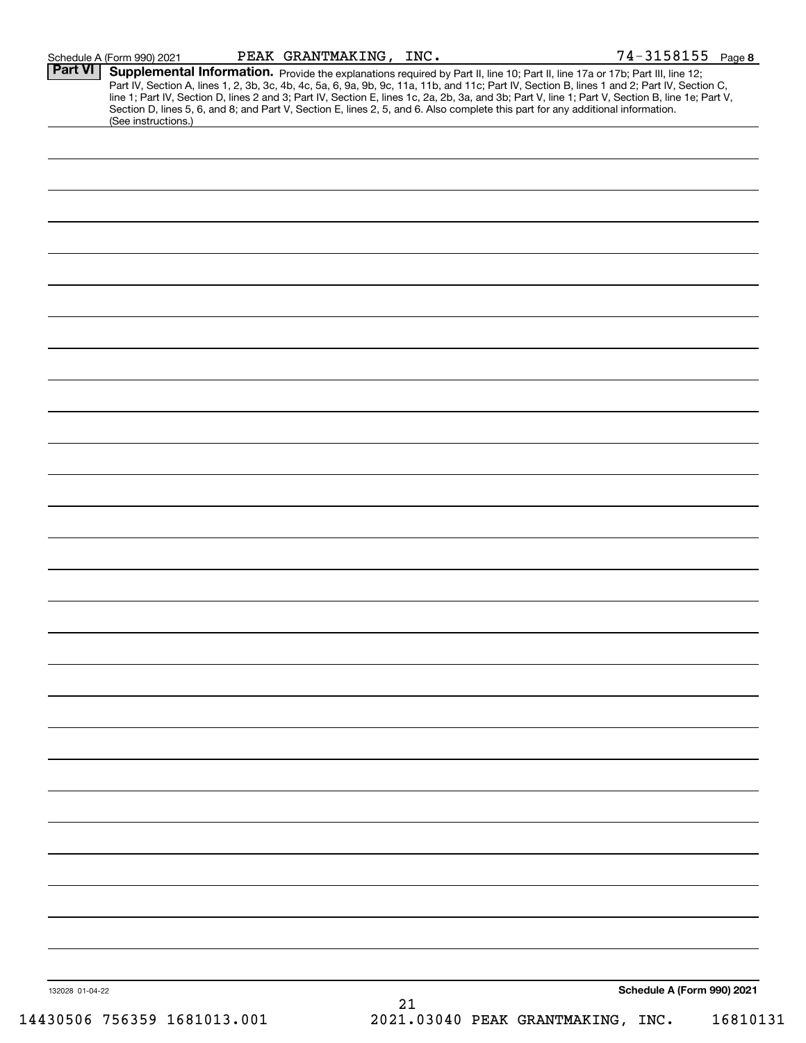|                 | line 1; Part IV, Section D, lines 2 and 3; Part IV, Section E, lines 1c, 2a, 2b, 3a, and 3b; Part V, line 1; Part V, Section B, line 1e; Part V,<br>Section D, lines 5, 6, and 8; and Part V, Section E, lines 2, 5, and 6. Also complete this part for any additional information.<br>(See instructions.) |
|-----------------|------------------------------------------------------------------------------------------------------------------------------------------------------------------------------------------------------------------------------------------------------------------------------------------------------------|
|                 |                                                                                                                                                                                                                                                                                                            |
|                 |                                                                                                                                                                                                                                                                                                            |
|                 |                                                                                                                                                                                                                                                                                                            |
|                 |                                                                                                                                                                                                                                                                                                            |
|                 |                                                                                                                                                                                                                                                                                                            |
|                 |                                                                                                                                                                                                                                                                                                            |
|                 |                                                                                                                                                                                                                                                                                                            |
|                 |                                                                                                                                                                                                                                                                                                            |
|                 |                                                                                                                                                                                                                                                                                                            |
|                 |                                                                                                                                                                                                                                                                                                            |
|                 |                                                                                                                                                                                                                                                                                                            |
|                 |                                                                                                                                                                                                                                                                                                            |
|                 |                                                                                                                                                                                                                                                                                                            |
|                 |                                                                                                                                                                                                                                                                                                            |
|                 |                                                                                                                                                                                                                                                                                                            |
|                 |                                                                                                                                                                                                                                                                                                            |
|                 |                                                                                                                                                                                                                                                                                                            |
|                 |                                                                                                                                                                                                                                                                                                            |
|                 |                                                                                                                                                                                                                                                                                                            |
|                 |                                                                                                                                                                                                                                                                                                            |
|                 |                                                                                                                                                                                                                                                                                                            |
|                 |                                                                                                                                                                                                                                                                                                            |
|                 |                                                                                                                                                                                                                                                                                                            |
|                 |                                                                                                                                                                                                                                                                                                            |
|                 |                                                                                                                                                                                                                                                                                                            |
|                 |                                                                                                                                                                                                                                                                                                            |
|                 |                                                                                                                                                                                                                                                                                                            |
|                 |                                                                                                                                                                                                                                                                                                            |
|                 |                                                                                                                                                                                                                                                                                                            |
|                 |                                                                                                                                                                                                                                                                                                            |
|                 |                                                                                                                                                                                                                                                                                                            |
|                 |                                                                                                                                                                                                                                                                                                            |
|                 |                                                                                                                                                                                                                                                                                                            |
|                 |                                                                                                                                                                                                                                                                                                            |
|                 |                                                                                                                                                                                                                                                                                                            |
|                 |                                                                                                                                                                                                                                                                                                            |
|                 |                                                                                                                                                                                                                                                                                                            |
|                 |                                                                                                                                                                                                                                                                                                            |
|                 |                                                                                                                                                                                                                                                                                                            |
|                 |                                                                                                                                                                                                                                                                                                            |
|                 |                                                                                                                                                                                                                                                                                                            |
|                 |                                                                                                                                                                                                                                                                                                            |
|                 |                                                                                                                                                                                                                                                                                                            |
| 132028 01-04-22 | Schedule A (Form 990) 2021                                                                                                                                                                                                                                                                                 |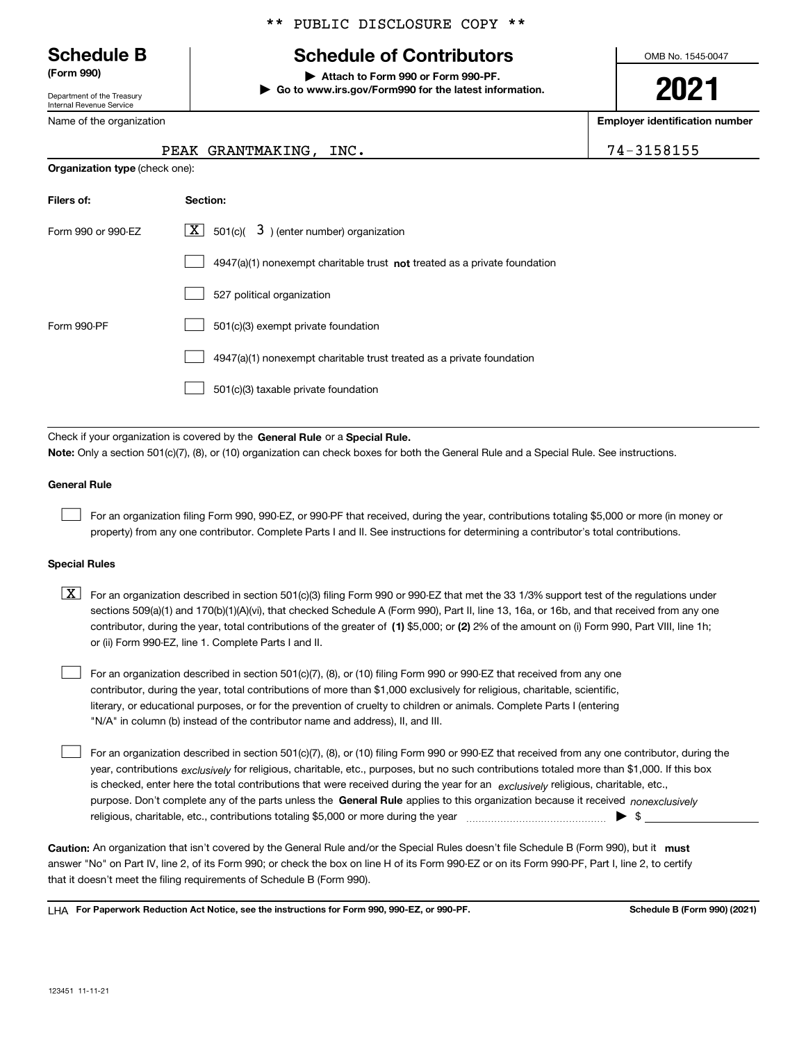Department of the Treasury Internal Revenue Service

Name of the organization

**Organization type** (check one):

#### \*\* PUBLIC DISCLOSURE COPY \*\*

# **Schedule B Schedule of Contributors**

**(Form 990) | Attach to Form 990 or Form 990-PF. | Go to www.irs.gov/Form990 for the latest information.** OMB No. 1545-0047

# **2021**

**Employer identification number**

NTMAKING, INC. 2002. [201] 74-3158155

| PEAK GRAI |  |
|-----------|--|

| Filers of:         | Section:                                                                    |
|--------------------|-----------------------------------------------------------------------------|
|                    |                                                                             |
| Form 990 or 990-EZ | $X$ 501(c)( 3) (enter number) organization                                  |
|                    | $4947(a)(1)$ nonexempt charitable trust not treated as a private foundation |
|                    | 527 political organization                                                  |
| Form 990-PF        | 501(c)(3) exempt private foundation                                         |
|                    | 4947(a)(1) nonexempt charitable trust treated as a private foundation       |
|                    | 501(c)(3) taxable private foundation                                        |

Check if your organization is covered by the **General Rule** or a **Special Rule. Note:**  Only a section 501(c)(7), (8), or (10) organization can check boxes for both the General Rule and a Special Rule. See instructions.

#### **General Rule**

 $\mathcal{L}^{\text{max}}$ 

For an organization filing Form 990, 990-EZ, or 990-PF that received, during the year, contributions totaling \$5,000 or more (in money or property) from any one contributor. Complete Parts I and II. See instructions for determining a contributor's total contributions.

#### **Special Rules**

contributor, during the year, total contributions of the greater of (1**)** \$5,000; or (2) 2% of the amount on (i) Form 990, Part VIII, line 1h;  $\boxed{\textbf{X}}$  For an organization described in section 501(c)(3) filing Form 990 or 990-EZ that met the 33 1/3% support test of the regulations under sections 509(a)(1) and 170(b)(1)(A)(vi), that checked Schedule A (Form 990), Part II, line 13, 16a, or 16b, and that received from any one or (ii) Form 990-EZ, line 1. Complete Parts I and II.

For an organization described in section 501(c)(7), (8), or (10) filing Form 990 or 990-EZ that received from any one contributor, during the year, total contributions of more than \$1,000 exclusively for religious, charitable, scientific, literary, or educational purposes, or for the prevention of cruelty to children or animals. Complete Parts I (entering "N/A" in column (b) instead of the contributor name and address), II, and III.  $\mathcal{L}^{\text{max}}$ 

purpose. Don't complete any of the parts unless the **General Rule** applies to this organization because it received *nonexclusively* year, contributions <sub>exclusively</sub> for religious, charitable, etc., purposes, but no such contributions totaled more than \$1,000. If this box is checked, enter here the total contributions that were received during the year for an  $\;$ exclusively religious, charitable, etc., For an organization described in section 501(c)(7), (8), or (10) filing Form 990 or 990-EZ that received from any one contributor, during the religious, charitable, etc., contributions totaling \$5,000 or more during the year  $\Box$ — $\Box$   $\Box$  $\mathcal{L}^{\text{max}}$ 

Caution: An organization that isn't covered by the General Rule and/or the Special Rules doesn't file Schedule B (Form 990), but it **must** answer "No" on Part IV, line 2, of its Form 990; or check the box on line H of its Form 990-EZ or on its Form 990-PF, Part I, line 2, to certify that it doesn't meet the filing requirements of Schedule B (Form 990).

LHA For Paperwork Reduction Act Notice, see the instructions for Form 990, 990-EZ, or 990-PF. **In the act and Schedule B** (Form 990) (2021)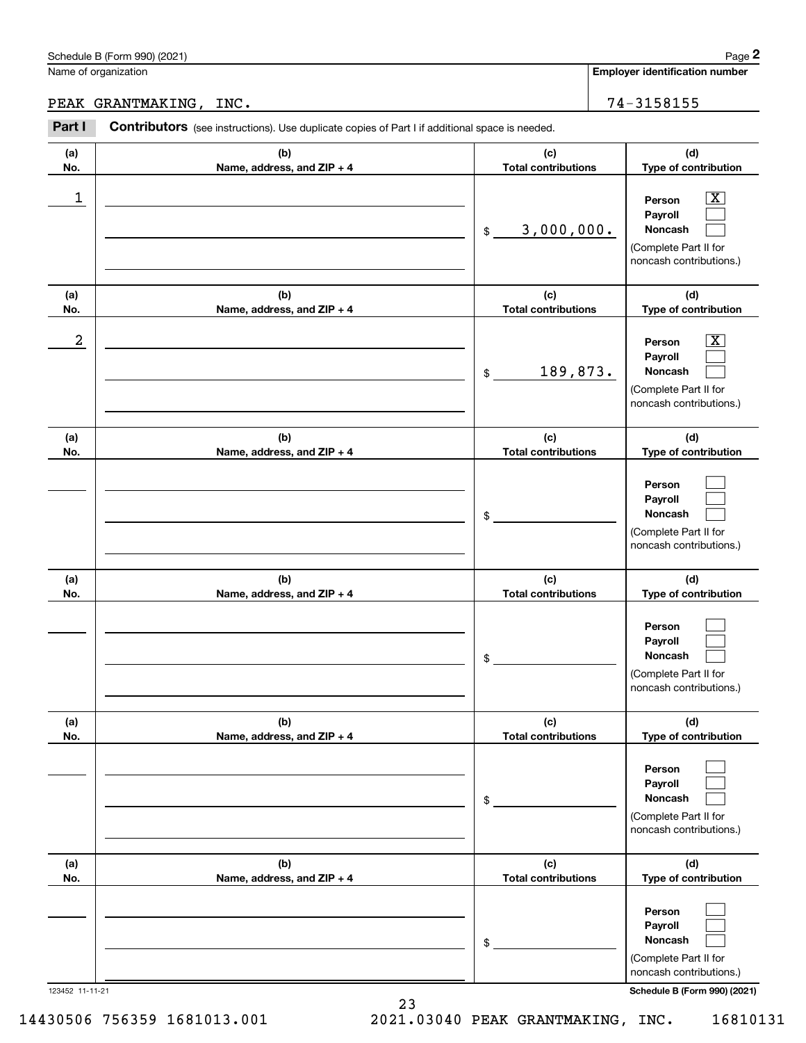PEAK GRANTMAKING, INC. The contract of the contract of the 194-3158155

#### 123452 11-11-21 **Schedule B (Form 990) (2021) (a)No.(b)Name, address, and ZIP + 4 (c)Total contributions (d)Type of contribution PersonPayrollNoncash (a)No.(b)Name, address, and ZIP + 4 (c)Total contributions (d)Type of contribution PersonPayrollNoncash (a)No.(b)Name, address, and ZIP + 4 (c)Total contributions (d)Type of contribution PersonPayrollNoncash (a) No.(b) Name, address, and ZIP + 4 (c) Total contributions (d) Type of contribution PersonPayrollNoncash (a) No.(b) Name, address, and ZIP + 4 (c) Total contributions (d) Type of contribution PersonPayrollNoncash(a) No.(b)Name, address, and ZIP + 4 (c) Total contributions (d)Type of contribution PersonPayrollNoncash Contributors** (see instructions). Use duplicate copies of Part I if additional space is needed. \$(Complete Part II for noncash contributions.) \$(Complete Part II for noncash contributions.) \$(Complete Part II for noncash contributions.) \$(Complete Part II for noncash contributions.) \$(Complete Part II for noncash contributions.) \$(Complete Part II for noncash contributions.) Chedule B (Form 990) (2021)<br> **2Page 2**<br> **2PAR GRANTMAKING, INC.**<br> **2Part I** Contributors (see instructions). Use duplicate copies of Part I if additional space is needed.  $|X|$  $\mathcal{L}^{\text{max}}$  $\mathcal{L}^{\text{max}}$  $\boxed{\text{X}}$  $\mathcal{L}^{\text{max}}$  $\mathcal{L}^{\text{max}}$  $\mathcal{L}^{\text{max}}$  $\mathcal{L}^{\text{max}}$  $\mathcal{L}^{\text{max}}$  $\mathcal{L}^{\text{max}}$  $\mathcal{L}^{\text{max}}$  $\mathcal{L}^{\text{max}}$  $\mathcal{L}^{\text{max}}$  $\mathcal{L}^{\text{max}}$  $\mathcal{L}^{\text{max}}$  $\mathcal{L}^{\text{max}}$  $\mathcal{L}^{\text{max}}$  $\mathcal{L}^{\text{max}}$ 1 X 3,000,000.  $2$  | Person  $\overline{\text{X}}$ 189,873.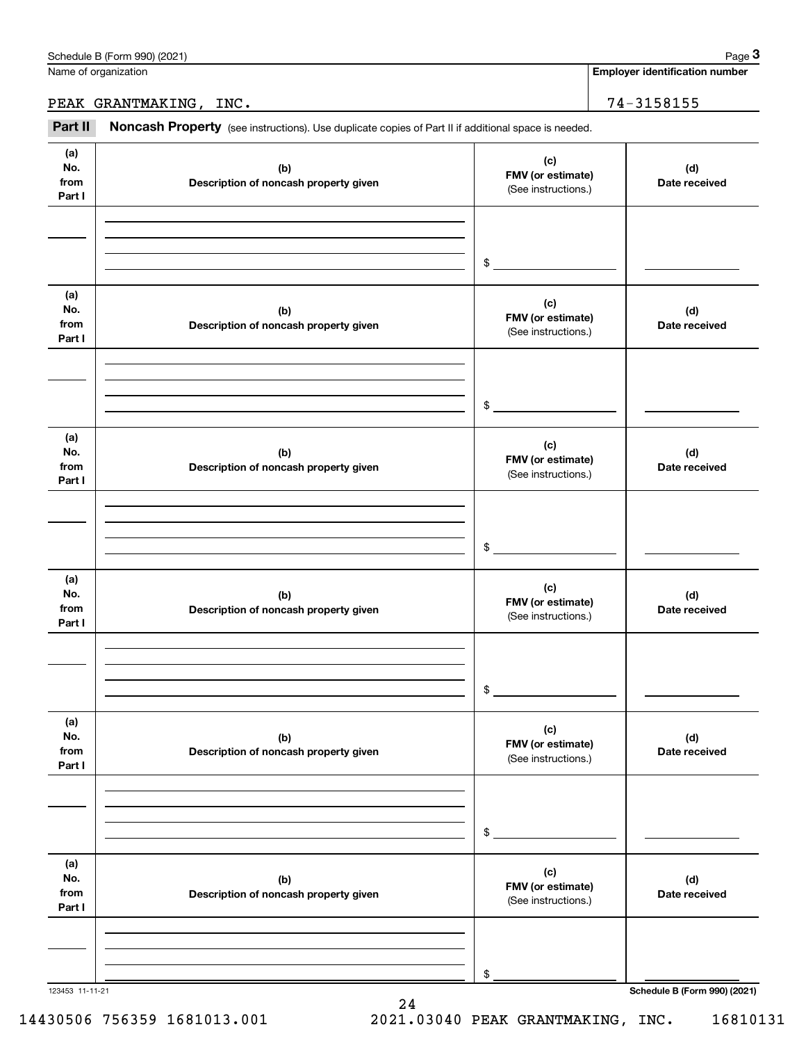| Schedule<br>ו 990) (2021)<br>: B (Form<br>the contract of the contract of |  |       |                         | $\cdot$ $\sim$<br>auc |
|---------------------------------------------------------------------------|--|-------|-------------------------|-----------------------|
|                                                                           |  | _____ | the control of the con- |                       |

Name of organization

**Employer identification number**

## PEAK GRANTMAKING, INC. 2008 2010 2020 2020 2031 204-3158155

(see instructions). Use duplicate copies of Part II if additional space is needed.<br> **3Part II Roncash Property** (see instructions). Use duplicate copies of Part II if additional space is needed.

| (a)<br>No.<br>from<br>Part I | (b)<br>Description of noncash property given | (c)<br>FMV (or estimate)<br>(See instructions.) | (d)<br>Date received         |
|------------------------------|----------------------------------------------|-------------------------------------------------|------------------------------|
|                              |                                              | \$                                              |                              |
| (a)<br>No.<br>from<br>Part I | (b)<br>Description of noncash property given | (c)<br>FMV (or estimate)<br>(See instructions.) | (d)<br>Date received         |
|                              |                                              | \$                                              |                              |
| (a)<br>No.<br>from<br>Part I | (b)<br>Description of noncash property given | (c)<br>FMV (or estimate)<br>(See instructions.) | (d)<br>Date received         |
|                              |                                              | \$                                              |                              |
| (a)<br>No.<br>from<br>Part I | (b)<br>Description of noncash property given | (c)<br>FMV (or estimate)<br>(See instructions.) | (d)<br>Date received         |
|                              |                                              | \$                                              |                              |
| (a)<br>No.<br>from<br>Part I | (b)<br>Description of noncash property given | (c)<br>FMV (or estimate)<br>(See instructions.) | (d)<br>Date received         |
|                              |                                              | \$                                              |                              |
| (a)<br>No.<br>from<br>Part I | (b)<br>Description of noncash property given | (c)<br>FMV (or estimate)<br>(See instructions.) | (d)<br>Date received         |
|                              |                                              | \$                                              |                              |
| 123453 11-11-21              |                                              |                                                 | Schedule B (Form 990) (2021) |

24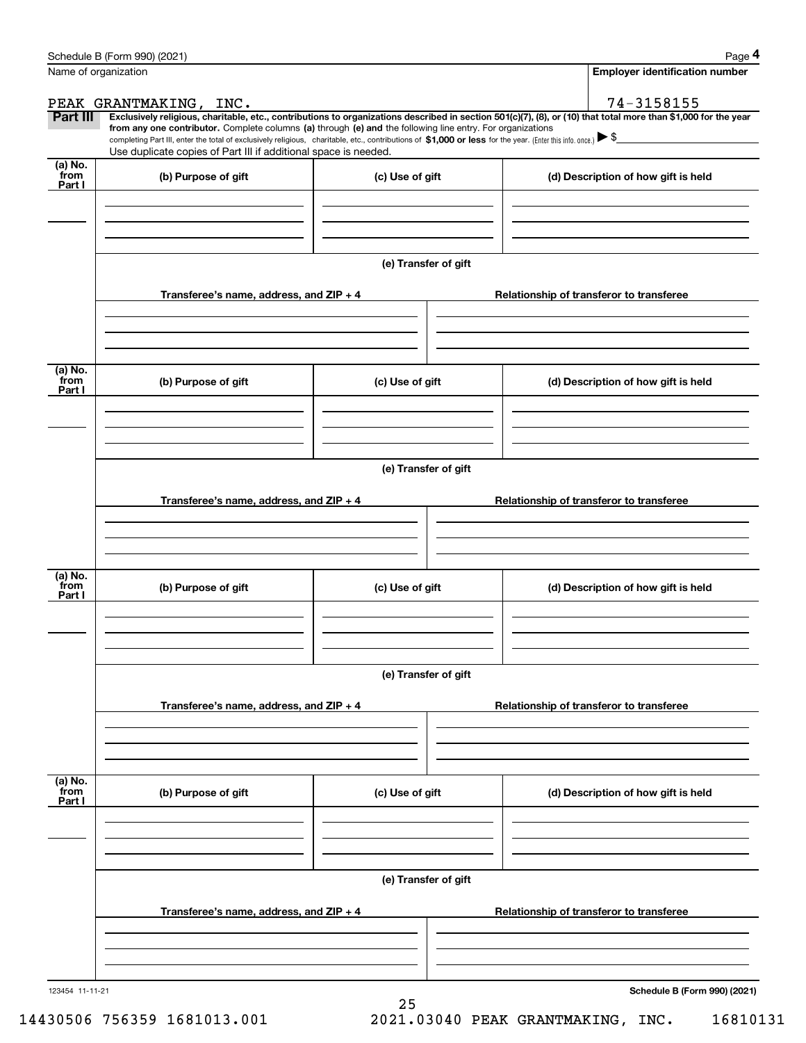|                           | Schedule B (Form 990) (2021)                                                                                                                                                                                                                                                                    |                      | Page 4                                   |
|---------------------------|-------------------------------------------------------------------------------------------------------------------------------------------------------------------------------------------------------------------------------------------------------------------------------------------------|----------------------|------------------------------------------|
|                           | Name of organization                                                                                                                                                                                                                                                                            |                      | <b>Employer identification number</b>    |
|                           | PEAK GRANTMAKING, INC.                                                                                                                                                                                                                                                                          |                      | 74-3158155                               |
| Part III                  | Exclusively religious, charitable, etc., contributions to organizations described in section 501(c)(7), (8), or (10) that total more than \$1,000 for the year                                                                                                                                  |                      |                                          |
|                           | from any one contributor. Complete columns (a) through (e) and the following line entry. For organizations<br>completing Part III, enter the total of exclusively religious, charitable, etc., contributions of \$1,000 or less for the year. (Enter this info. once.) $\blacktriangleright$ \$ |                      |                                          |
|                           | Use duplicate copies of Part III if additional space is needed.                                                                                                                                                                                                                                 |                      |                                          |
| (a) No.<br>from<br>Part I | (b) Purpose of gift                                                                                                                                                                                                                                                                             | (c) Use of gift      | (d) Description of how gift is held      |
|                           |                                                                                                                                                                                                                                                                                                 |                      |                                          |
|                           |                                                                                                                                                                                                                                                                                                 |                      |                                          |
|                           |                                                                                                                                                                                                                                                                                                 | (e) Transfer of gift |                                          |
|                           | Transferee's name, address, and ZIP + 4                                                                                                                                                                                                                                                         |                      | Relationship of transferor to transferee |
|                           |                                                                                                                                                                                                                                                                                                 |                      |                                          |
| (a) No.<br>from<br>Part I | (b) Purpose of gift                                                                                                                                                                                                                                                                             | (c) Use of gift      | (d) Description of how gift is held      |
|                           |                                                                                                                                                                                                                                                                                                 |                      |                                          |
|                           |                                                                                                                                                                                                                                                                                                 |                      |                                          |
|                           |                                                                                                                                                                                                                                                                                                 | (e) Transfer of gift |                                          |
|                           | Transferee's name, address, and $ZIP + 4$                                                                                                                                                                                                                                                       |                      | Relationship of transferor to transferee |
|                           |                                                                                                                                                                                                                                                                                                 |                      |                                          |
|                           |                                                                                                                                                                                                                                                                                                 |                      |                                          |
| (a) No.<br>from<br>Part I | (b) Purpose of gift                                                                                                                                                                                                                                                                             | (c) Use of gift      | (d) Description of how gift is held      |
|                           |                                                                                                                                                                                                                                                                                                 |                      |                                          |
|                           |                                                                                                                                                                                                                                                                                                 | (e) Transfer of gift |                                          |
|                           | Transferee's name, address, and $ZIP + 4$                                                                                                                                                                                                                                                       |                      | Relationship of transferor to transferee |
|                           |                                                                                                                                                                                                                                                                                                 |                      |                                          |
|                           |                                                                                                                                                                                                                                                                                                 |                      |                                          |
| (a) No.<br>from<br>Part I | (b) Purpose of gift                                                                                                                                                                                                                                                                             | (c) Use of gift      | (d) Description of how gift is held      |
|                           |                                                                                                                                                                                                                                                                                                 |                      |                                          |
|                           |                                                                                                                                                                                                                                                                                                 |                      |                                          |
|                           |                                                                                                                                                                                                                                                                                                 | (e) Transfer of gift |                                          |
|                           | Transferee's name, address, and $ZIP + 4$                                                                                                                                                                                                                                                       |                      | Relationship of transferor to transferee |
|                           |                                                                                                                                                                                                                                                                                                 |                      |                                          |
| 123454 11-11-21           |                                                                                                                                                                                                                                                                                                 |                      | Schedule B (Form 990) (2021)             |

25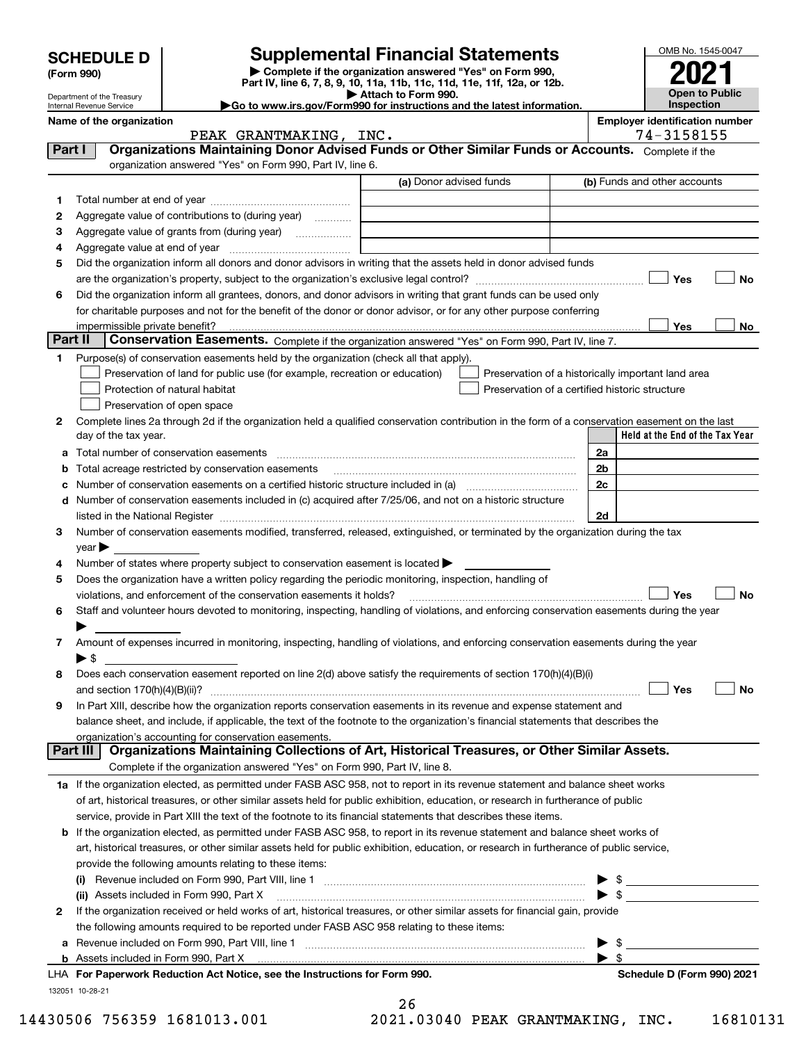|         |                                                                                                                                                                   |                                                                                                        | <b>Supplemental Financial Statements</b>                                                                                                                                                                                      |                         | OMB No. 1545-0047                                   |  |  |
|---------|-------------------------------------------------------------------------------------------------------------------------------------------------------------------|--------------------------------------------------------------------------------------------------------|-------------------------------------------------------------------------------------------------------------------------------------------------------------------------------------------------------------------------------|-------------------------|-----------------------------------------------------|--|--|
|         | <b>SCHEDULE D</b><br>(Form 990)                                                                                                                                   |                                                                                                        | Complete if the organization answered "Yes" on Form 990,                                                                                                                                                                      |                         |                                                     |  |  |
|         |                                                                                                                                                                   |                                                                                                        | Part IV, line 6, 7, 8, 9, 10, 11a, 11b, 11c, 11d, 11e, 11f, 12a, or 12b.<br>Attach to Form 990.                                                                                                                               |                         | <b>Open to Public</b>                               |  |  |
|         | Department of the Treasury<br>Internal Revenue Service                                                                                                            |                                                                                                        | Go to www.irs.gov/Form990 for instructions and the latest information.                                                                                                                                                        |                         | Inspection                                          |  |  |
|         | Name of the organization                                                                                                                                          | PEAK GRANTMAKING, INC.                                                                                 |                                                                                                                                                                                                                               |                         | <b>Employer identification number</b><br>74-3158155 |  |  |
| Part I  |                                                                                                                                                                   |                                                                                                        | Organizations Maintaining Donor Advised Funds or Other Similar Funds or Accounts. Complete if the                                                                                                                             |                         |                                                     |  |  |
|         |                                                                                                                                                                   | organization answered "Yes" on Form 990, Part IV, line 6.                                              |                                                                                                                                                                                                                               |                         |                                                     |  |  |
|         |                                                                                                                                                                   |                                                                                                        | (a) Donor advised funds                                                                                                                                                                                                       |                         | (b) Funds and other accounts                        |  |  |
| 1       |                                                                                                                                                                   |                                                                                                        |                                                                                                                                                                                                                               |                         |                                                     |  |  |
| 2       |                                                                                                                                                                   | Aggregate value of contributions to (during year)                                                      |                                                                                                                                                                                                                               |                         |                                                     |  |  |
| 3       |                                                                                                                                                                   |                                                                                                        | <u> 1989 - Johann Stein, mars an deus an deus Amerikaansk kommunister (</u>                                                                                                                                                   |                         |                                                     |  |  |
| 4       |                                                                                                                                                                   |                                                                                                        |                                                                                                                                                                                                                               |                         |                                                     |  |  |
| 5       | Did the organization inform all donors and donor advisors in writing that the assets held in donor advised funds                                                  |                                                                                                        |                                                                                                                                                                                                                               |                         |                                                     |  |  |
|         |                                                                                                                                                                   |                                                                                                        |                                                                                                                                                                                                                               |                         | Yes<br>No                                           |  |  |
| 6       | Did the organization inform all grantees, donors, and donor advisors in writing that grant funds can be used only                                                 |                                                                                                        |                                                                                                                                                                                                                               |                         |                                                     |  |  |
|         | for charitable purposes and not for the benefit of the donor or donor advisor, or for any other purpose conferring<br>impermissible private benefit?              |                                                                                                        |                                                                                                                                                                                                                               |                         |                                                     |  |  |
| Part II |                                                                                                                                                                   |                                                                                                        | Conservation Easements. Complete if the organization answered "Yes" on Form 990, Part IV, line 7.                                                                                                                             |                         | Yes<br>No                                           |  |  |
| 1       |                                                                                                                                                                   | Purpose(s) of conservation easements held by the organization (check all that apply).                  |                                                                                                                                                                                                                               |                         |                                                     |  |  |
|         |                                                                                                                                                                   | Preservation of land for public use (for example, recreation or education)                             | Preservation of a historically important land area                                                                                                                                                                            |                         |                                                     |  |  |
|         |                                                                                                                                                                   | Protection of natural habitat                                                                          | Preservation of a certified historic structure                                                                                                                                                                                |                         |                                                     |  |  |
|         |                                                                                                                                                                   | Preservation of open space                                                                             |                                                                                                                                                                                                                               |                         |                                                     |  |  |
| 2       |                                                                                                                                                                   |                                                                                                        | Complete lines 2a through 2d if the organization held a qualified conservation contribution in the form of a conservation easement on the last                                                                                |                         |                                                     |  |  |
|         | day of the tax year.                                                                                                                                              |                                                                                                        |                                                                                                                                                                                                                               |                         | Held at the End of the Tax Year                     |  |  |
| a       |                                                                                                                                                                   |                                                                                                        |                                                                                                                                                                                                                               | 2a                      |                                                     |  |  |
| b       |                                                                                                                                                                   | Total acreage restricted by conservation easements                                                     |                                                                                                                                                                                                                               | 2b                      |                                                     |  |  |
| с       |                                                                                                                                                                   |                                                                                                        |                                                                                                                                                                                                                               | 2c                      |                                                     |  |  |
|         |                                                                                                                                                                   |                                                                                                        | d Number of conservation easements included in (c) acquired after 7/25/06, and not on a historic structure                                                                                                                    |                         |                                                     |  |  |
|         |                                                                                                                                                                   |                                                                                                        | listed in the National Register [111] Marshall Register [11] Marshall Register [11] Marshall Register [11] Marshall Register [11] Marshall Register [11] Marshall Register [11] Marshall Register [11] Marshall Register [11] | 2d                      |                                                     |  |  |
| 3       | $year \blacktriangleright$                                                                                                                                        |                                                                                                        | Number of conservation easements modified, transferred, released, extinguished, or terminated by the organization during the tax                                                                                              |                         |                                                     |  |  |
| 4       |                                                                                                                                                                   | Number of states where property subject to conservation easement is located $\blacktriangleright$      |                                                                                                                                                                                                                               |                         |                                                     |  |  |
| 5       |                                                                                                                                                                   | Does the organization have a written policy regarding the periodic monitoring, inspection, handling of |                                                                                                                                                                                                                               |                         |                                                     |  |  |
|         |                                                                                                                                                                   | violations, and enforcement of the conservation easements it holds?                                    |                                                                                                                                                                                                                               |                         | Yes<br><b>No</b>                                    |  |  |
| 6       |                                                                                                                                                                   |                                                                                                        | Staff and volunteer hours devoted to monitoring, inspecting, handling of violations, and enforcing conservation easements during the year                                                                                     |                         |                                                     |  |  |
|         |                                                                                                                                                                   |                                                                                                        |                                                                                                                                                                                                                               |                         |                                                     |  |  |
| 7       |                                                                                                                                                                   |                                                                                                        | Amount of expenses incurred in monitoring, inspecting, handling of violations, and enforcing conservation easements during the year                                                                                           |                         |                                                     |  |  |
|         | $\blacktriangleright$ \$                                                                                                                                          |                                                                                                        |                                                                                                                                                                                                                               |                         |                                                     |  |  |
| 8       |                                                                                                                                                                   |                                                                                                        | Does each conservation easement reported on line 2(d) above satisfy the requirements of section 170(h)(4)(B)(i)                                                                                                               |                         |                                                     |  |  |
|         |                                                                                                                                                                   |                                                                                                        |                                                                                                                                                                                                                               |                         | Yes<br>No                                           |  |  |
| 9       |                                                                                                                                                                   |                                                                                                        | In Part XIII, describe how the organization reports conservation easements in its revenue and expense statement and                                                                                                           |                         |                                                     |  |  |
|         | balance sheet, and include, if applicable, the text of the footnote to the organization's financial statements that describes the                                 |                                                                                                        |                                                                                                                                                                                                                               |                         |                                                     |  |  |
|         | organization's accounting for conservation easements.<br>Organizations Maintaining Collections of Art, Historical Treasures, or Other Similar Assets.<br>Part III |                                                                                                        |                                                                                                                                                                                                                               |                         |                                                     |  |  |
|         |                                                                                                                                                                   | Complete if the organization answered "Yes" on Form 990, Part IV, line 8.                              |                                                                                                                                                                                                                               |                         |                                                     |  |  |
|         |                                                                                                                                                                   |                                                                                                        | 1a If the organization elected, as permitted under FASB ASC 958, not to report in its revenue statement and balance sheet works                                                                                               |                         |                                                     |  |  |
|         |                                                                                                                                                                   |                                                                                                        | of art, historical treasures, or other similar assets held for public exhibition, education, or research in furtherance of public                                                                                             |                         |                                                     |  |  |
|         |                                                                                                                                                                   |                                                                                                        | service, provide in Part XIII the text of the footnote to its financial statements that describes these items.                                                                                                                |                         |                                                     |  |  |
|         |                                                                                                                                                                   |                                                                                                        | <b>b</b> If the organization elected, as permitted under FASB ASC 958, to report in its revenue statement and balance sheet works of                                                                                          |                         |                                                     |  |  |
|         |                                                                                                                                                                   |                                                                                                        | art, historical treasures, or other similar assets held for public exhibition, education, or research in furtherance of public service,                                                                                       |                         |                                                     |  |  |
|         |                                                                                                                                                                   | provide the following amounts relating to these items:                                                 |                                                                                                                                                                                                                               |                         |                                                     |  |  |
|         |                                                                                                                                                                   |                                                                                                        |                                                                                                                                                                                                                               |                         | $\triangleright$ \$                                 |  |  |
|         |                                                                                                                                                                   |                                                                                                        | (ii) Assets included in Form 990, Part X [11] Marson Marson Marson Marson Marson Marson Marson Marson Marson M                                                                                                                |                         |                                                     |  |  |
| 2       |                                                                                                                                                                   |                                                                                                        | If the organization received or held works of art, historical treasures, or other similar assets for financial gain, provide                                                                                                  |                         |                                                     |  |  |
|         |                                                                                                                                                                   | the following amounts required to be reported under FASB ASC 958 relating to these items:              |                                                                                                                                                                                                                               |                         |                                                     |  |  |
|         |                                                                                                                                                                   |                                                                                                        |                                                                                                                                                                                                                               |                         | $\triangleright$ \$                                 |  |  |
|         |                                                                                                                                                                   |                                                                                                        |                                                                                                                                                                                                                               | $\blacktriangleright$ s |                                                     |  |  |
|         |                                                                                                                                                                   | LHA For Paperwork Reduction Act Notice, see the Instructions for Form 990.                             |                                                                                                                                                                                                                               |                         | Schedule D (Form 990) 2021                          |  |  |
|         | 132051 10-28-21                                                                                                                                                   |                                                                                                        |                                                                                                                                                                                                                               |                         |                                                     |  |  |

|      | 26 |     |  |
|------|----|-----|--|
| ດ ລາ |    | כ ח |  |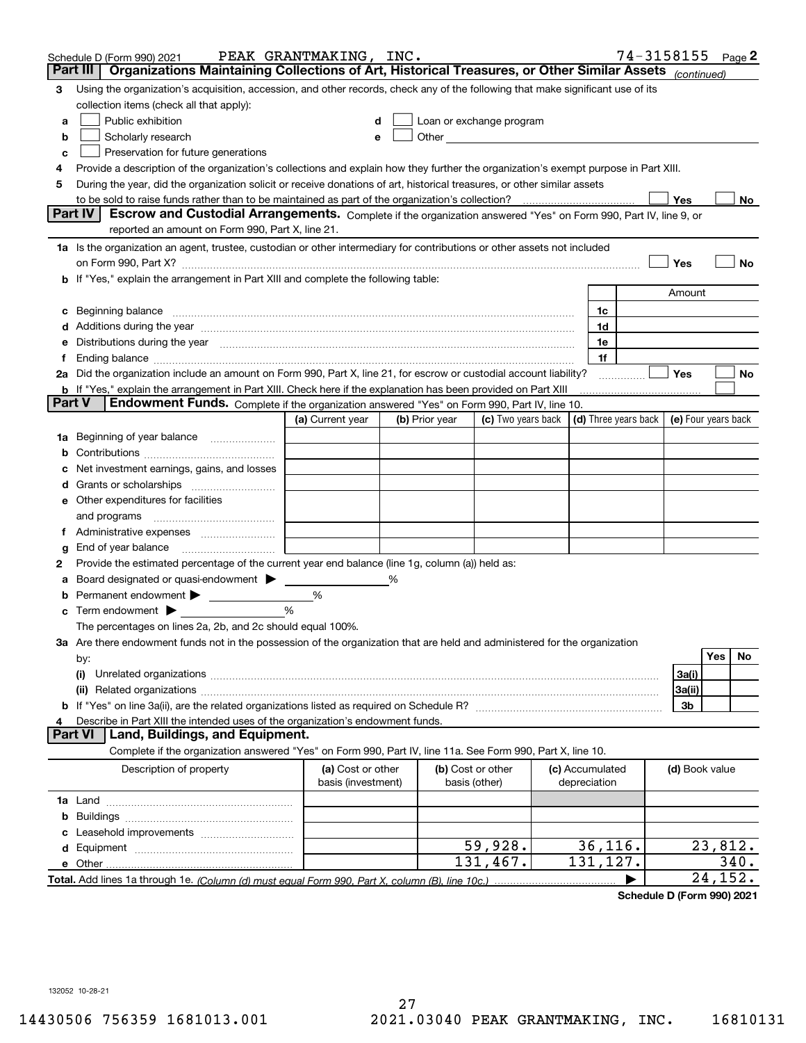|               | 74-3158155 Page 2<br>PEAK GRANTMAKING, INC.<br>Schedule D (Form 990) 2021                                                                                                                                                      |                                         |   |                |                                                                                                                                                                                                                                      |  |                 |                      |                     |            |    |
|---------------|--------------------------------------------------------------------------------------------------------------------------------------------------------------------------------------------------------------------------------|-----------------------------------------|---|----------------|--------------------------------------------------------------------------------------------------------------------------------------------------------------------------------------------------------------------------------------|--|-----------------|----------------------|---------------------|------------|----|
|               | Organizations Maintaining Collections of Art, Historical Treasures, or Other Similar Assets (continued)<br>Part III                                                                                                            |                                         |   |                |                                                                                                                                                                                                                                      |  |                 |                      |                     |            |    |
| 3             | Using the organization's acquisition, accession, and other records, check any of the following that make significant use of its                                                                                                |                                         |   |                |                                                                                                                                                                                                                                      |  |                 |                      |                     |            |    |
|               | collection items (check all that apply):                                                                                                                                                                                       |                                         |   |                |                                                                                                                                                                                                                                      |  |                 |                      |                     |            |    |
| a             | Public exhibition<br>Loan or exchange program                                                                                                                                                                                  |                                         |   |                |                                                                                                                                                                                                                                      |  |                 |                      |                     |            |    |
| b             | Scholarly research                                                                                                                                                                                                             |                                         |   |                | Other <u>with the contract of the contract of the contract of the contract of the contract of the contract of the contract of the contract of the contract of the contract of the contract of the contract of the contract of th</u> |  |                 |                      |                     |            |    |
| с             | Preservation for future generations                                                                                                                                                                                            |                                         |   |                |                                                                                                                                                                                                                                      |  |                 |                      |                     |            |    |
|               | Provide a description of the organization's collections and explain how they further the organization's exempt purpose in Part XIII.                                                                                           |                                         |   |                |                                                                                                                                                                                                                                      |  |                 |                      |                     |            |    |
| 5             | During the year, did the organization solicit or receive donations of art, historical treasures, or other similar assets                                                                                                       |                                         |   |                |                                                                                                                                                                                                                                      |  |                 |                      |                     |            |    |
|               | to be sold to raise funds rather than to be maintained as part of the organization's collection?<br>Yes<br>No                                                                                                                  |                                         |   |                |                                                                                                                                                                                                                                      |  |                 |                      |                     |            |    |
|               | <b>Part IV</b><br>Escrow and Custodial Arrangements. Complete if the organization answered "Yes" on Form 990, Part IV, line 9, or                                                                                              |                                         |   |                |                                                                                                                                                                                                                                      |  |                 |                      |                     |            |    |
|               | reported an amount on Form 990, Part X, line 21.                                                                                                                                                                               |                                         |   |                |                                                                                                                                                                                                                                      |  |                 |                      |                     |            |    |
|               | 1a Is the organization an agent, trustee, custodian or other intermediary for contributions or other assets not included                                                                                                       |                                         |   |                |                                                                                                                                                                                                                                      |  |                 |                      |                     |            |    |
|               | on Form 990, Part X? [11] matter continuum matter contract the contract of the contract of the contract of the                                                                                                                 |                                         |   |                |                                                                                                                                                                                                                                      |  |                 |                      | Yes                 |            | No |
|               | b If "Yes," explain the arrangement in Part XIII and complete the following table:                                                                                                                                             |                                         |   |                |                                                                                                                                                                                                                                      |  |                 |                      |                     |            |    |
|               |                                                                                                                                                                                                                                |                                         |   |                |                                                                                                                                                                                                                                      |  |                 |                      | Amount              |            |    |
|               |                                                                                                                                                                                                                                |                                         |   |                |                                                                                                                                                                                                                                      |  | 1c              |                      |                     |            |    |
|               | d Additions during the year manufactured and an account of the state of a distribution of Additions during the year manufactured and account of Additions during the year manufactured and account of Additional Additional Ad |                                         |   |                |                                                                                                                                                                                                                                      |  | 1d              |                      |                     |            |    |
|               | e Distributions during the year manufactured and continuum and contact the year manufactured and contact the year manufactured and contact the year manufactured and contact the year manufactured and contact the year manufa |                                         |   |                |                                                                                                                                                                                                                                      |  | 1e              |                      |                     |            |    |
| Ť.            |                                                                                                                                                                                                                                |                                         |   |                |                                                                                                                                                                                                                                      |  | 1f              |                      |                     |            |    |
|               | 2a Did the organization include an amount on Form 990, Part X, line 21, for escrow or custodial account liability?                                                                                                             |                                         |   |                |                                                                                                                                                                                                                                      |  |                 | .                    | Yes                 |            | No |
|               | <b>b</b> If "Yes," explain the arrangement in Part XIII. Check here if the explanation has been provided on Part XIII                                                                                                          |                                         |   |                |                                                                                                                                                                                                                                      |  |                 |                      |                     |            |    |
| <b>Part V</b> | <b>Endowment Funds.</b> Complete if the organization answered "Yes" on Form 990, Part IV, line 10.                                                                                                                             |                                         |   |                |                                                                                                                                                                                                                                      |  |                 |                      |                     |            |    |
|               |                                                                                                                                                                                                                                | (a) Current year                        |   | (b) Prior year | (c) Two years back                                                                                                                                                                                                                   |  |                 | (d) Three years back | (e) Four years back |            |    |
|               |                                                                                                                                                                                                                                |                                         |   |                |                                                                                                                                                                                                                                      |  |                 |                      |                     |            |    |
|               |                                                                                                                                                                                                                                |                                         |   |                |                                                                                                                                                                                                                                      |  |                 |                      |                     |            |    |
|               | Net investment earnings, gains, and losses                                                                                                                                                                                     |                                         |   |                |                                                                                                                                                                                                                                      |  |                 |                      |                     |            |    |
|               |                                                                                                                                                                                                                                |                                         |   |                |                                                                                                                                                                                                                                      |  |                 |                      |                     |            |    |
|               | e Other expenditures for facilities                                                                                                                                                                                            |                                         |   |                |                                                                                                                                                                                                                                      |  |                 |                      |                     |            |    |
|               | and programs                                                                                                                                                                                                                   |                                         |   |                |                                                                                                                                                                                                                                      |  |                 |                      |                     |            |    |
|               |                                                                                                                                                                                                                                |                                         |   |                |                                                                                                                                                                                                                                      |  |                 |                      |                     |            |    |
| g             |                                                                                                                                                                                                                                |                                         |   |                |                                                                                                                                                                                                                                      |  |                 |                      |                     |            |    |
| 2             | Provide the estimated percentage of the current year end balance (line 1g, column (a)) held as:                                                                                                                                |                                         |   |                |                                                                                                                                                                                                                                      |  |                 |                      |                     |            |    |
|               | Board designated or quasi-endowment                                                                                                                                                                                            |                                         | % |                |                                                                                                                                                                                                                                      |  |                 |                      |                     |            |    |
|               | Permanent endowment > <u>example</u>                                                                                                                                                                                           | %                                       |   |                |                                                                                                                                                                                                                                      |  |                 |                      |                     |            |    |
|               | Term endowment $\blacktriangleright$                                                                                                                                                                                           | %                                       |   |                |                                                                                                                                                                                                                                      |  |                 |                      |                     |            |    |
|               | The percentages on lines 2a, 2b, and 2c should equal 100%.                                                                                                                                                                     |                                         |   |                |                                                                                                                                                                                                                                      |  |                 |                      |                     |            |    |
|               | 3a Are there endowment funds not in the possession of the organization that are held and administered for the organization                                                                                                     |                                         |   |                |                                                                                                                                                                                                                                      |  |                 |                      |                     | <b>Yes</b> |    |
|               | by:                                                                                                                                                                                                                            |                                         |   |                |                                                                                                                                                                                                                                      |  |                 |                      |                     |            | No |
|               | (i)                                                                                                                                                                                                                            |                                         |   |                |                                                                                                                                                                                                                                      |  |                 |                      | 3a(i)               |            |    |
|               |                                                                                                                                                                                                                                |                                         |   |                |                                                                                                                                                                                                                                      |  |                 |                      | 3a(ii)              |            |    |
|               |                                                                                                                                                                                                                                |                                         |   |                |                                                                                                                                                                                                                                      |  |                 |                      | 3b                  |            |    |
|               | Describe in Part XIII the intended uses of the organization's endowment funds.<br>Land, Buildings, and Equipment.<br><b>Part VI</b>                                                                                            |                                         |   |                |                                                                                                                                                                                                                                      |  |                 |                      |                     |            |    |
|               | Complete if the organization answered "Yes" on Form 990, Part IV, line 11a. See Form 990, Part X, line 10.                                                                                                                     |                                         |   |                |                                                                                                                                                                                                                                      |  |                 |                      |                     |            |    |
|               |                                                                                                                                                                                                                                |                                         |   |                |                                                                                                                                                                                                                                      |  |                 |                      |                     |            |    |
|               | Description of property                                                                                                                                                                                                        | (a) Cost or other<br>basis (investment) |   |                | (b) Cost or other<br>basis (other)                                                                                                                                                                                                   |  | (c) Accumulated |                      | (d) Book value      |            |    |
|               |                                                                                                                                                                                                                                |                                         |   |                |                                                                                                                                                                                                                                      |  | depreciation    |                      |                     |            |    |
|               |                                                                                                                                                                                                                                |                                         |   |                |                                                                                                                                                                                                                                      |  |                 |                      |                     |            |    |
| b             |                                                                                                                                                                                                                                |                                         |   |                |                                                                                                                                                                                                                                      |  |                 |                      |                     |            |    |
|               |                                                                                                                                                                                                                                |                                         |   |                |                                                                                                                                                                                                                                      |  |                 |                      |                     | 23,812.    |    |
|               |                                                                                                                                                                                                                                |                                         |   |                | 59,928.                                                                                                                                                                                                                              |  | 36,116.         |                      |                     |            |    |
|               | 131,467.<br>131,127.<br>340.<br>24, 152.                                                                                                                                                                                       |                                         |   |                |                                                                                                                                                                                                                                      |  |                 |                      |                     |            |    |
|               |                                                                                                                                                                                                                                |                                         |   |                |                                                                                                                                                                                                                                      |  |                 |                      |                     |            |    |

**Schedule D (Form 990) 2021**

132052 10-28-21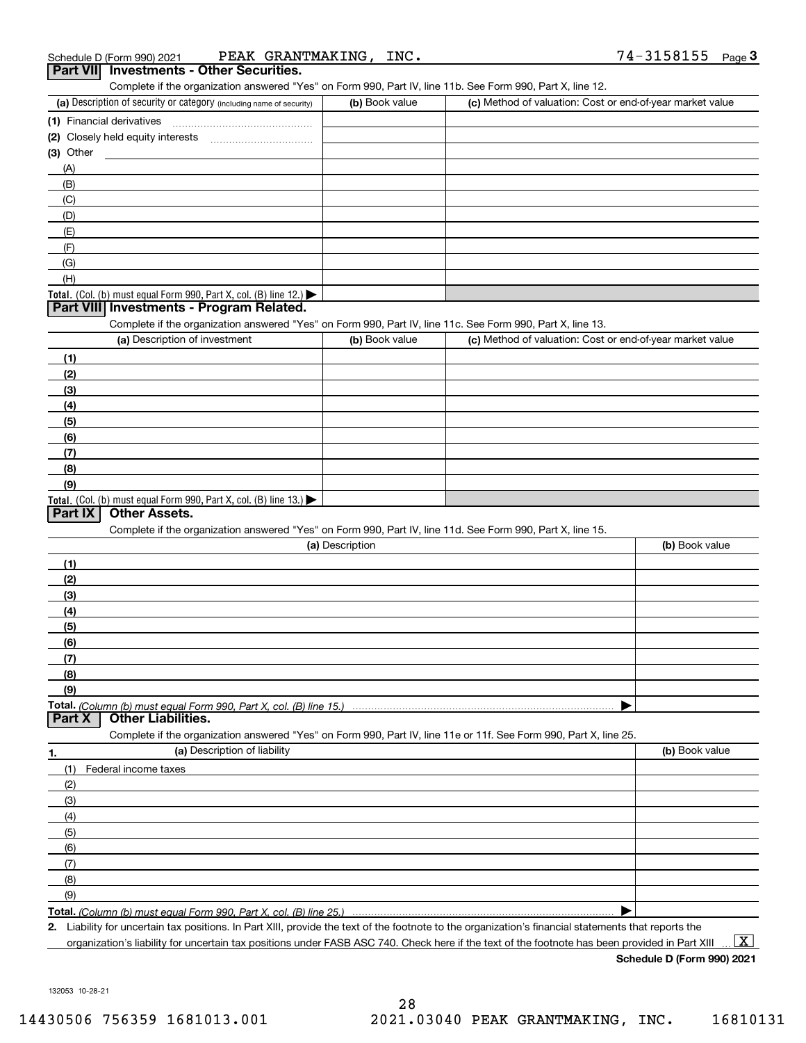| Schedule D (Form 990) 2021                      | PEAK GRANTMAKING, | INC. | 74-3158155 | Page J |
|-------------------------------------------------|-------------------|------|------------|--------|
| <b>Part VII</b> Investments - Other Securities. |                   |      |            |        |

Complete if the organization answered "Yes" on Form 990, Part IV, line 11b. See Form 990, Part X, line 12.

| (a) Description of security or category (including name of security)                   | (b) Book value | (c) Method of valuation: Cost or end-of-year market value |
|----------------------------------------------------------------------------------------|----------------|-----------------------------------------------------------|
| (1) Financial derivatives                                                              |                |                                                           |
| (2) Closely held equity interests                                                      |                |                                                           |
| (3) Other                                                                              |                |                                                           |
| (A)                                                                                    |                |                                                           |
| (B)                                                                                    |                |                                                           |
| (C)                                                                                    |                |                                                           |
| (D)                                                                                    |                |                                                           |
| (E)                                                                                    |                |                                                           |
| (F)                                                                                    |                |                                                           |
| (G)                                                                                    |                |                                                           |
| (H)                                                                                    |                |                                                           |
| Total. (Col. (b) must equal Form 990, Part X, col. (B) line 12.) $\blacktriangleright$ |                |                                                           |

#### **Part VIII Investments - Program Related.**

Complete if the organization answered "Yes" on Form 990, Part IV, line 11c. See Form 990, Part X, line 13.

| (a) Description of investment                                                          | (b) Book value | (c) Method of valuation: Cost or end-of-year market value |
|----------------------------------------------------------------------------------------|----------------|-----------------------------------------------------------|
| (1)                                                                                    |                |                                                           |
| (2)                                                                                    |                |                                                           |
| (3)                                                                                    |                |                                                           |
| (4)                                                                                    |                |                                                           |
| $\frac{1}{2}$                                                                          |                |                                                           |
| $\frac{6}{6}$                                                                          |                |                                                           |
| (7)                                                                                    |                |                                                           |
| (8)                                                                                    |                |                                                           |
| (9)                                                                                    |                |                                                           |
| Total. (Col. (b) must equal Form 990, Part X, col. (B) line 13.) $\blacktriangleright$ |                |                                                           |

#### **Part IX Other Assets.**

Complete if the organization answered "Yes" on Form 990, Part IV, line 11d. See Form 990, Part X, line 15.

| (a) Description                    | (b) Book value |
|------------------------------------|----------------|
| (1)                                |                |
| (2)                                |                |
| (3)                                |                |
| (4)                                |                |
| (5)                                |                |
| (6)                                |                |
|                                    |                |
| (8)                                |                |
| (9)                                |                |
|                                    |                |
| <b>Part X</b>   Other Liabilities. |                |

**1.(a)** Description of liability **Book value** Book value Book value Book value Book value Complete if the organization answered "Yes" on Form 990, Part IV, line 11e or 11f. See Form 990, Part X, line 25. (1)Federal income taxes (2)(3)(4)(5) (6)(7)

**Total.**  *(Column (b) must equal Form 990, Part X, col. (B) line 25.)*

 $\blacktriangleright$ 

**2.**Liability for uncertain tax positions. In Part XIII, provide the text of the footnote to the organization's financial statements that reports the organization's liability for uncertain tax positions under FASB ASC 740. Check here if the text of the footnote has been provided in Part XIII

**Schedule D (Form 990) 2021**

 $\boxed{\text{X}}$ 

132053 10-28-21

(8)(9)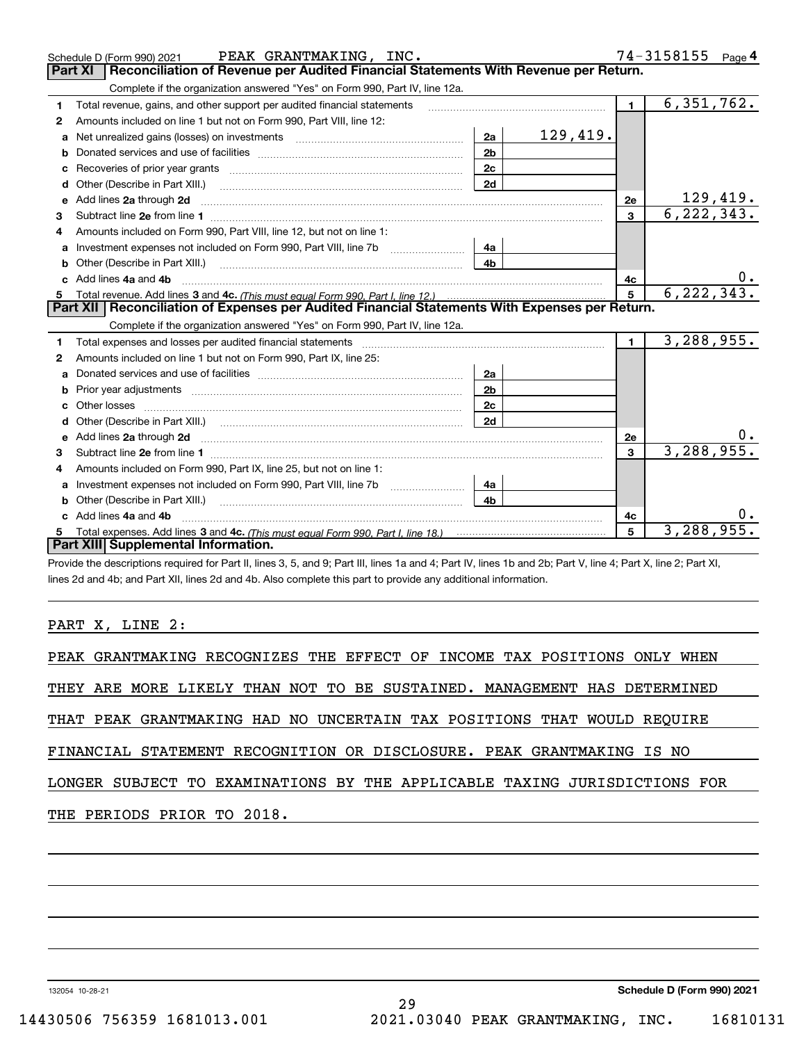|              | PEAK GRANTMAKING, INC.<br>Schedule D (Form 990) 2021                                                                                                                                                                                      |                | 74-3158155 Page 4 |
|--------------|-------------------------------------------------------------------------------------------------------------------------------------------------------------------------------------------------------------------------------------------|----------------|-------------------|
|              | Reconciliation of Revenue per Audited Financial Statements With Revenue per Return.<br>Part XI                                                                                                                                            |                |                   |
|              | Complete if the organization answered "Yes" on Form 990, Part IV, line 12a.                                                                                                                                                               |                |                   |
| 1            | Total revenue, gains, and other support per audited financial statements                                                                                                                                                                  | $\mathbf{1}$   | 6, 351, 762.      |
| $\mathbf{2}$ | Amounts included on line 1 but not on Form 990, Part VIII, line 12:                                                                                                                                                                       |                |                   |
|              | 129,419.<br>2a<br>Net unrealized gains (losses) on investments [11] matter contracts and the unrealized gains (losses) on investments                                                                                                     |                |                   |
| b            | 2 <sub>b</sub>                                                                                                                                                                                                                            |                |                   |
| c            | 2c                                                                                                                                                                                                                                        |                |                   |
| d            | 2d<br>Other (Describe in Part XIII.)                                                                                                                                                                                                      |                |                   |
| е            | Add lines 2a through 2d <b>continuum contract and all contract and all contract and all contract and all contract and all contract and all contract and all contract and all contract and all contract and all contract and all </b>      | 2e             | 129,419.          |
| 3            |                                                                                                                                                                                                                                           | 3              | 6, 222, 343.      |
|              | Amounts included on Form 990, Part VIII, line 12, but not on line 1:                                                                                                                                                                      |                |                   |
| a            | Investment expenses not included on Form 990, Part VIII, line 7b [100] [100] [100] [100] [100] [100] [100] [10<br>4a                                                                                                                      |                |                   |
| b            | 4 <sub>b</sub><br>Other (Describe in Part XIII.) <b>Construction Contract Construction</b> Construction Construction Construction Const                                                                                                   |                |                   |
|              | Add lines 4a and 4b                                                                                                                                                                                                                       | 4c             |                   |
| 5            |                                                                                                                                                                                                                                           | $5\phantom{1}$ | 6, 222, 343.      |
|              | Part XII   Reconciliation of Expenses per Audited Financial Statements With Expenses per Return.                                                                                                                                          |                |                   |
|              | Complete if the organization answered "Yes" on Form 990, Part IV, line 12a.                                                                                                                                                               |                |                   |
| 1            | Total expenses and losses per audited financial statements [11, 11] manuscription control expenses and losses per audited financial statements [11] manuscription of the statements [11] manuscription of the statements [11]             | $\blacksquare$ | 3, 288, 955.      |
| 2            | Amounts included on line 1 but not on Form 990, Part IX, line 25:                                                                                                                                                                         |                |                   |
| a            | 2a                                                                                                                                                                                                                                        |                |                   |
| b            | 2 <sub>b</sub>                                                                                                                                                                                                                            |                |                   |
| c            | 2c                                                                                                                                                                                                                                        |                |                   |
| d            | 2d                                                                                                                                                                                                                                        |                |                   |
|              |                                                                                                                                                                                                                                           | 2e             |                   |
| з            |                                                                                                                                                                                                                                           | $\mathbf{a}$   | 3,288,955.        |
| 4            | Amounts included on Form 990, Part IX, line 25, but not on line 1:                                                                                                                                                                        |                |                   |
|              | Investment expenses not included on Form 990, Part VIII, line 7b [100] [100] [100] [100] [100] [100] [100] [10<br>4a                                                                                                                      |                |                   |
| b            | 4h<br>Other (Describe in Part XIII.) <b>2006</b> 2006 2010 2010 2010 2010 2011 2012 2013 2014 2015 2016 2017 2018 2019 2016 2016 2017 2018 2019 2016 2017 2018 2019 2016 2017 2018 2019 2018 2019 2016 2017 2018 2019 2019 2018 2019 2018 |                |                   |
|              | c Add lines 4a and 4b                                                                                                                                                                                                                     | 4c             |                   |
|              |                                                                                                                                                                                                                                           | 5              | 3, 288, 955.      |
|              | Part XIII Supplemental Information.                                                                                                                                                                                                       |                |                   |

Provide the descriptions required for Part II, lines 3, 5, and 9; Part III, lines 1a and 4; Part IV, lines 1b and 2b; Part V, line 4; Part X, line 2; Part XI, lines 2d and 4b; and Part XII, lines 2d and 4b. Also complete this part to provide any additional information.

#### PART X, LINE 2:

|  | PEAK GRANTMAKING RECOGNIZES THE EFFECT OF INCOME TAX POSITIONS ONLY WHEN  |  |  |  |  |  |  |  |  |  |
|--|---------------------------------------------------------------------------|--|--|--|--|--|--|--|--|--|
|  | THEY ARE MORE LIKELY THAN NOT TO BE SUSTAINED. MANAGEMENT HAS DETERMINED  |  |  |  |  |  |  |  |  |  |
|  | THAT PEAK GRANTMAKING HAD NO UNCERTAIN TAX POSITIONS THAT WOULD REOUIRE   |  |  |  |  |  |  |  |  |  |
|  | FINANCIAL STATEMENT RECOGNITION OR DISCLOSURE. PEAK GRANTMAKING IS NO     |  |  |  |  |  |  |  |  |  |
|  | LONGER SUBJECT TO EXAMINATIONS BY THE APPLICABLE TAXING JURISDICTIONS FOR |  |  |  |  |  |  |  |  |  |
|  | THE PERIODS PRIOR TO 2018.                                                |  |  |  |  |  |  |  |  |  |
|  |                                                                           |  |  |  |  |  |  |  |  |  |
|  |                                                                           |  |  |  |  |  |  |  |  |  |

132054 10-28-21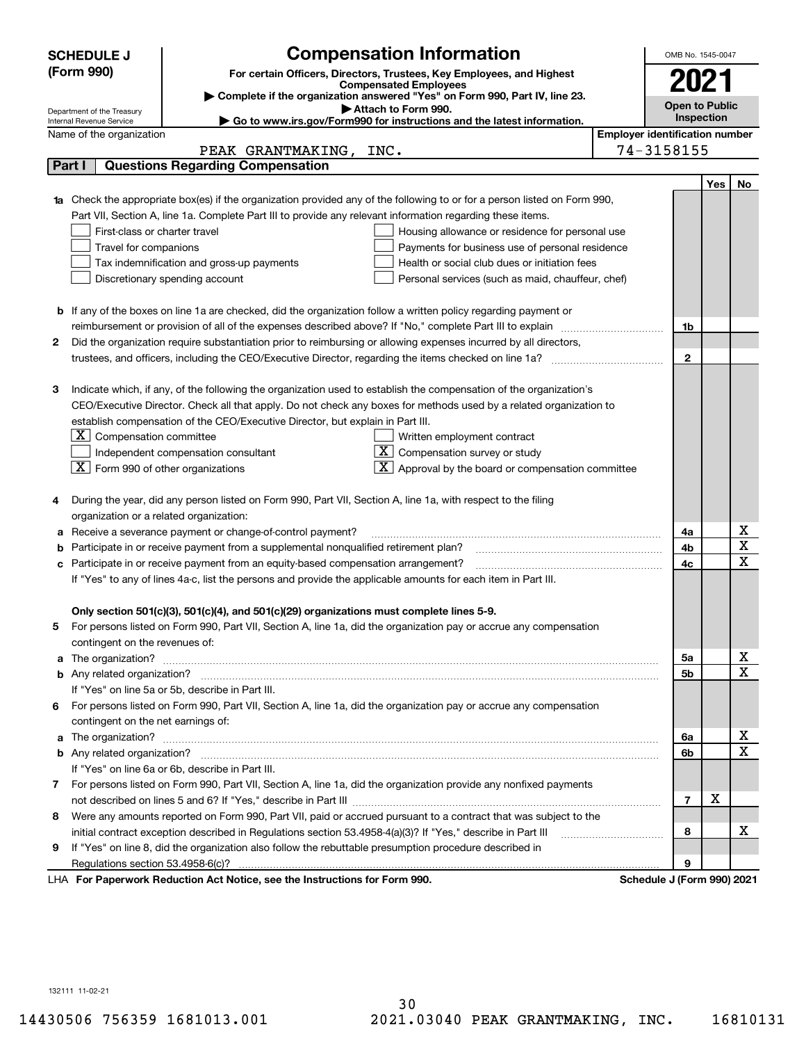|                                                                                                               | <b>Compensation Information</b><br><b>SCHEDULE J</b>                                                                                                                                                                                 | OMB No. 1545-0047          |            |                         |  |  |
|---------------------------------------------------------------------------------------------------------------|--------------------------------------------------------------------------------------------------------------------------------------------------------------------------------------------------------------------------------------|----------------------------|------------|-------------------------|--|--|
|                                                                                                               | (Form 990)<br>For certain Officers, Directors, Trustees, Key Employees, and Highest                                                                                                                                                  |                            |            |                         |  |  |
|                                                                                                               | <b>Compensated Employees</b>                                                                                                                                                                                                         | 2021                       |            |                         |  |  |
|                                                                                                               | Complete if the organization answered "Yes" on Form 990, Part IV, line 23.                                                                                                                                                           | <b>Open to Public</b>      |            |                         |  |  |
|                                                                                                               | Attach to Form 990.<br>Department of the Treasury<br>Go to www.irs.gov/Form990 for instructions and the latest information.<br>Internal Revenue Service                                                                              | <b>Inspection</b>          |            |                         |  |  |
|                                                                                                               | <b>Employer identification number</b><br>Name of the organization                                                                                                                                                                    |                            |            |                         |  |  |
|                                                                                                               | PEAK GRANTMAKING, INC.                                                                                                                                                                                                               | 74-3158155                 |            |                         |  |  |
| Part I                                                                                                        | <b>Questions Regarding Compensation</b>                                                                                                                                                                                              |                            |            |                         |  |  |
|                                                                                                               |                                                                                                                                                                                                                                      |                            | <b>Yes</b> | No                      |  |  |
|                                                                                                               | 1a Check the appropriate box(es) if the organization provided any of the following to or for a person listed on Form 990,                                                                                                            |                            |            |                         |  |  |
|                                                                                                               | Part VII, Section A, line 1a. Complete Part III to provide any relevant information regarding these items.                                                                                                                           |                            |            |                         |  |  |
|                                                                                                               | First-class or charter travel<br>Housing allowance or residence for personal use                                                                                                                                                     |                            |            |                         |  |  |
|                                                                                                               | Travel for companions<br>Payments for business use of personal residence                                                                                                                                                             |                            |            |                         |  |  |
|                                                                                                               | Health or social club dues or initiation fees<br>Tax indemnification and gross-up payments                                                                                                                                           |                            |            |                         |  |  |
|                                                                                                               | Discretionary spending account<br>Personal services (such as maid, chauffeur, chef)                                                                                                                                                  |                            |            |                         |  |  |
|                                                                                                               |                                                                                                                                                                                                                                      |                            |            |                         |  |  |
|                                                                                                               | <b>b</b> If any of the boxes on line 1a are checked, did the organization follow a written policy regarding payment or                                                                                                               |                            |            |                         |  |  |
|                                                                                                               | reimbursement or provision of all of the expenses described above? If "No," complete Part III to explain                                                                                                                             | 1b                         |            |                         |  |  |
| 2                                                                                                             | Did the organization require substantiation prior to reimbursing or allowing expenses incurred by all directors,                                                                                                                     |                            |            |                         |  |  |
|                                                                                                               | trustees, and officers, including the CEO/Executive Director, regarding the items checked on line 1a?                                                                                                                                | $\mathbf{2}$               |            |                         |  |  |
|                                                                                                               |                                                                                                                                                                                                                                      |                            |            |                         |  |  |
| З                                                                                                             | Indicate which, if any, of the following the organization used to establish the compensation of the organization's                                                                                                                   |                            |            |                         |  |  |
|                                                                                                               | CEO/Executive Director. Check all that apply. Do not check any boxes for methods used by a related organization to                                                                                                                   |                            |            |                         |  |  |
|                                                                                                               | establish compensation of the CEO/Executive Director, but explain in Part III.                                                                                                                                                       |                            |            |                         |  |  |
|                                                                                                               | $ \mathbf{X} $ Compensation committee<br>Written employment contract                                                                                                                                                                 |                            |            |                         |  |  |
|                                                                                                               | $X$ Compensation survey or study<br>Independent compensation consultant                                                                                                                                                              |                            |            |                         |  |  |
|                                                                                                               | $\boxed{\textbf{X}}$ Form 990 of other organizations<br>$\mathbf{X}$ Approval by the board or compensation committee                                                                                                                 |                            |            |                         |  |  |
|                                                                                                               |                                                                                                                                                                                                                                      |                            |            |                         |  |  |
|                                                                                                               | During the year, did any person listed on Form 990, Part VII, Section A, line 1a, with respect to the filing                                                                                                                         |                            |            |                         |  |  |
|                                                                                                               | organization or a related organization:                                                                                                                                                                                              |                            |            |                         |  |  |
| а                                                                                                             | Receive a severance payment or change-of-control payment?                                                                                                                                                                            | 4a                         |            | х                       |  |  |
| b                                                                                                             | Participate in or receive payment from a supplemental nonqualified retirement plan?                                                                                                                                                  | 4b                         |            | $\overline{\textbf{X}}$ |  |  |
| с                                                                                                             | Participate in or receive payment from an equity-based compensation arrangement?                                                                                                                                                     | 4c                         |            | $\overline{\mathbf{x}}$ |  |  |
| If "Yes" to any of lines 4a-c, list the persons and provide the applicable amounts for each item in Part III. |                                                                                                                                                                                                                                      |                            |            |                         |  |  |
|                                                                                                               |                                                                                                                                                                                                                                      |                            |            |                         |  |  |
|                                                                                                               | Only section 501(c)(3), 501(c)(4), and 501(c)(29) organizations must complete lines 5-9.                                                                                                                                             |                            |            |                         |  |  |
|                                                                                                               | For persons listed on Form 990, Part VII, Section A, line 1a, did the organization pay or accrue any compensation                                                                                                                    |                            |            |                         |  |  |
|                                                                                                               | contingent on the revenues of:                                                                                                                                                                                                       |                            |            |                         |  |  |
|                                                                                                               | a The organization? <b>Entitation</b> and the organization?                                                                                                                                                                          | 5a                         |            | х                       |  |  |
|                                                                                                               |                                                                                                                                                                                                                                      | 5b                         |            | $\overline{\mathbf{x}}$ |  |  |
|                                                                                                               | If "Yes" on line 5a or 5b, describe in Part III.                                                                                                                                                                                     |                            |            |                         |  |  |
| 6.                                                                                                            | For persons listed on Form 990, Part VII, Section A, line 1a, did the organization pay or accrue any compensation                                                                                                                    |                            |            |                         |  |  |
|                                                                                                               | contingent on the net earnings of:                                                                                                                                                                                                   |                            |            |                         |  |  |
|                                                                                                               | a The organization? <b>Entitled Strategies and Strategies and Strategies and Strategies and Strategies and Strategies and Strategies and Strategies and Strategies and Strategies and Strategies and Strategies and Strategies a</b> | 6a                         |            | х                       |  |  |
|                                                                                                               |                                                                                                                                                                                                                                      | 6b                         |            | $\overline{\mathbf{x}}$ |  |  |
|                                                                                                               | If "Yes" on line 6a or 6b, describe in Part III.                                                                                                                                                                                     |                            |            |                         |  |  |
|                                                                                                               | 7 For persons listed on Form 990, Part VII, Section A, line 1a, did the organization provide any nonfixed payments                                                                                                                   |                            |            |                         |  |  |
|                                                                                                               |                                                                                                                                                                                                                                      | $\overline{7}$             | X          |                         |  |  |
| 8                                                                                                             | Were any amounts reported on Form 990, Part VII, paid or accrued pursuant to a contract that was subject to the                                                                                                                      |                            |            |                         |  |  |
|                                                                                                               | initial contract exception described in Regulations section 53.4958-4(a)(3)? If "Yes," describe in Part III                                                                                                                          | 8                          |            | х                       |  |  |
| 9                                                                                                             | If "Yes" on line 8, did the organization also follow the rebuttable presumption procedure described in                                                                                                                               |                            |            |                         |  |  |
|                                                                                                               |                                                                                                                                                                                                                                      | 9                          |            |                         |  |  |
|                                                                                                               | For Danorwork Poduction Act Notice, see the Instructions for Form 000                                                                                                                                                                | Schodule 1 (Form 000) 2021 |            |                         |  |  |

LHA For Paperwork Reduction Act Notice, see the Instructions for Form 990. Schedule J (Form 990) 2021

132111 11-02-21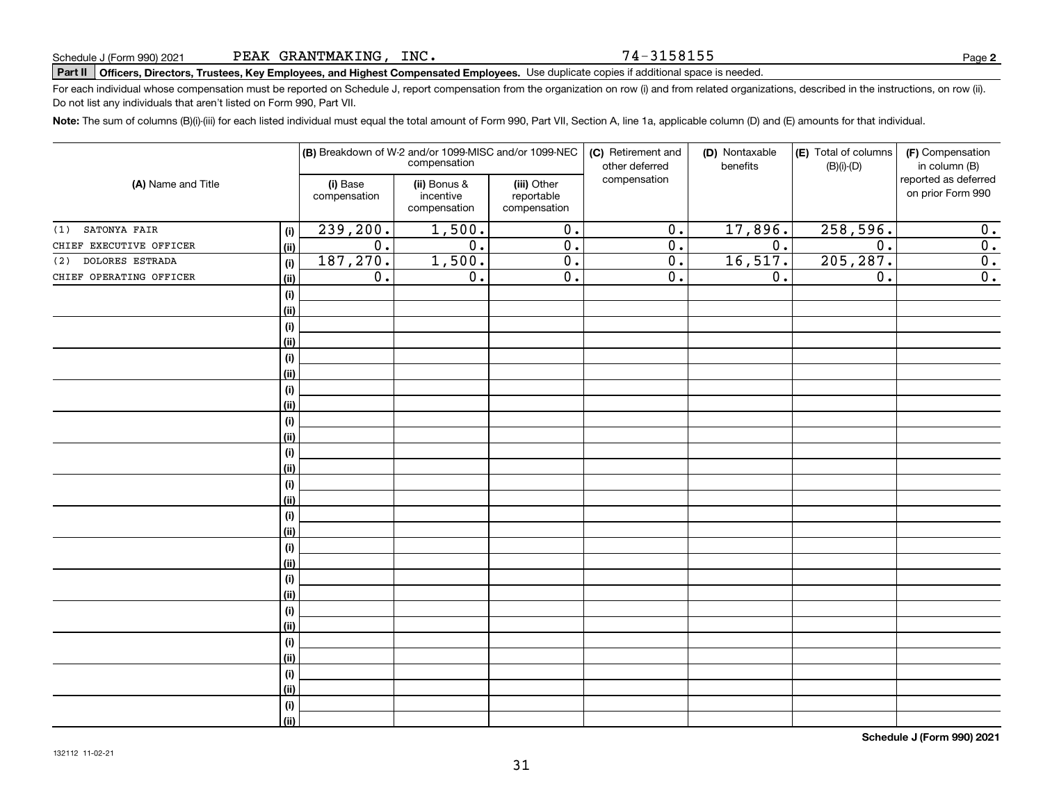74-3158155

**2**

# **Part II Officers, Directors, Trustees, Key Employees, and Highest Compensated Employees.**  Schedule J (Form 990) 2021 Page Use duplicate copies if additional space is needed.

For each individual whose compensation must be reported on Schedule J, report compensation from the organization on row (i) and from related organizations, described in the instructions, on row (ii). Do not list any individuals that aren't listed on Form 990, Part VII.

**Note:**  The sum of columns (B)(i)-(iii) for each listed individual must equal the total amount of Form 990, Part VII, Section A, line 1a, applicable column (D) and (E) amounts for that individual.

| (A) Name and Title      |                              |                          | compensation                              | (B) Breakdown of W-2 and/or 1099-MISC and/or 1099-NEC | (C) Retirement and<br>other deferred | (D) Nontaxable<br>benefits | (E) Total of columns<br>$(B)(i)-(D)$ | (F) Compensation<br>in column (B)         |  |
|-------------------------|------------------------------|--------------------------|-------------------------------------------|-------------------------------------------------------|--------------------------------------|----------------------------|--------------------------------------|-------------------------------------------|--|
|                         |                              | (i) Base<br>compensation | (ii) Bonus &<br>incentive<br>compensation | (iii) Other<br>reportable<br>compensation             | compensation                         |                            |                                      | reported as deferred<br>on prior Form 990 |  |
| SATONYA FAIR<br>(1)     | $(\sf{i})$                   | 239,200.                 | 1,500.                                    | $\overline{0}$ .                                      | $\overline{0}$ .                     | 17,896.                    | 258,596.                             | 0.                                        |  |
| CHIEF EXECUTIVE OFFICER | (ii)                         | $\overline{0}$ .         | $\overline{0}$ .                          | $\overline{0}$ .                                      | $\overline{0}$ .                     | 0.                         | 0.                                   | $\overline{\mathbf{0}}$ .                 |  |
| DOLORES ESTRADA<br>(2)  | (i)                          | 187,270.                 | 1,500.                                    | $\overline{0}$ .                                      | $\overline{0}$ .                     | 16, 517.                   | 205, 287.                            | $\overline{0}$ .                          |  |
| CHIEF OPERATING OFFICER | (ii)                         | 0.                       | $\overline{0}$ .                          | $\overline{0}$ .                                      | $\overline{0}$ .                     | 0.                         | $\overline{0}$ .                     | $\overline{0}$ .                          |  |
|                         | $(\sf{i})$                   |                          |                                           |                                                       |                                      |                            |                                      |                                           |  |
|                         | (ii)                         |                          |                                           |                                                       |                                      |                            |                                      |                                           |  |
|                         | $(\sf{i})$                   |                          |                                           |                                                       |                                      |                            |                                      |                                           |  |
|                         | (ii)                         |                          |                                           |                                                       |                                      |                            |                                      |                                           |  |
|                         | $(\sf{i})$                   |                          |                                           |                                                       |                                      |                            |                                      |                                           |  |
|                         | (ii)                         |                          |                                           |                                                       |                                      |                            |                                      |                                           |  |
|                         | (i)                          |                          |                                           |                                                       |                                      |                            |                                      |                                           |  |
|                         | (ii)                         |                          |                                           |                                                       |                                      |                            |                                      |                                           |  |
|                         | $(\sf{i})$                   |                          |                                           |                                                       |                                      |                            |                                      |                                           |  |
|                         | (ii)                         |                          |                                           |                                                       |                                      |                            |                                      |                                           |  |
|                         | $(\sf{i})$                   |                          |                                           |                                                       |                                      |                            |                                      |                                           |  |
|                         | (ii)                         |                          |                                           |                                                       |                                      |                            |                                      |                                           |  |
|                         | $(\sf{i})$                   |                          |                                           |                                                       |                                      |                            |                                      |                                           |  |
|                         | (ii)                         |                          |                                           |                                                       |                                      |                            |                                      |                                           |  |
|                         | $\qquad \qquad \textbf{(i)}$ |                          |                                           |                                                       |                                      |                            |                                      |                                           |  |
|                         | (i)                          |                          |                                           |                                                       |                                      |                            |                                      |                                           |  |
|                         | $(\sf{i})$                   |                          |                                           |                                                       |                                      |                            |                                      |                                           |  |
|                         | (ii)                         |                          |                                           |                                                       |                                      |                            |                                      |                                           |  |
|                         | $\qquad \qquad \textbf{(i)}$ |                          |                                           |                                                       |                                      |                            |                                      |                                           |  |
|                         | (ii)                         |                          |                                           |                                                       |                                      |                            |                                      |                                           |  |
|                         | (i)                          |                          |                                           |                                                       |                                      |                            |                                      |                                           |  |
|                         | (ii)                         |                          |                                           |                                                       |                                      |                            |                                      |                                           |  |
|                         | (i)                          |                          |                                           |                                                       |                                      |                            |                                      |                                           |  |
|                         | (ii)                         |                          |                                           |                                                       |                                      |                            |                                      |                                           |  |
|                         | $\qquad \qquad \textbf{(i)}$ |                          |                                           |                                                       |                                      |                            |                                      |                                           |  |
|                         | (ii)                         |                          |                                           |                                                       |                                      |                            |                                      |                                           |  |
|                         | $(\sf{i})$                   |                          |                                           |                                                       |                                      |                            |                                      |                                           |  |
|                         | (ii)                         |                          |                                           |                                                       |                                      |                            |                                      |                                           |  |

**Schedule J (Form 990) 2021**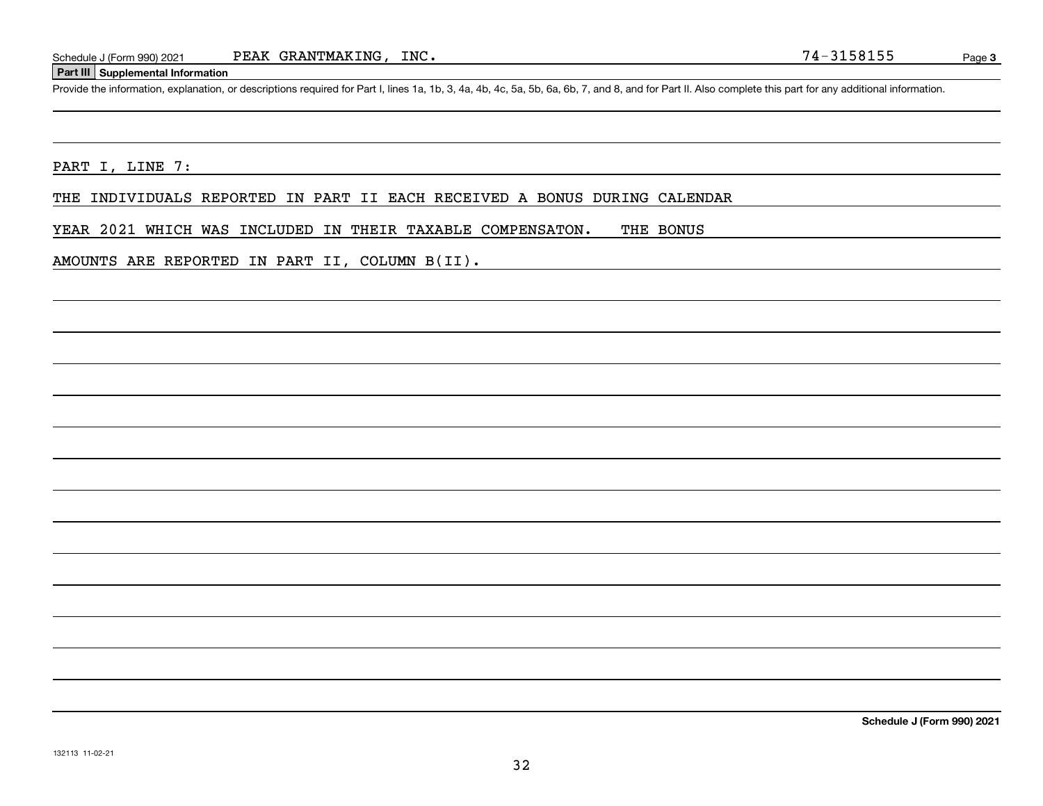#### **Part III Supplemental Information**

Schedule J (Form 990) 2021 PEAK GRANTMAKING, INC.<br>Part III Supplemental Information<br>Provide the information, explanation, or descriptions required for Part I, lines 1a, 1b, 3, 4a, 4b, 4c, 5a, 5b, 6a, 6b, 7, and 8, and for

PART I, LINE 7:

THE INDIVIDUALS REPORTED IN PART II EACH RECEIVED A BONUS DURING CALENDAR

YEAR 2021 WHICH WAS INCLUDED IN THEIR TAXABLE COMPENSATON. THE BONUS

AMOUNTS ARE REPORTED IN PART II, COLUMN B(II).

**Schedule J (Form 990) 2021**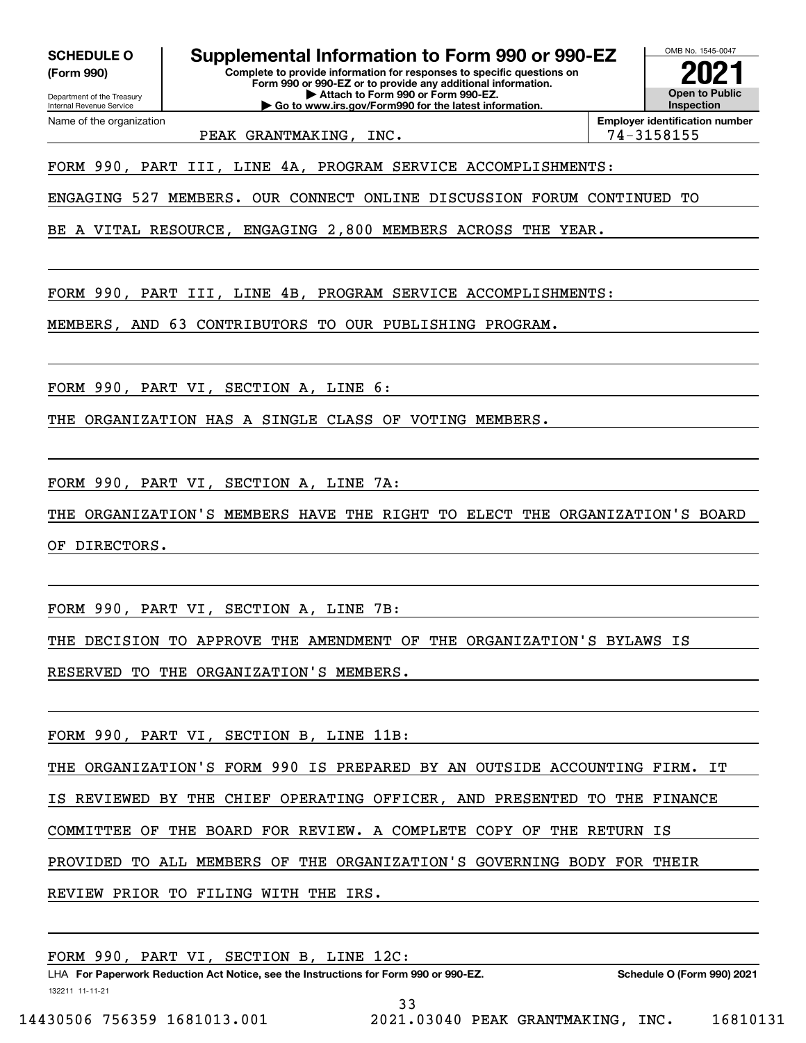**(Form 990)**

Department of the Treasury Internal Revenue Service

Name of the organization

**Complete to provide information for responses to specific questions on Form 990 or 990-EZ or to provide any additional information. | Attach to Form 990 or Form 990-EZ. | Go to www.irs.gov/Form990 for the latest information. SCHEDULE O Supplemental Information to Form 990 or 990-EZ**



PEAK GRANTMAKING, INC.  $\vert$  74-3158155

FORM 990, PART III, LINE 4A, PROGRAM SERVICE ACCOMPLISHMENTS:

ENGAGING 527 MEMBERS. OUR CONNECT ONLINE DISCUSSION FORUM CONTINUED TO

BE A VITAL RESOURCE, ENGAGING 2,800 MEMBERS ACROSS THE YEAR.

FORM 990, PART III, LINE 4B, PROGRAM SERVICE ACCOMPLISHMENTS:

MEMBERS, AND 63 CONTRIBUTORS TO OUR PUBLISHING PROGRAM.

FORM 990, PART VI, SECTION A, LINE 6:

THE ORGANIZATION HAS A SINGLE CLASS OF VOTING MEMBERS.

FORM 990, PART VI, SECTION A, LINE 7A:

THE ORGANIZATION'S MEMBERS HAVE THE RIGHT TO ELECT THE ORGANIZATION'S BOARD OF DIRECTORS.

FORM 990, PART VI, SECTION A, LINE 7B:

THE DECISION TO APPROVE THE AMENDMENT OF THE ORGANIZATION'S BYLAWS IS

RESERVED TO THE ORGANIZATION'S MEMBERS.

FORM 990, PART VI, SECTION B, LINE 11B:

THE ORGANIZATION'S FORM 990 IS PREPARED BY AN OUTSIDE ACCOUNTING FIRM. IT

IS REVIEWED BY THE CHIEF OPERATING OFFICER, AND PRESENTED TO THE FINANCE

COMMITTEE OF THE BOARD FOR REVIEW. A COMPLETE COPY OF THE RETURN IS

PROVIDED TO ALL MEMBERS OF THE ORGANIZATION'S GOVERNING BODY FOR THEIR

REVIEW PRIOR TO FILING WITH THE IRS.

FORM 990, PART VI, SECTION B, LINE 12C: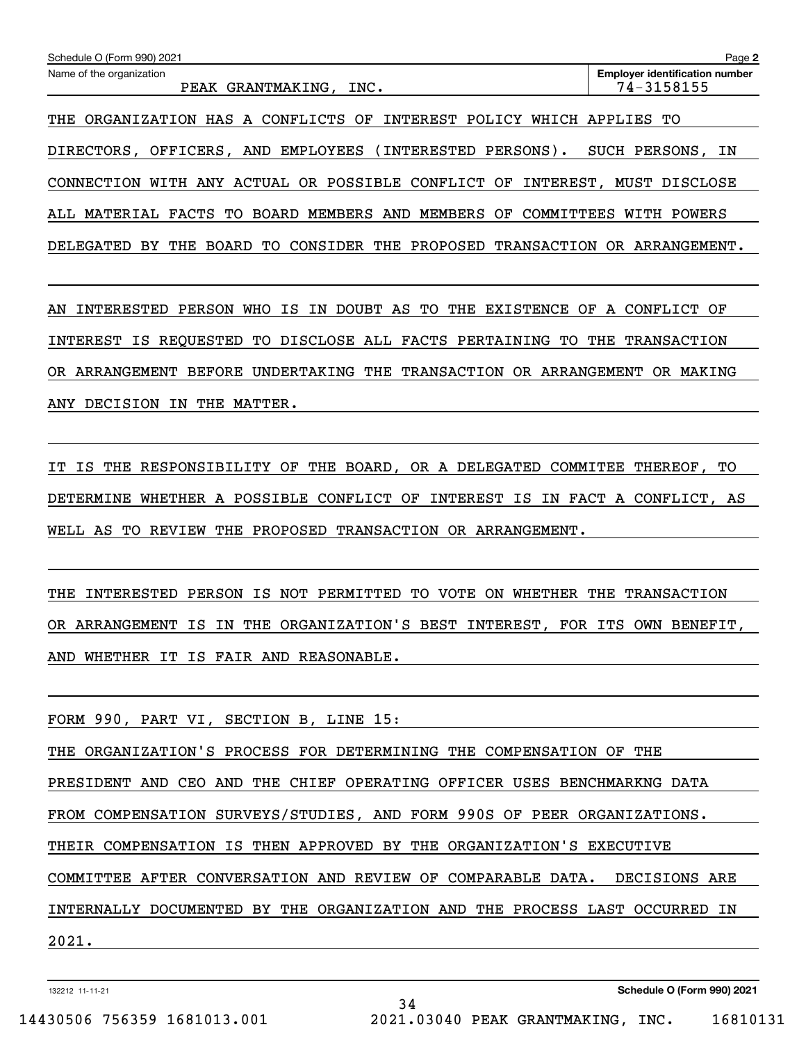| Schedule O (Form 990) 2021                                                                  | Page 2                                              |
|---------------------------------------------------------------------------------------------|-----------------------------------------------------|
| Name of the organization<br>PEAK GRANTMAKING, INC.                                          | <b>Employer identification number</b><br>74-3158155 |
| ORGANIZATION HAS A CONFLICTS OF INTEREST POLICY<br>THE                                      | WHICH APPLIES TO                                    |
| EMPLOYEES (INTERESTED<br>PERSONS).<br>DIRECTORS, OFFICERS, AND                              | SUCH PERSONS,<br>ΙN                                 |
| WITH ANY ACTUAL OR POSSIBLE CONFLICT OF<br>CONNECTION                                       | INTEREST, MUST DISCLOSE                             |
| BOARD MEMBERS AND MEMBERS OF COMMITTEES WITH POWERS<br>ALL MATERIAL FACTS TO                |                                                     |
| PROPOSED<br><b>BOARD</b><br>CONSIDER<br>THE<br>TRANSACTION<br>DELEGATED<br>ВY<br>THE.<br>TО | ARRANGEMENT.<br>OR.                                 |

AN INTERESTED PERSON WHO IS IN DOUBT AS TO THE EXISTENCE OF A CONFLICT OF INTEREST IS REQUESTED TO DISCLOSE ALL FACTS PERTAINING TO THE TRANSACTION OR ARRANGEMENT BEFORE UNDERTAKING THE TRANSACTION OR ARRANGEMENT OR MAKING ANY DECISION IN THE MATTER.

IT IS THE RESPONSIBILITY OF THE BOARD, OR A DELEGATED COMMITEE THEREOF, TO DETERMINE WHETHER A POSSIBLE CONFLICT OF INTEREST IS IN FACT A CONFLICT, AS WELL AS TO REVIEW THE PROPOSED TRANSACTION OR ARRANGEMENT.

THE INTERESTED PERSON IS NOT PERMITTED TO VOTE ON WHETHER THE TRANSACTION OR ARRANGEMENT IS IN THE ORGANIZATION'S BEST INTEREST, FOR ITS OWN BENEFIT, AND WHETHER IT IS FAIR AND REASONABLE.

FORM 990, PART VI, SECTION B, LINE 15:

THE ORGANIZATION'S PROCESS FOR DETERMINING THE COMPENSATION OF THE

PRESIDENT AND CEO AND THE CHIEF OPERATING OFFICER USES BENCHMARKNG DATA

FROM COMPENSATION SURVEYS/STUDIES, AND FORM 990S OF PEER ORGANIZATIONS.

THEIR COMPENSATION IS THEN APPROVED BY THE ORGANIZATION'S EXECUTIVE

COMMITTEE AFTER CONVERSATION AND REVIEW OF COMPARABLE DATA. DECISIONS ARE

INTERNALLY DOCUMENTED BY THE ORGANIZATION AND THE PROCESS LAST OCCURRED IN

34

2021.

132212 11-11-21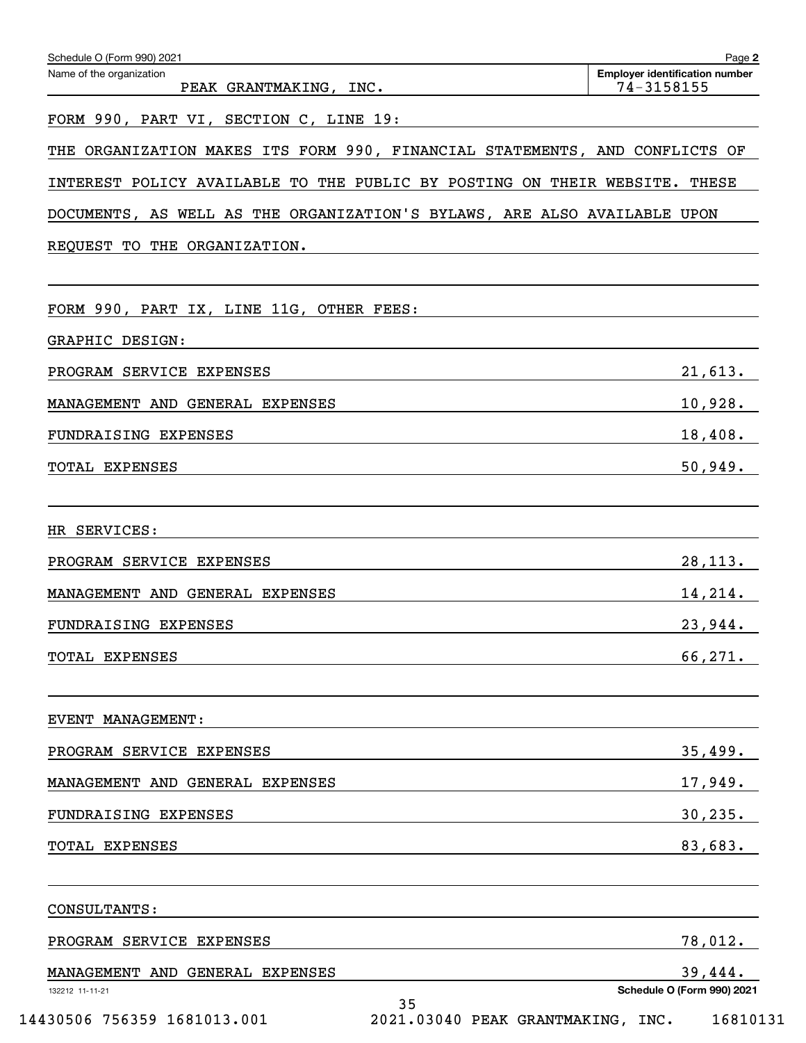| Name of the organization<br>PEAK GRANTMAKING, INC.                          | <b>Employer identification number</b><br>74-3158155                         |
|-----------------------------------------------------------------------------|-----------------------------------------------------------------------------|
| FORM 990, PART VI, SECTION C, LINE 19:                                      |                                                                             |
| THE ORGANIZATION MAKES ITS FORM 990, FINANCIAL STATEMENTS, AND CONFLICTS OF |                                                                             |
| INTEREST POLICY AVAILABLE TO THE PUBLIC BY POSTING ON THEIR WEBSITE. THESE  |                                                                             |
| DOCUMENTS, AS WELL AS THE ORGANIZATION'S BYLAWS, ARE ALSO AVAILABLE UPON    |                                                                             |
| REQUEST TO THE ORGANIZATION.                                                |                                                                             |
|                                                                             |                                                                             |
| FORM 990, PART IX, LINE 11G, OTHER FEES:                                    |                                                                             |
| GRAPHIC DESIGN:                                                             |                                                                             |
| PROGRAM SERVICE EXPENSES                                                    | 21,613.                                                                     |
| MANAGEMENT AND GENERAL EXPENSES                                             | 10,928.                                                                     |
| FUNDRAISING EXPENSES                                                        | 18,408.                                                                     |
| TOTAL EXPENSES                                                              | 50,949.                                                                     |
| HR SERVICES:                                                                |                                                                             |
| PROGRAM SERVICE EXPENSES                                                    | 28, 113.                                                                    |
| MANAGEMENT AND GENERAL EXPENSES                                             | 14, 214.                                                                    |
| <b>FUNDRAISING EXPENSES</b>                                                 | 23,944.                                                                     |
| TOTAL EXPENSES                                                              | 66,271.                                                                     |
| EVENT MANAGEMENT:                                                           |                                                                             |
| PROGRAM SERVICE EXPENSES                                                    | 35,499.                                                                     |
| MANAGEMENT AND GENERAL EXPENSES                                             | 17,949.                                                                     |
| FUNDRAISING EXPENSES                                                        | 30, 235.                                                                    |
| TOTAL EXPENSES                                                              | 83,683.                                                                     |
| CONSULTANTS:                                                                |                                                                             |
| PROGRAM SERVICE EXPENSES                                                    | 78,012.                                                                     |
| MANAGEMENT AND GENERAL EXPENSES                                             | 39,444.                                                                     |
| 132212 11-11-21<br>35<br>14430506 756359 1681013.001                        | Schedule O (Form 990) 2021<br>16810131<br>2021.03040 PEAK GRANTMAKING, INC. |